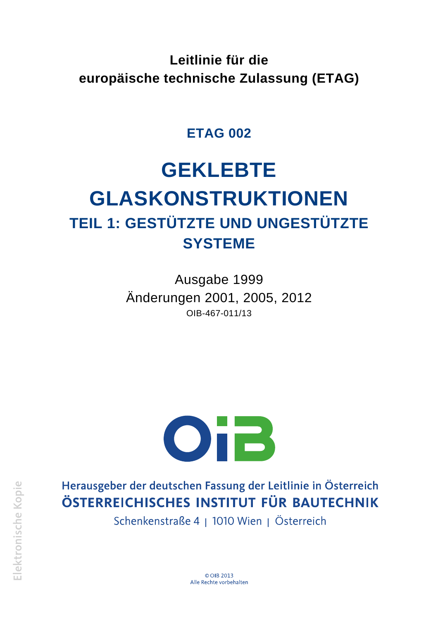**Leitlinie für die europäische technische Zulassung (ETAG)**

# **ETAG 002**

# **GEKLEBTE GLASKONSTRUKTIONEN TEIL 1: GESTÜTZTE UND UNGESTÜTZTE SYSTEME**

Ausgabe 1999 Änderungen 2001, 2005, 2012 OIB-467-011/13



Herausgeber der deutschen Fassung der Leitlinie in Österreich ÖSTERREICHISCHES INSTITUT FÜR BAUTECHNIK

Schenkenstraße 4 | 1010 Wien | Österreich

© OIR 2013 Alle Rechte vorbehalten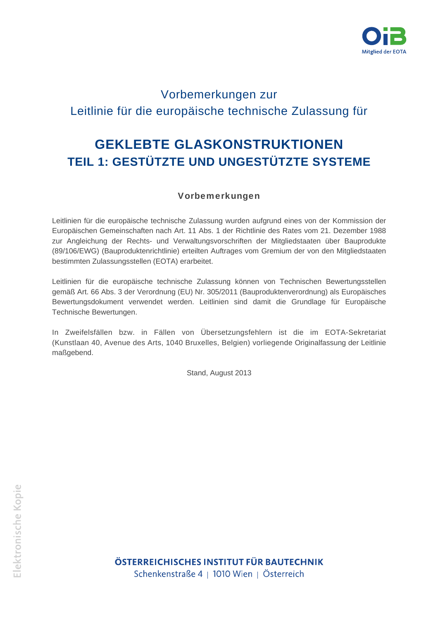

# Vorbemerkungen zur Leitlinie für die europäische technische Zulassung für

# **GEKLEBTE GLASKONSTRUKTIONEN TEIL 1: GESTÜTZTE UND UNGESTÜTZTE SYSTEME**

# Vorbemerkungen

Leitlinien für die europäische technische Zulassung wurden aufgrund eines von der Kommission der Europäischen Gemeinschaften nach Art. 11 Abs. 1 der Richtlinie des Rates vom 21. Dezember 1988 zur Angleichung der Rechts- und Verwaltungsvorschriften der Mitgliedstaaten über Bauprodukte (89/106/EWG) (Bauproduktenrichtlinie) erteilten Auftrages vom Gremium der von den Mitgliedstaaten bestimmten Zulassungsstellen (EOTA) erarbeitet.

Leitlinien für die europäische technische Zulassung können von Technischen Bewertungsstellen gemäß Art. 66 Abs. 3 der Verordnung (EU) Nr. 305/2011 (Bauproduktenverordnung) als Europäisches Bewertungsdokument verwendet werden. Leitlinien sind damit die Grundlage für Europäische Technische Bewertungen.

In Zweifelsfällen bzw. in Fällen von Übersetzungsfehlern ist die im EOTA-Sekretariat (Kunstlaan 40, Avenue des Arts, 1040 Bruxelles, Belgien) vorliegende Originalfassung der Leitlinie maßgebend.

Stand, August 2013

Elektronische Kopie

ÖSTERREICHISCHES INSTITUT FÜR BAUTECHNIK Schenkenstraße 4 | 1010 Wien | Österreich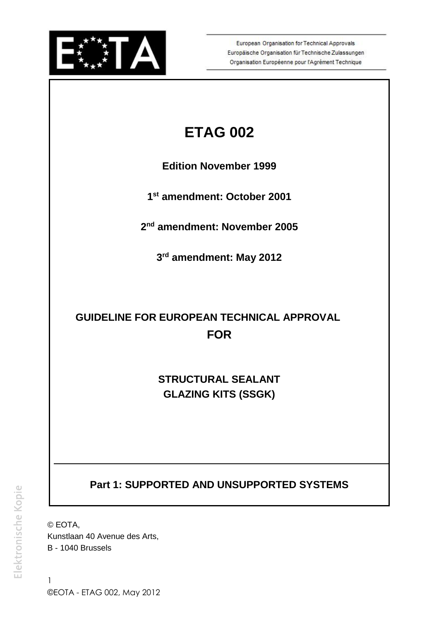

European Organisation for Technical Approvals Europäische Organisation für Technische Zulassungen Organisation Européenne pour l'Agrément Technique

# **ETAG 002**

 **Edition November 1999**

 **1st amendment: October 2001**

 **2nd amendment: November 2005**

 **3rd amendment: May 2012**

# **GUIDELINE FOR EUROPEAN TECHNICAL APPROVAL FOR**

**STRUCTURAL SEALANT GLAZING KITS (SSGK)** 

 **Part 1: SUPPORTED AND UNSUPPORTED SYSTEMS** 

 Kunstlaan 40 Avenue des Arts, © EOTA, B - 1040 Brussels

1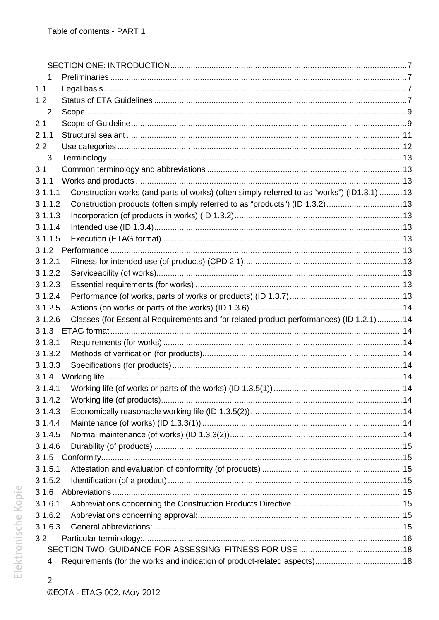| 1       |                                                                                            |  |
|---------|--------------------------------------------------------------------------------------------|--|
| 1.1     |                                                                                            |  |
| 1.2     |                                                                                            |  |
| 2       |                                                                                            |  |
| 2.1     |                                                                                            |  |
| 2.1.1   |                                                                                            |  |
| 2.2     |                                                                                            |  |
| 3       |                                                                                            |  |
| 3.1     |                                                                                            |  |
| 3.1.1   |                                                                                            |  |
| 3.1.1.1 | Construction works (and parts of works) (often simply referred to as "works") (ID1.3.1) 13 |  |
| 3.1.1.2 | Construction products (often simply referred to as "products") (ID 1.3.2) 13               |  |
| 3.1.1.3 |                                                                                            |  |
| 3.1.1.4 |                                                                                            |  |
| 3.1.1.5 |                                                                                            |  |
|         |                                                                                            |  |
| 3.1.2.1 |                                                                                            |  |
| 3.1.2.2 |                                                                                            |  |
| 3.1.2.3 |                                                                                            |  |
| 3.1.2.4 |                                                                                            |  |
| 3.1.2.5 |                                                                                            |  |
| 3.1.2.6 | Classes (for Essential Requirements and for related product performances) (ID 1.2.1) 14    |  |
| 3.1.3   |                                                                                            |  |
| 3.1.3.1 |                                                                                            |  |
| 3.1.3.2 |                                                                                            |  |
| 3.1.3.3 |                                                                                            |  |
| 3.1.4   |                                                                                            |  |
|         |                                                                                            |  |
| 3.1.4.2 |                                                                                            |  |
| 3.1.4.3 |                                                                                            |  |
| 3.1.4.4 |                                                                                            |  |
| 3.1.4.5 |                                                                                            |  |
| 3.1.4.6 |                                                                                            |  |
| 3.1.5   |                                                                                            |  |
| 3.1.5.1 |                                                                                            |  |
| 3.1.5.2 |                                                                                            |  |
| 3.1.6   |                                                                                            |  |
| 3.1.6.1 |                                                                                            |  |
| 3.1.6.2 |                                                                                            |  |
| 3.1.6.3 |                                                                                            |  |
| 3.2     |                                                                                            |  |
|         |                                                                                            |  |
| 4       |                                                                                            |  |

 $\overline{c}$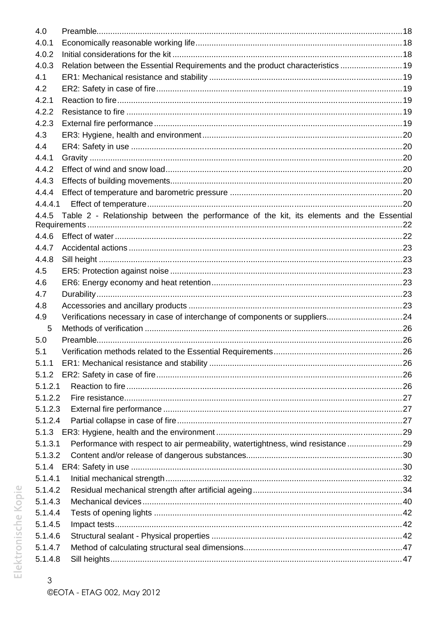| 4.0     |                                                                                           |  |
|---------|-------------------------------------------------------------------------------------------|--|
| 4.0.1   |                                                                                           |  |
| 4.0.2   |                                                                                           |  |
| 4.0.3   | Relation between the Essential Requirements and the product characteristics  19           |  |
| 4.1     |                                                                                           |  |
| 4.2     |                                                                                           |  |
| 4.2.1   |                                                                                           |  |
| 4.2.2   |                                                                                           |  |
| 4.2.3   |                                                                                           |  |
| 4.3     |                                                                                           |  |
| 4.4     |                                                                                           |  |
| 4.4.1   |                                                                                           |  |
| 4.4.2   |                                                                                           |  |
| 4.4.3   |                                                                                           |  |
| 4.4.4   |                                                                                           |  |
| 4.4.4.1 |                                                                                           |  |
| 4.4.5   | Table 2 - Relationship between the performance of the kit, its elements and the Essential |  |
| 4.4.6   |                                                                                           |  |
| 4.4.7   |                                                                                           |  |
| 4.4.8   |                                                                                           |  |
| 4.5     |                                                                                           |  |
| 4.6     |                                                                                           |  |
| 4.7     |                                                                                           |  |
| 4.8     |                                                                                           |  |
| 4.9     | Verifications necessary in case of interchange of components or suppliers24               |  |
| 5       |                                                                                           |  |
| 5.0     |                                                                                           |  |
| 5.1     |                                                                                           |  |
| 5.1.1   |                                                                                           |  |
| 5.1.2   |                                                                                           |  |
| 5.1.2.1 |                                                                                           |  |
| 5.1.2.2 |                                                                                           |  |
| 5.1.2.3 |                                                                                           |  |
| 5.1.2.4 |                                                                                           |  |
| 5.1.3   |                                                                                           |  |
| 5.1.3.1 | Performance with respect to air permeability, watertightness, wind resistance29           |  |
| 5.1.3.2 |                                                                                           |  |
| 5.1.4   |                                                                                           |  |
| 5.1.4.1 |                                                                                           |  |
| 5.1.4.2 |                                                                                           |  |
| 5.1.4.3 |                                                                                           |  |
| 5.1.4.4 |                                                                                           |  |
| 5.1.4.5 |                                                                                           |  |
| 5.1.4.6 |                                                                                           |  |
| 5.1.4.7 |                                                                                           |  |
| 5.1.4.8 |                                                                                           |  |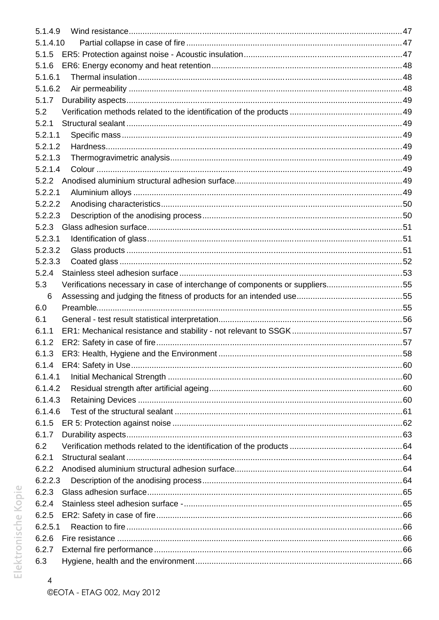| 5.1.4.9  |                                                                             |    |
|----------|-----------------------------------------------------------------------------|----|
| 5.1.4.10 |                                                                             |    |
| 5.1.5    |                                                                             |    |
| 5.1.6    |                                                                             |    |
| 5.1.6.1  |                                                                             |    |
| 5.1.6.2  |                                                                             |    |
| 5.1.7    |                                                                             |    |
| 5.2      |                                                                             |    |
| 5.2.1    |                                                                             |    |
| 5.2.1.1  |                                                                             |    |
| 5.2.1.2  |                                                                             |    |
| 5.2.1.3  |                                                                             |    |
| 5.2.1.4  |                                                                             |    |
|          |                                                                             |    |
| 5.2.2.1  |                                                                             |    |
| 5.2.2.2  |                                                                             |    |
| 5.2.2.3  |                                                                             |    |
|          |                                                                             |    |
| 5.2.3.1  |                                                                             |    |
| 5.2.3.2  |                                                                             |    |
| 5.2.3.3  |                                                                             |    |
| 5.2.4    |                                                                             |    |
| 5.3      | Verifications necessary in case of interchange of components or suppliers55 |    |
| 6        |                                                                             |    |
|          |                                                                             |    |
| 6.0      |                                                                             |    |
| 6.1      |                                                                             |    |
| 6.1.1    |                                                                             |    |
| 6.1.2    |                                                                             |    |
| 6.1.3    | ER3: Health, Hygiene and the Environment                                    | 58 |
| 6.1.4    |                                                                             |    |
| 6.1.4.1  |                                                                             |    |
| 6.1.4.2  |                                                                             |    |
| 6.1.4.3  |                                                                             |    |
| 6.1.4.6  |                                                                             |    |
| 6.1.5    |                                                                             |    |
| 6.1.7    |                                                                             |    |
| 6.2      |                                                                             |    |
| 6.2.1    |                                                                             |    |
| 6.2.2    |                                                                             |    |
| 6.2.2.3  |                                                                             |    |
| 6.2.3    |                                                                             |    |
| 6.2.4    |                                                                             |    |
| 6.2.5    |                                                                             |    |
| 6.2.5.1  |                                                                             |    |
| 6.2.6    |                                                                             |    |
| 6.2.7    |                                                                             |    |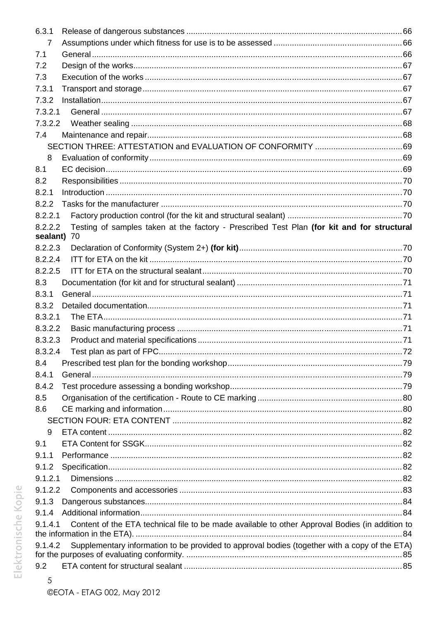| 6.3.1                  |                                                                                                 |  |
|------------------------|-------------------------------------------------------------------------------------------------|--|
| 7                      |                                                                                                 |  |
| 7.1                    |                                                                                                 |  |
| 7.2                    |                                                                                                 |  |
| 7.3                    |                                                                                                 |  |
| 7.3.1                  |                                                                                                 |  |
| 7.3.2                  |                                                                                                 |  |
| 7.3.2.1                |                                                                                                 |  |
| 7.3.2.2                |                                                                                                 |  |
| 7.4                    |                                                                                                 |  |
|                        |                                                                                                 |  |
| 8                      |                                                                                                 |  |
| 8.1                    |                                                                                                 |  |
| 8.2                    |                                                                                                 |  |
| 8.2.1                  |                                                                                                 |  |
| 8.2.2                  |                                                                                                 |  |
| 8.2.2.1                |                                                                                                 |  |
| 8.2.2.2<br>sealant) 70 | Testing of samples taken at the factory - Prescribed Test Plan (for kit and for structural      |  |
| 8.2.2.3                |                                                                                                 |  |
| 8.2.2.4                |                                                                                                 |  |
| 8.2.2.5                |                                                                                                 |  |
| 8.3                    |                                                                                                 |  |
| 8.3.1                  |                                                                                                 |  |
| 8.3.2                  |                                                                                                 |  |
| 8.3.2.1                |                                                                                                 |  |
| 8.3.2.2                |                                                                                                 |  |
| 8.3.2.3                |                                                                                                 |  |
| 8.3.2.4                |                                                                                                 |  |
| 8.4                    |                                                                                                 |  |
| 8.4.1                  |                                                                                                 |  |
| 8.4.2                  |                                                                                                 |  |
| 8.5                    |                                                                                                 |  |
| 8.6                    |                                                                                                 |  |
|                        |                                                                                                 |  |
| 9                      |                                                                                                 |  |
| 9.1                    |                                                                                                 |  |
| 9.1.1                  |                                                                                                 |  |
| 9.1.2                  |                                                                                                 |  |
| 9.1.2.1                |                                                                                                 |  |
| 9.1.2.2                |                                                                                                 |  |
| 9.1.3                  |                                                                                                 |  |
| 9.1.4                  |                                                                                                 |  |
| 9.1.4.1                | Content of the ETA technical file to be made available to other Approval Bodies (in addition to |  |
| 9.1.4.2                | Supplementary information to be provided to approval bodies (together with a copy of the ETA)   |  |
|                        |                                                                                                 |  |
| 9.2                    |                                                                                                 |  |
| 5                      |                                                                                                 |  |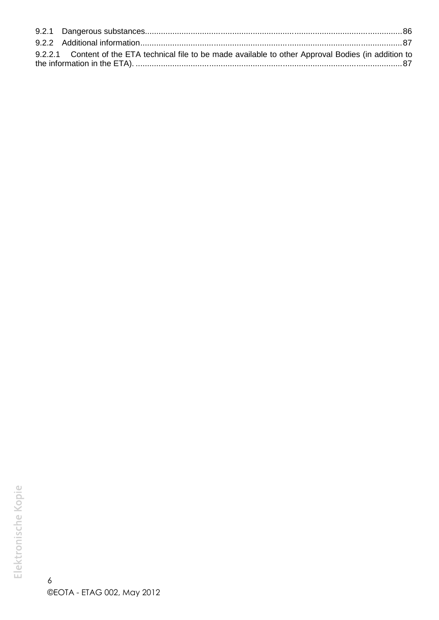| 9.2.2.1 Content of the ETA technical file to be made available to other Approval Bodies (in addition to |  |
|---------------------------------------------------------------------------------------------------------|--|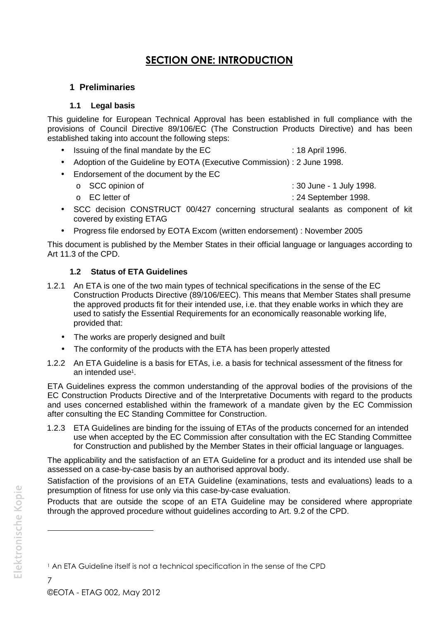# **SECTION ONE: INTRODUCTION**

# **1 Preliminaries**

# **1.1 Legal basis**

This guideline for European Technical Approval has been established in full compliance with the provisions of Council Directive 89/106/EC (The Construction Products Directive) and has been established taking into account the following steps:

- Issuing of the final mandate by the EC : 18 April 1996.
- Adoption of the Guideline by EOTA (Executive Commission) : 2 June 1998.
- Endorsement of the document by the EC
	-
	- o SCC opinion of : 30 June 1 July 1998.
	- o EC letter of : 24 September 1998.
- SCC decision CONSTRUCT 00/427 concerning structural sealants as component of kit covered by existing ETAG
- Progress file endorsed by EOTA Excom (written endorsement) : November 2005

This document is published by the Member States in their official language or languages according to Art 11.3 of the CPD.

# **1.2 Status of ETA Guidelines**

- 1.2.1 An ETA is one of the two main types of technical specifications in the sense of the EC Construction Products Directive (89/106/EEC). This means that Member States shall presume the approved products fit for their intended use, i.e. that they enable works in which they are used to satisfy the Essential Requirements for an economically reasonable working life, provided that:
	- The works are properly designed and built
	- The conformity of the products with the ETA has been properly attested
- 1.2.2 An ETA Guideline is a basis for ETAs, i.e. a basis for technical assessment of the fitness for an intended use<sup>1</sup> .

ETA Guidelines express the common understanding of the approval bodies of the provisions of the EC Construction Products Directive and of the Interpretative Documents with regard to the products and uses concerned established within the framework of a mandate given by the EC Commission after consulting the EC Standing Committee for Construction.

1.2.3 ETA Guidelines are binding for the issuing of ETAs of the products concerned for an intended use when accepted by the EC Commission after consultation with the EC Standing Committee for Construction and published by the Member States in their official language or languages.

The applicability and the satisfaction of an ETA Guideline for a product and its intended use shall be assessed on a case-by-case basis by an authorised approval body.

Satisfaction of the provisions of an ETA Guideline (examinations, tests and evaluations) leads to a presumption of fitness for use only via this case-by-case evaluation.

Products that are outside the scope of an ETA Guideline may be considered where appropriate through the approved procedure without guidelines according to Art. 9.2 of the CPD.

<sup>1</sup> An ETA Guideline itself is not a technical specification in the sense of the CPD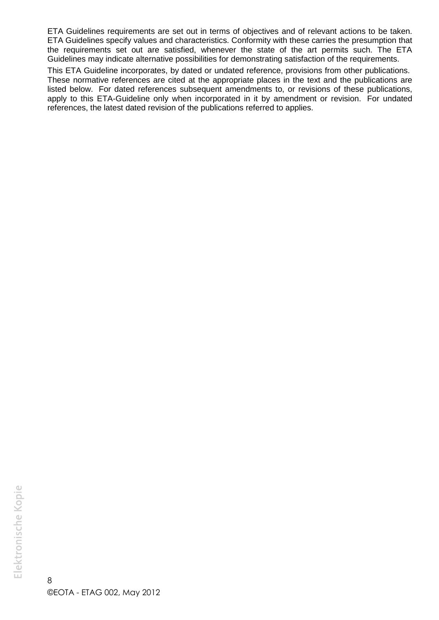ETA Guidelines requirements are set out in terms of objectives and of relevant actions to be taken. ETA Guidelines specify values and characteristics. Conformity with these carries the presumption that the requirements set out are satisfied, whenever the state of the art permits such. The ETA Guidelines may indicate alternative possibilities for demonstrating satisfaction of the requirements.

This ETA Guideline incorporates, by dated or undated reference, provisions from other publications. These normative references are cited at the appropriate places in the text and the publications are listed below. For dated references subsequent amendments to, or revisions of these publications, apply to this ETA-Guideline only when incorporated in it by amendment or revision. For undated references, the latest dated revision of the publications referred to applies.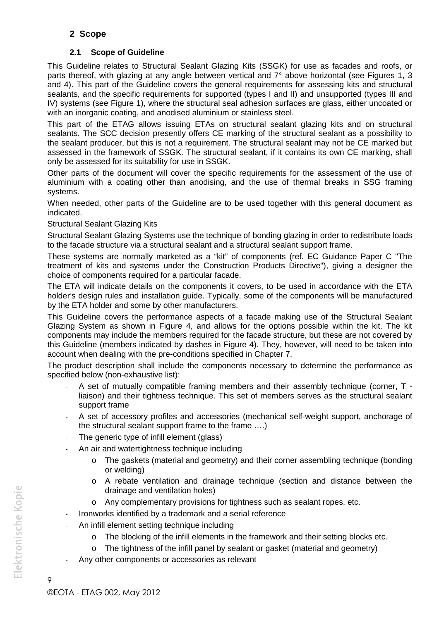# **2 Scope**

# **2.1 Scope of Guideline**

This Guideline relates to Structural Sealant Glazing Kits (SSGK) for use as facades and roofs, or parts thereof, with glazing at any angle between vertical and 7° above horizontal (see Figures 1, 3 and 4). This part of the Guideline covers the general requirements for assessing kits and structural sealants, and the specific requirements for supported (types I and II) and unsupported (types III and IV) systems (see Figure 1), where the structural seal adhesion surfaces are glass, either uncoated or with an inorganic coating, and anodised aluminium or stainless steel.

This part of the ETAG allows issuing ETAs on structural sealant glazing kits and on structural sealants. The SCC decision presently offers CE marking of the structural sealant as a possibility to the sealant producer, but this is not a requirement. The structural sealant may not be CE marked but assessed in the framework of SSGK. The structural sealant, if it contains its own CE marking, shall only be assessed for its suitability for use in SSGK.

Other parts of the document will cover the specific requirements for the assessment of the use of aluminium with a coating other than anodising, and the use of thermal breaks in SSG framing systems.

When needed, other parts of the Guideline are to be used together with this general document as indicated.

#### Structural Sealant Glazing Kits

Structural Sealant Glazing Systems use the technique of bonding glazing in order to redistribute loads to the facade structure via a structural sealant and a structural sealant support frame.

These systems are normally marketed as a "kit" of components (ref. EC Guidance Paper C "The treatment of kits and systems under the Construction Products Directive"), giving a designer the choice of components required for a particular facade.

The ETA will indicate details on the components it covers, to be used in accordance with the ETA holder's design rules and installation guide. Typically, some of the components will be manufactured by the ETA holder and some by other manufacturers.

This Guideline covers the performance aspects of a facade making use of the Structural Sealant Glazing System as shown in Figure 4, and allows for the options possible within the kit. The kit components may include the members required for the facade structure, but these are not covered by this Guideline (members indicated by dashes in Figure 4). They, however, will need to be taken into account when dealing with the pre-conditions specified in Chapter 7.

The product description shall include the components necessary to determine the performance as specified below (non-exhaustive list):

- A set of mutually compatible framing members and their assembly technique (corner, T liaison) and their tightness technique. This set of members serves as the structural sealant support frame
- A set of accessory profiles and accessories (mechanical self-weight support, anchorage of the structural sealant support frame to the frame ....)
- The generic type of infill element (glass)
- An air and watertightness technique including
	- o The gaskets (material and geometry) and their corner assembling technique (bonding or welding)
	- o A rebate ventilation and drainage technique (section and distance between the drainage and ventilation holes)
	- o Any complementary provisions for tightness such as sealant ropes, etc.
- Ironworks identified by a trademark and a serial reference
- An infill element setting technique including
	- o The blocking of the infill elements in the framework and their setting blocks etc.
	- o The tightness of the infill panel by sealant or gasket (material and geometry)
- Any other components or accessories as relevant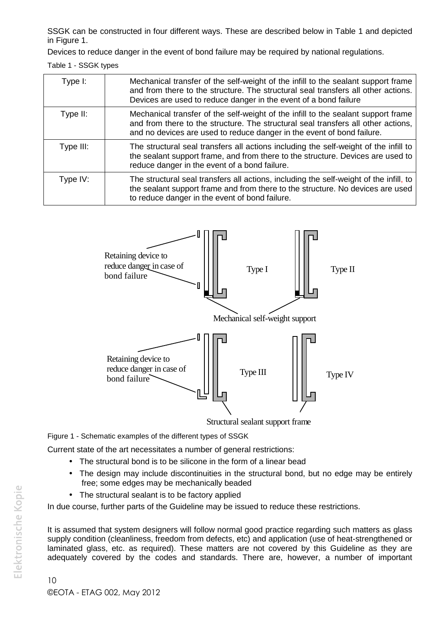SSGK can be constructed in four different ways. These are described below in Table 1 and depicted in Figure 1.

Devices to reduce danger in the event of bond failure may be required by national regulations.

Table 1 - SSGK types

| Type I:    | Mechanical transfer of the self-weight of the infill to the sealant support frame<br>and from there to the structure. The structural seal transfers all other actions.<br>Devices are used to reduce danger in the event of a bond failure       |
|------------|--------------------------------------------------------------------------------------------------------------------------------------------------------------------------------------------------------------------------------------------------|
| Type II:   | Mechanical transfer of the self-weight of the infill to the sealant support frame<br>and from there to the structure. The structural seal transfers all other actions,<br>and no devices are used to reduce danger in the event of bond failure. |
| Type III:  | The structural seal transfers all actions including the self-weight of the infill to<br>the sealant support frame, and from there to the structure. Devices are used to<br>reduce danger in the event of a bond failure.                         |
| Type $IV:$ | The structural seal transfers all actions, including the self-weight of the infill, to<br>the sealant support frame and from there to the structure. No devices are used<br>to reduce danger in the event of bond failure.                       |



Figure 1 - Schematic examples of the different types of SSGK

Current state of the art necessitates a number of general restrictions:

- The structural bond is to be silicone in the form of a linear bead
- The design may include discontinuities in the structural bond, but no edge may be entirely free; some edges may be mechanically beaded
- The structural sealant is to be factory applied

In due course, further parts of the Guideline may be issued to reduce these restrictions.

It is assumed that system designers will follow normal good practice regarding such matters as glass supply condition (cleanliness, freedom from defects, etc) and application (use of heat-strengthened or laminated glass, etc. as required). These matters are not covered by this Guideline as they are adequately covered by the codes and standards. There are, however, a number of important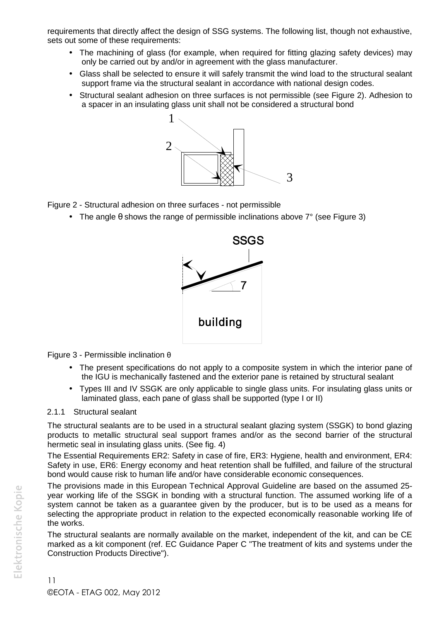requirements that directly affect the design of SSG systems. The following list, though not exhaustive, sets out some of these requirements:

- The machining of glass (for example, when required for fitting glazing safety devices) may only be carried out by and/or in agreement with the glass manufacturer.
- Glass shall be selected to ensure it will safely transmit the wind load to the structural sealant support frame via the structural sealant in accordance with national design codes.
- Structural sealant adhesion on three surfaces is not permissible (see Figure 2). Adhesion to a spacer in an insulating glass unit shall not be considered a structural bond



Figure 2 - Structural adhesion on three surfaces - not permissible

• The angle  $\theta$  shows the range of permissible inclinations above  $7^{\circ}$  (see Figure 3)



Figure 3 - Permissible inclination θ

- The present specifications do not apply to a composite system in which the interior pane of the IGU is mechanically fastened and the exterior pane is retained by structural sealant
- Types III and IV SSGK are only applicable to single glass units. For insulating glass units or laminated glass, each pane of glass shall be supported (type I or II)

# 2.1.1 Structural sealant

The structural sealants are to be used in a structural sealant glazing system (SSGK) to bond glazing products to metallic structural seal support frames and/or as the second barrier of the structural hermetic seal in insulating glass units. (See fig. 4)

The Essential Requirements ER2: Safety in case of fire, ER3: Hygiene, health and environment, ER4: Safety in use, ER6: Energy economy and heat retention shall be fulfilled, and failure of the structural bond would cause risk to human life and/or have considerable economic consequences.

The provisions made in this European Technical Approval Guideline are based on the assumed 25 year working life of the SSGK in bonding with a structural function. The assumed working life of a system cannot be taken as a quarantee given by the producer, but is to be used as a means for selecting the appropriate product in relation to the expected economically reasonable working life of the works.

The structural sealants are normally available on the market, independent of the kit, and can be CE marked as a kit component (ref. EC Guidance Paper C "The treatment of kits and systems under the Construction Products Directive").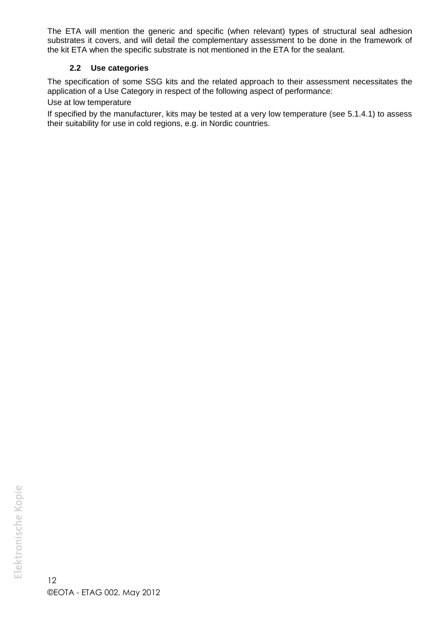The ETA will mention the generic and specific (when relevant) types of structural seal adhesion substrates it covers, and will detail the complementary assessment to be done in the framework of the kit ETA when the specific substrate is not mentioned in the ETA for the sealant.

#### **2.2 Use categories**

The specification of some SSG kits and the related approach to their assessment necessitates the application of a Use Category in respect of the following aspect of performance:

Use at low temperature

If specified by the manufacturer, kits may be tested at a very low temperature (see 5.1.4.1) to assess their suitability for use in cold regions, e.g. in Nordic countries.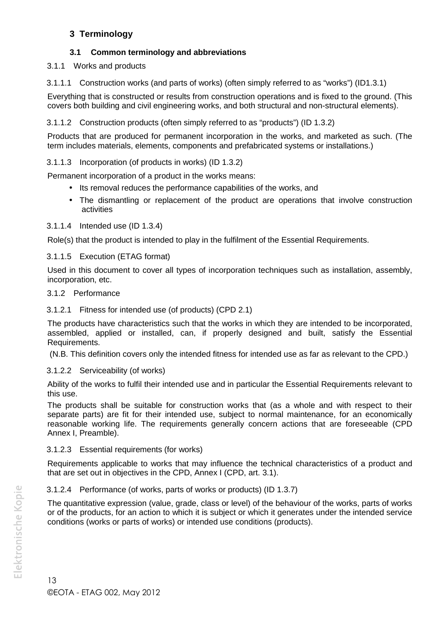# **3 Terminology**

# **3.1 Common terminology and abbreviations**

# 3.1.1 Works and products

3.1.1.1 Construction works (and parts of works) (often simply referred to as "works") (ID1.3.1)

Everything that is constructed or results from construction operations and is fixed to the ground. (This covers both building and civil engineering works, and both structural and non-structural elements).

3.1.1.2 Construction products (often simply referred to as "products") (ID 1.3.2)

Products that are produced for permanent incorporation in the works, and marketed as such. (The term includes materials, elements, components and prefabricated systems or installations.)

# 3.1.1.3 Incorporation (of products in works) (ID 1.3.2)

Permanent incorporation of a product in the works means:

- Its removal reduces the performance capabilities of the works, and
- The dismantling or replacement of the product are operations that involve construction activities

# 3.1.1.4 Intended use (ID 1.3.4)

Role(s) that the product is intended to play in the fulfilment of the Essential Requirements.

# 3.1.1.5 Execution (ETAG format)

Used in this document to cover all types of incorporation techniques such as installation, assembly, incorporation, etc.

# 3.1.2 Performance

# 3.1.2.1 Fitness for intended use (of products) (CPD 2.1)

The products have characteristics such that the works in which they are intended to be incorporated, assembled, applied or installed, can, if properly designed and built, satisfy the Essential Requirements.

(N.B. This definition covers only the intended fitness for intended use as far as relevant to the CPD.)

# 3.1.2.2 Serviceability (of works)

Ability of the works to fulfil their intended use and in particular the Essential Requirements relevant to this use.

The products shall be suitable for construction works that (as a whole and with respect to their separate parts) are fit for their intended use, subject to normal maintenance, for an economically reasonable working life. The requirements generally concern actions that are foreseeable (CPD Annex I, Preamble).

# 3.1.2.3 Essential requirements (for works)

Requirements applicable to works that may influence the technical characteristics of a product and that are set out in objectives in the CPD, Annex I (CPD, art. 3.1).

# 3.1.2.4 Performance (of works, parts of works or products) (ID 1.3.7)

The quantitative expression (value, grade, class or level) of the behaviour of the works, parts of works or of the products, for an action to which it is subject or which it generates under the intended service conditions (works or parts of works) or intended use conditions (products).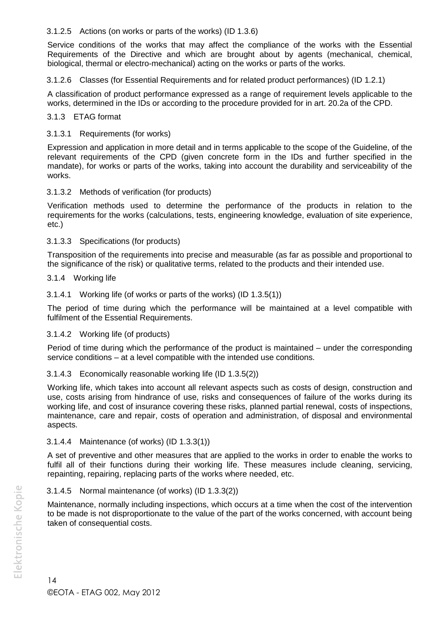#### 3.1.2.5 Actions (on works or parts of the works) (ID 1.3.6)

Service conditions of the works that may affect the compliance of the works with the Essential Requirements of the Directive and which are brought about by agents (mechanical, chemical, biological, thermal or electro-mechanical) acting on the works or parts of the works.

3.1.2.6 Classes (for Essential Requirements and for related product performances) (ID 1.2.1)

A classification of product performance expressed as a range of requirement levels applicable to the works, determined in the IDs or according to the procedure provided for in art. 20.2a of the CPD.

#### 3.1.3 ETAG format

#### 3.1.3.1 Requirements (for works)

Expression and application in more detail and in terms applicable to the scope of the Guideline, of the relevant requirements of the CPD (given concrete form in the IDs and further specified in the mandate), for works or parts of the works, taking into account the durability and serviceability of the works.

#### 3.1.3.2 Methods of verification (for products)

Verification methods used to determine the performance of the products in relation to the requirements for the works (calculations, tests, engineering knowledge, evaluation of site experience, etc.)

#### 3.1.3.3 Specifications (for products)

Transposition of the requirements into precise and measurable (as far as possible and proportional to the significance of the risk) or qualitative terms, related to the products and their intended use.

#### 3.1.4 Working life

3.1.4.1 Working life (of works or parts of the works) (ID 1.3.5(1))

The period of time during which the performance will be maintained at a level compatible with fulfilment of the Essential Requirements.

#### 3.1.4.2 Working life (of products)

Period of time during which the performance of the product is maintained – under the corresponding service conditions – at a level compatible with the intended use conditions.

#### 3.1.4.3 Economically reasonable working life (ID 1.3.5(2))

Working life, which takes into account all relevant aspects such as costs of design, construction and use, costs arising from hindrance of use, risks and consequences of failure of the works during its working life, and cost of insurance covering these risks, planned partial renewal, costs of inspections, maintenance, care and repair, costs of operation and administration, of disposal and environmental aspects.

#### 3.1.4.4 Maintenance (of works) (ID 1.3.3(1))

A set of preventive and other measures that are applied to the works in order to enable the works to fulfil all of their functions during their working life. These measures include cleaning, servicing, repainting, repairing, replacing parts of the works where needed, etc.

# 3.1.4.5 Normal maintenance (of works) (ID 1.3.3(2))

Maintenance, normally including inspections, which occurs at a time when the cost of the intervention to be made is not disproportionate to the value of the part of the works concerned, with account being taken of consequential costs.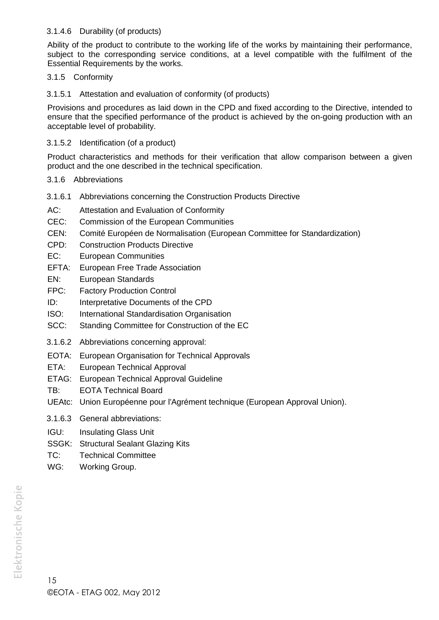#### 3.1.4.6 Durability (of products)

Ability of the product to contribute to the working life of the works by maintaining their performance, subject to the corresponding service conditions, at a level compatible with the fulfilment of the Essential Requirements by the works.

#### 3.1.5 Conformity

3.1.5.1 Attestation and evaluation of conformity (of products)

Provisions and procedures as laid down in the CPD and fixed according to the Directive, intended to ensure that the specified performance of the product is achieved by the on-going production with an acceptable level of probability.

#### 3.1.5.2 Identification (of a product)

Product characteristics and methods for their verification that allow comparison between a given product and the one described in the technical specification.

- 3.1.6 Abbreviations
- 3.1.6.1 Abbreviations concerning the Construction Products Directive
- AC: Attestation and Evaluation of Conformity
- CEC: Commission of the European Communities
- CEN: Comité Européen de Normalisation (European Committee for Standardization)
- CPD: Construction Products Directive
- EC: European Communities
- EFTA: European Free Trade Association
- EN: European Standards
- FPC: Factory Production Control
- ID: Interpretative Documents of the CPD
- ISO: International Standardisation Organisation
- SCC: Standing Committee for Construction of the EC
- 3.1.6.2 Abbreviations concerning approval:
- EOTA: European Organisation for Technical Approvals
- ETA: European Technical Approval
- ETAG: European Technical Approval Guideline
- TB: EOTA Technical Board
- UEAtc: Union Européenne pour l'Agrément technique (European Approval Union).
- 3.1.6.3 General abbreviations:
- IGU: Insulating Glass Unit
- SSGK: Structural Sealant Glazing Kits
- TC: Technical Committee
- WG: Working Group.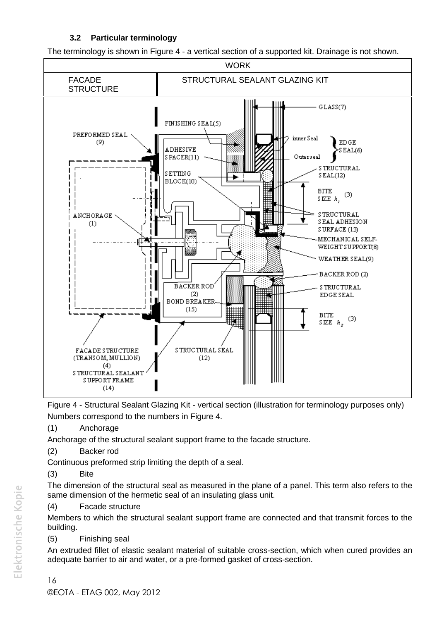# **3.2 Particular terminology**

The terminology is shown in Figure 4 - a vertical section of a supported kit. Drainage is not shown.



Figure 4 - Structural Sealant Glazing Kit - vertical section (illustration for terminology purposes only) Numbers correspond to the numbers in Figure 4.

(1) Anchorage

Anchorage of the structural sealant support frame to the facade structure.

(2) Backer rod

Continuous preformed strip limiting the depth of a seal.

(3) Bite

The dimension of the structural seal as measured in the plane of a panel. This term also refers to the same dimension of the hermetic seal of an insulating glass unit.

(4) Facade structure

Members to which the structural sealant support frame are connected and that transmit forces to the building.

(5) Finishing seal

An extruded fillet of elastic sealant material of suitable cross-section, which when cured provides an adequate barrier to air and water, or a pre-formed gasket of cross-section.

# 16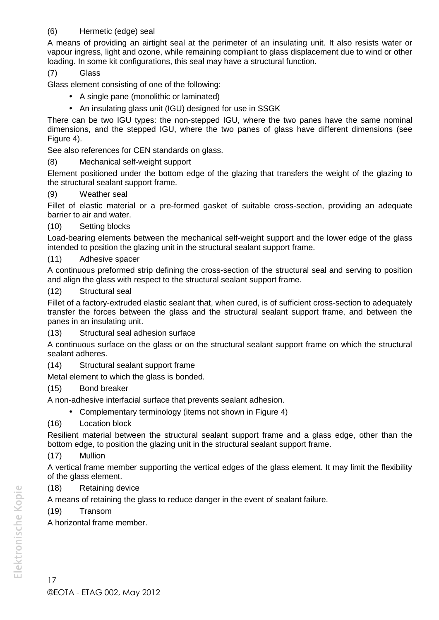# (6) Hermetic (edge) seal

A means of providing an airtight seal at the perimeter of an insulating unit. It also resists water or vapour ingress, light and ozone, while remaining compliant to glass displacement due to wind or other loading. In some kit configurations, this seal may have a structural function.

#### (7) Glass

Glass element consisting of one of the following:

- A single pane (monolithic or laminated)
- An insulating glass unit (IGU) designed for use in SSGK

There can be two IGU types: the non-stepped IGU, where the two panes have the same nominal dimensions, and the stepped IGU, where the two panes of glass have different dimensions (see Figure 4).

See also references for CEN standards on glass.

# (8) Mechanical self-weight support

Element positioned under the bottom edge of the glazing that transfers the weight of the glazing to the structural sealant support frame.

#### (9) Weather seal

Fillet of elastic material or a pre-formed gasket of suitable cross-section, providing an adequate barrier to air and water.

#### (10) Setting blocks

Load-bearing elements between the mechanical self-weight support and the lower edge of the glass intended to position the glazing unit in the structural sealant support frame.

#### (11) Adhesive spacer

A continuous preformed strip defining the cross-section of the structural seal and serving to position and align the glass with respect to the structural sealant support frame.

#### (12) Structural seal

Fillet of a factory-extruded elastic sealant that, when cured, is of sufficient cross-section to adequately transfer the forces between the glass and the structural sealant support frame, and between the panes in an insulating unit.

(13) Structural seal adhesion surface

A continuous surface on the glass or on the structural sealant support frame on which the structural sealant adheres.

(14) Structural sealant support frame

Metal element to which the glass is bonded.

# (15) Bond breaker

A non-adhesive interfacial surface that prevents sealant adhesion.

- Complementary terminology (items not shown in Figure 4)
- (16) Location block

Resilient material between the structural sealant support frame and a glass edge, other than the bottom edge, to position the glazing unit in the structural sealant support frame.

# (17) Mullion

A vertical frame member supporting the vertical edges of the glass element. It may limit the flexibility of the glass element.

# (18) Retaining device

A means of retaining the glass to reduce danger in the event of sealant failure.

# (19) Transom

A horizontal frame member.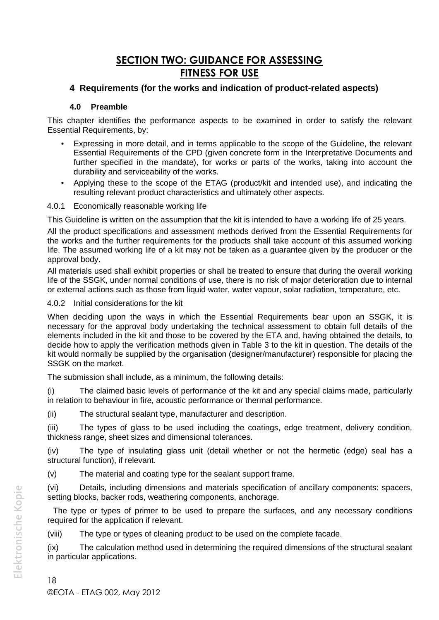# **SECTION TWO: GUIDANCE FOR ASSESSING FITNESS FOR USE**

# **4 Requirements (for the works and indication of product-related aspects)**

#### **4.0 Preamble**

This chapter identifies the performance aspects to be examined in order to satisfy the relevant Essential Requirements, by:

- Expressing in more detail, and in terms applicable to the scope of the Guideline, the relevant Essential Requirements of the CPD (given concrete form in the Interpretative Documents and further specified in the mandate), for works or parts of the works, taking into account the durability and serviceability of the works.
- Applying these to the scope of the ETAG (product/kit and intended use), and indicating the resulting relevant product characteristics and ultimately other aspects.
- 4.0.1 Economically reasonable working life

This Guideline is written on the assumption that the kit is intended to have a working life of 25 years.

All the product specifications and assessment methods derived from the Essential Requirements for the works and the further requirements for the products shall take account of this assumed working life. The assumed working life of a kit may not be taken as a guarantee given by the producer or the approval body.

All materials used shall exhibit properties or shall be treated to ensure that during the overall working life of the SSGK, under normal conditions of use, there is no risk of major deterioration due to internal or external actions such as those from liquid water, water vapour, solar radiation, temperature, etc.

4.0.2 Initial considerations for the kit

When deciding upon the ways in which the Essential Requirements bear upon an SSGK, it is necessary for the approval body undertaking the technical assessment to obtain full details of the elements included in the kit and those to be covered by the ETA and, having obtained the details, to decide how to apply the verification methods given in Table 3 to the kit in question. The details of the kit would normally be supplied by the organisation (designer/manufacturer) responsible for placing the SSGK on the market.

The submission shall include, as a minimum, the following details:

(i) The claimed basic levels of performance of the kit and any special claims made, particularly in relation to behaviour in fire, acoustic performance or thermal performance.

(ii) The structural sealant type, manufacturer and description.

(iii) The types of glass to be used including the coatings, edge treatment, delivery condition, thickness range, sheet sizes and dimensional tolerances.

(iv) The type of insulating glass unit (detail whether or not the hermetic (edge) seal has a structural function), if relevant.

(v) The material and coating type for the sealant support frame.

(vi) Details, including dimensions and materials specification of ancillary components: spacers, setting blocks, backer rods, weathering components, anchorage.

The type or types of primer to be used to prepare the surfaces, and any necessary conditions required for the application if relevant.

(viii) The type or types of cleaning product to be used on the complete facade.

(ix) The calculation method used in determining the required dimensions of the structural sealant in particular applications.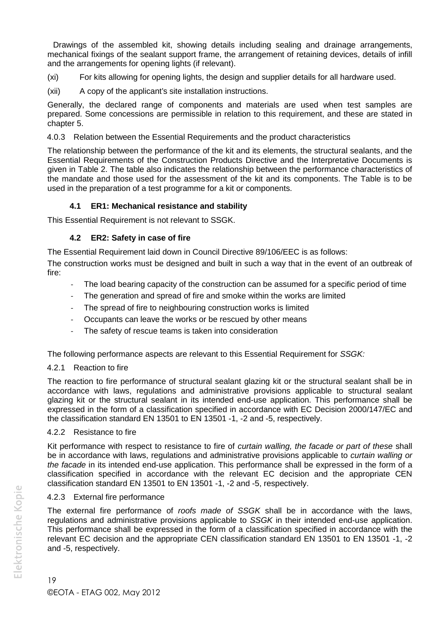Drawings of the assembled kit, showing details including sealing and drainage arrangements, mechanical fixings of the sealant support frame, the arrangement of retaining devices, details of infill and the arrangements for opening lights (if relevant).

(xi) For kits allowing for opening lights, the design and supplier details for all hardware used.

(xii) A copy of the applicant's site installation instructions.

Generally, the declared range of components and materials are used when test samples are prepared. Some concessions are permissible in relation to this requirement, and these are stated in chapter 5.

#### 4.0.3 Relation between the Essential Requirements and the product characteristics

The relationship between the performance of the kit and its elements, the structural sealants, and the Essential Requirements of the Construction Products Directive and the Interpretative Documents is given in Table 2. The table also indicates the relationship between the performance characteristics of the mandate and those used for the assessment of the kit and its components. The Table is to be used in the preparation of a test programme for a kit or components.

#### **4.1 ER1: Mechanical resistance and stability**

This Essential Requirement is not relevant to SSGK.

#### **4.2 ER2: Safety in case of fire**

The Essential Requirement laid down in Council Directive 89/106/EEC is as follows:

The construction works must be designed and built in such a way that in the event of an outbreak of fire:

- The load bearing capacity of the construction can be assumed for a specific period of time
- The generation and spread of fire and smoke within the works are limited
- The spread of fire to neighbouring construction works is limited
- Occupants can leave the works or be rescued by other means
- The safety of rescue teams is taken into consideration

The following performance aspects are relevant to this Essential Requirement for *SSGK:*

#### 4.2.1 Reaction to fire

The reaction to fire performance of structural sealant glazing kit or the structural sealant shall be in accordance with laws, regulations and administrative provisions applicable to structural sealant glazing kit or the structural sealant in its intended end-use application. This performance shall be expressed in the form of a classification specified in accordance with EC Decision 2000/147/EC and the classification standard EN 13501 to EN 13501 -1, -2 and -5, respectively.

#### 4.2.2 Resistance to fire

Kit performance with respect to resistance to fire of *curtain walling, the facade or part of these* shall be in accordance with laws, regulations and administrative provisions applicable to *curtain walling or the facade* in its intended end-use application. This performance shall be expressed in the form of a classification specified in accordance with the relevant EC decision and the appropriate CEN classification standard EN 13501 to EN 13501 -1, -2 and -5, respectively.

#### 4.2.3 External fire performance

The external fire performance of *roofs made of SSGK* shall be in accordance with the laws, regulations and administrative provisions applicable to *SSGK* in their intended end-use application. This performance shall be expressed in the form of a classification specified in accordance with the relevant EC decision and the appropriate CEN classification standard EN 13501 to EN 13501 -1, -2 and -5, respectively.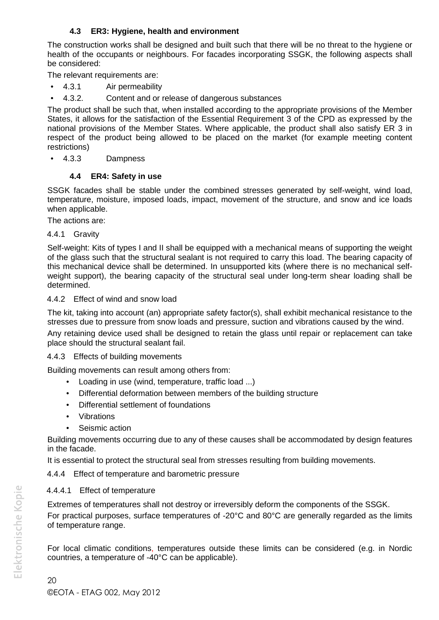# **4.3 ER3: Hygiene, health and environment**

The construction works shall be designed and built such that there will be no threat to the hygiene or health of the occupants or neighbours. For facades incorporating SSGK, the following aspects shall be considered:

The relevant requirements are:

- 4.3.1 Air permeability
- 4.3.2. Content and or release of dangerous substances

The product shall be such that, when installed according to the appropriate provisions of the Member States, it allows for the satisfaction of the Essential Requirement 3 of the CPD as expressed by the national provisions of the Member States. Where applicable, the product shall also satisfy ER 3 in respect of the product being allowed to be placed on the market (for example meeting content restrictions)

4.3.3 Dampness

# **4.4 ER4: Safety in use**

SSGK facades shall be stable under the combined stresses generated by self-weight, wind load, temperature, moisture, imposed loads, impact, movement of the structure, and snow and ice loads when applicable.

The actions are:

#### 4.4.1 Gravity

Self-weight: Kits of types I and II shall be equipped with a mechanical means of supporting the weight of the glass such that the structural sealant is not required to carry this load. The bearing capacity of this mechanical device shall be determined. In unsupported kits (where there is no mechanical self weight support), the bearing capacity of the structural seal under long-term shear loading shall be determined.

#### 4.4.2 Effect of wind and snow load

The kit, taking into account (an) appropriate safety factor(s), shall exhibit mechanical resistance to the stresses due to pressure from snow loads and pressure, suction and vibrations caused by the wind. Any retaining device used shall be designed to retain the glass until repair or replacement can take place should the structural sealant fail.

# 4.4.3 Effects of building movements

Building movements can result among others from:

- Loading in use (wind, temperature, traffic load ...)
- Differential deformation between members of the building structure
- Differential settlement of foundations
- Vibrations
- Seismic action

Building movements occurring due to any of these causes shall be accommodated by design features in the facade.

It is essential to protect the structural seal from stresses resulting from building movements.

4.4.4 Effect of temperature and barometric pressure

# 4.4.4.1 Effect of temperature

Extremes of temperatures shall not destroy or irreversibly deform the components of the SSGK. For practical purposes, surface temperatures of -20°C and 80°C are generally regarded as the limits of temperature range.

For local climatic conditions, temperatures outside these limits can be considered (e.g. in Nordic countries, a temperature of -40°C can be applicable).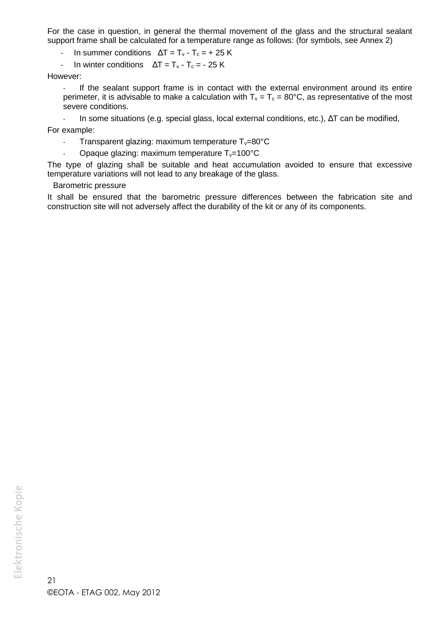For the case in question, in general the thermal movement of the glass and the structural sealant support frame shall be calculated for a temperature range as follows: (for symbols, see Annex 2)

In summer conditions  $UT = T_v - T_c = + 25 K$ 

- In winter conditions  $UT = T_v - T_c = -25$  K

However:

- If the sealant support frame is in contact with the external environment around its entire perimeter, it is advisable to make a calculation with  $T_v = T_c = 80^{\circ}$ C, as representative of the most severe conditions.

In some situations (e.g. special glass, local external conditions, etc.), UT can be modified, For example:

- Transparent glazing: maximum temperature  $T_v=80^{\circ}C$ 
	- Opaque glazing: maximum temperature  $T_v=100^{\circ}C$

The type of glazing shall be suitable and heat accumulation avoided to ensure that excessive temperature variations will not lead to any breakage of the glass.

#### Barometric pressure

It shall be ensured that the barometric pressure differences between the fabrication site and construction site will not adversely affect the durability of the kit or any of its components.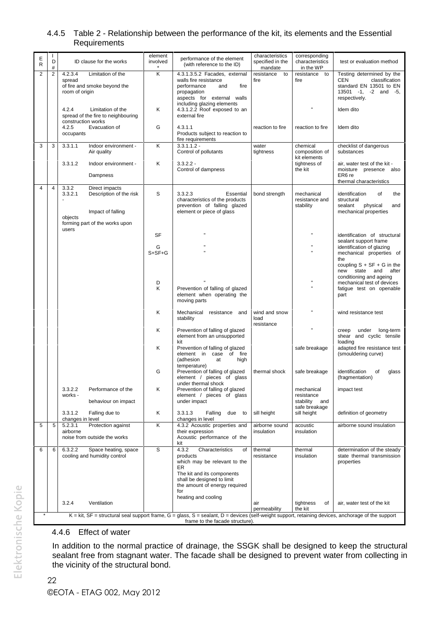#### 4.4.5 Table 2 - Relationship between the performance of the kit, its elements and the Essential **Requirements**

| Ε<br>R         | D              | ID clause for the works                                                                  | element<br>involved | performance of the element<br>(with reference to the ID)                                                                                                                                 | characteristics<br>specified in the<br>mandate | corresponding<br>characteristics<br>in the WP | test or evaluation method                                                                                              |
|----------------|----------------|------------------------------------------------------------------------------------------|---------------------|------------------------------------------------------------------------------------------------------------------------------------------------------------------------------------------|------------------------------------------------|-----------------------------------------------|------------------------------------------------------------------------------------------------------------------------|
| $\overline{2}$ | $\overline{2}$ | 4.2.3.4<br>Limitation of the<br>spread<br>of fire and smoke beyond the<br>room of origin | Κ                   | 4.3.1.3.5.2 Facades, external<br>walls fire resistance<br>performance<br>fire<br>and<br>propagation<br>aspects for external walls                                                        | resistance<br>to<br>fire                       | resistance to<br>fire                         | Testing determined by the<br>CEN<br>classification<br>standard EN 13501 to EN<br>13501 -1, -2 and -5,<br>respectively. |
|                |                | 4.2.4<br>Limitation of the<br>spread of the fire to neighbouring<br>construction works   | Κ                   | including glazing elements<br>4.3.1.2.2 Roof exposed to an<br>external fire                                                                                                              |                                                |                                               | Idem dito                                                                                                              |
|                |                | 4.2.5<br>Evacuation of<br>occupants                                                      | G                   | 4.3.1.1<br>Products subject to reaction to<br>fire requirements                                                                                                                          | reaction to fire                               | reaction to fire                              | Idem dito                                                                                                              |
| 3              | 3              | 3.3.1.1<br>Indoor environment -<br>Air quality                                           | Κ                   | $3.3.1.1.2 -$<br>Control of pollutants                                                                                                                                                   | water<br>tightness                             | chemical<br>composition of<br>kit elements    | checklist of dangerous<br>substances                                                                                   |
|                |                | 3.3.1.2<br>Indoor environment -<br>Dampness                                              | Κ                   | $3.3.2.2 -$<br>Control of dampness                                                                                                                                                       |                                                | tightness of<br>the kit                       | air, water test of the kit -<br>moisture presence also<br>ER6 re                                                       |
| $\overline{4}$ | $\overline{4}$ | 3.3.2<br>Direct impacts                                                                  |                     |                                                                                                                                                                                          |                                                |                                               | thermal characteristics                                                                                                |
|                |                | 3.3.2.1<br>Description of the risk<br>Impact of falling                                  | S                   | 3.3.2.3<br>Essential<br>characteristics of the products<br>prevention of falling glazed<br>element or piece of glass                                                                     | bond strength                                  | mechanical<br>resistance and<br>stability     | identification<br>of<br>the<br>structural<br>sealant<br>physical<br>and<br>mechanical properties                       |
|                |                | objects<br>forming part of the works upon                                                |                     |                                                                                                                                                                                          |                                                |                                               |                                                                                                                        |
|                |                | users                                                                                    | SF                  |                                                                                                                                                                                          |                                                |                                               | identification of structural                                                                                           |
|                |                |                                                                                          | G                   |                                                                                                                                                                                          |                                                |                                               | sealant support frame<br>identification of glazing                                                                     |
|                |                |                                                                                          | $S+SF+G$            |                                                                                                                                                                                          |                                                |                                               | mechanical properties of<br>the                                                                                        |
|                |                |                                                                                          |                     |                                                                                                                                                                                          |                                                |                                               | coupling $S + SF + G$ in the<br>new state and after<br>conditioning and ageing                                         |
|                |                |                                                                                          | D<br>K              | Prevention of falling of glazed<br>element when operating the<br>moving parts                                                                                                            |                                                |                                               | mechanical test of devices<br>fatigue test on openable<br>part                                                         |
|                |                |                                                                                          | Κ                   | Mechanical resistance and<br>stability                                                                                                                                                   | wind and snow<br>load<br>resistance            |                                               | wind resistance test                                                                                                   |
|                |                |                                                                                          | Κ                   | Prevention of falling of glazed<br>element from an unsupported<br>kit                                                                                                                    |                                                |                                               | under long-term<br>creep<br>shear and cyclic tensile<br>loading                                                        |
|                |                |                                                                                          | Κ                   | Prevention of falling of glazed<br>element in case of fire<br>(adhesion<br>at<br>high                                                                                                    |                                                | safe breakage                                 | adapted fire resistance test<br>(smouldering curve)                                                                    |
|                |                |                                                                                          | G                   | temperature)<br>Prevention of falling of glazed<br>element / pieces of glass                                                                                                             | thermal shock                                  | safe breakage                                 | identification<br>of<br>glass<br>(fragmentation)                                                                       |
|                |                | 3.3.2.2<br>Performance of the<br>works -                                                 | Κ                   | under thermal shock<br>Prevention of falling of glazed<br>element / pieces of glass                                                                                                      |                                                | mechanical<br>resistance                      | impact test                                                                                                            |
|                |                | behaviour on impact<br>3.3.1.2<br>Falling due to                                         | Κ                   | under impact<br>3.3.1.3<br>Falling<br>due to                                                                                                                                             | sill height                                    | stability and<br>safe breakage<br>sill height | definition of geometry                                                                                                 |
| 5              | 5              | changes in level<br>Protection against<br>5.2.3.1                                        | Κ                   | changes in level<br>4.3.2 Acoustic properties and                                                                                                                                        | airborne sound                                 | acoustic                                      | airborne sound insulation                                                                                              |
|                |                | airborne<br>noise from outside the works                                                 |                     | their expression<br>Acoustic performance of the<br>kit                                                                                                                                   | insulation                                     | insulation                                    |                                                                                                                        |
| 6              | 6              | 6.3.2.2<br>Space heating, space<br>cooling and humidity control                          | S                   | 4.3.2<br>Characteristics<br>of<br>products<br>which may be relevant to the                                                                                                               | thermal<br>resistance                          | thermal<br>insulation                         | determination of the steady<br>state thermal transmission<br>properties                                                |
|                |                |                                                                                          |                     | ER<br>The kit and its components<br>shall be designed to limit<br>the amount of energy required<br>for                                                                                   |                                                |                                               |                                                                                                                        |
|                |                |                                                                                          |                     | heating and cooling                                                                                                                                                                      |                                                |                                               |                                                                                                                        |
|                |                | 3.2.4<br>Ventilation                                                                     |                     |                                                                                                                                                                                          | air<br>permeability                            | tightness<br>of<br>the kit                    | air, water test of the kit                                                                                             |
| $\star$        |                |                                                                                          |                     | $K = k$ it, SF = structural seal support frame, G = glass, S = sealant, D = devices (self-weight support, retaining devices, anchorage of the support<br>frame to the facade structure). |                                                |                                               |                                                                                                                        |

#### 4.4.6 Effect of water

In addition to the normal practice of drainage, the SSGK shall be designed to keep the structural sealant free from stagnant water. The facade shall be designed to prevent water from collecting in the vicinity of the structural bond.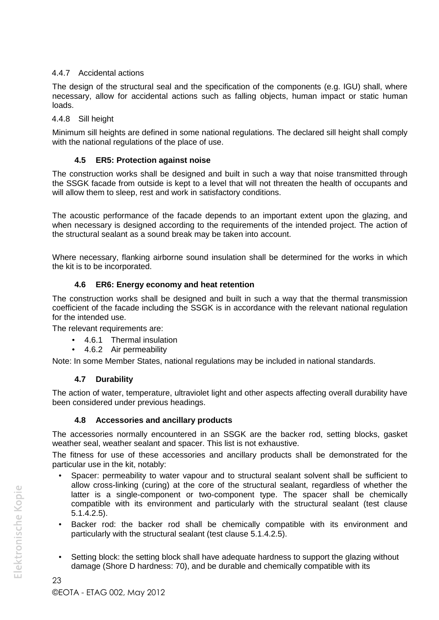# 4.4.7 Accidental actions

The design of the structural seal and the specification of the components (e.g. IGU) shall, where necessary, allow for accidental actions such as falling objects, human impact or static human loads.

#### 4.4.8 Sill height

Minimum sill heights are defined in some national regulations. The declared sill height shall comply with the national regulations of the place of use.

### **4.5 ER5: Protection against noise**

The construction works shall be designed and built in such a way that noise transmitted through the SSGK facade from outside is kept to a level that will not threaten the health of occupants and will allow them to sleep, rest and work in satisfactory conditions.

The acoustic performance of the facade depends to an important extent upon the glazing, and when necessary is designed according to the requirements of the intended project. The action of the structural sealant as a sound break may be taken into account.

Where necessary, flanking airborne sound insulation shall be determined for the works in which the kit is to be incorporated.

#### **4.6 ER6: Energy economy and heat retention**

The construction works shall be designed and built in such a way that the thermal transmission coefficient of the facade including the SSGK is in accordance with the relevant national regulation for the intended use.

The relevant requirements are:

- 4.6.1 Thermal insulation
- 4.6.2 Air permeability

Note: In some Member States, national regulations may be included in national standards.

# **4.7 Durability**

The action of water, temperature, ultraviolet light and other aspects affecting overall durability have been considered under previous headings.

#### **4.8 Accessories and ancillary products**

The accessories normally encountered in an SSGK are the backer rod, setting blocks, gasket weather seal, weather sealant and spacer. This list is not exhaustive.

The fitness for use of these accessories and ancillary products shall be demonstrated for the particular use in the kit, notably:

- Spacer: permeability to water vapour and to structural sealant solvent shall be sufficient to allow cross-linking (curing) at the core of the structural sealant, regardless of whether the latter is a single-component or two-component type. The spacer shall be chemically compatible with its environment and particularly with the structural sealant (test clause 5.1.4.2.5).
- Backer rod: the backer rod shall be chemically compatible with its environment and particularly with the structural sealant (test clause 5.1.4.2.5).
- Setting block: the setting block shall have adequate hardness to support the glazing without damage (Shore D hardness: 70), and be durable and chemically compatible with its

23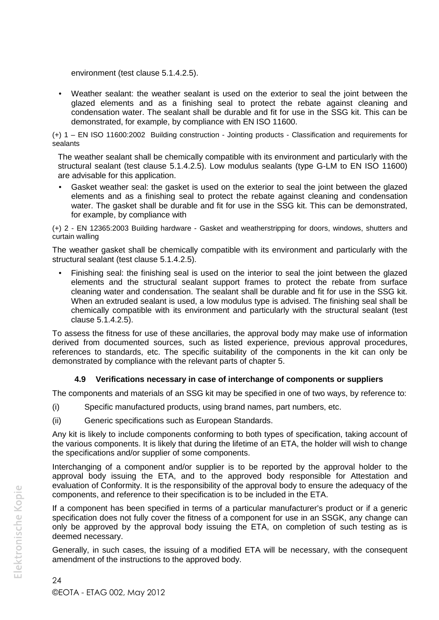environment (test clause 5.1.4.2.5).

 Weather sealant: the weather sealant is used on the exterior to seal the joint between the glazed elements and as a finishing seal to protect the rebate against cleaning and condensation water. The sealant shall be durable and fit for use in the SSG kit. This can be demonstrated, for example, by compliance with EN ISO 11600.

(+) 1 – EN ISO 11600:2002 Building construction - Jointing products - Classification and requirements for sealants

The weather sealant shall be chemically compatible with its environment and particularly with the structural sealant (test clause 5.1.4.2.5). Low modulus sealants (type G-LM to EN ISO 11600) are advisable for this application.

 Gasket weather seal: the gasket is used on the exterior to seal the joint between the glazed elements and as a finishing seal to protect the rebate against cleaning and condensation water. The gasket shall be durable and fit for use in the SSG kit. This can be demonstrated, for example, by compliance with

(+) 2 - EN 12365:2003 Building hardware - Gasket and weatherstripping for doors, windows, shutters and curtain walling

The weather gasket shall be chemically compatible with its environment and particularly with the structural sealant (test clause 5.1.4.2.5).

 Finishing seal: the finishing seal is used on the interior to seal the joint between the glazed elements and the structural sealant support frames to protect the rebate from surface cleaning water and condensation. The sealant shall be durable and fit for use in the SSG kit. When an extruded sealant is used, a low modulus type is advised. The finishing seal shall be chemically compatible with its environment and particularly with the structural sealant (test clause 5.1.4.2.5).

To assess the fitness for use of these ancillaries, the approval body may make use of information derived from documented sources, such as listed experience, previous approval procedures, references to standards, etc. The specific suitability of the components in the kit can only be demonstrated by compliance with the relevant parts of chapter 5.

# **4.9 Verifications necessary in case of interchange of components or suppliers**

The components and materials of an SSG kit may be specified in one of two ways, by reference to:

- (i) Specific manufactured products, using brand names, part numbers, etc.
- (ii) Generic specifications such as European Standards.

Any kit is likely to include components conforming to both types of specification, taking account of the various components. It is likely that during the lifetime of an ETA, the holder will wish to change the specifications and/or supplier of some components.

Interchanging of a component and/or supplier is to be reported by the approval holder to the approval body issuing the ETA, and to the approved body responsible for Attestation and evaluation of Conformity. It is the responsibility of the approval body to ensure the adequacy of the components, and reference to their specification is to be included in the ETA.

If a component has been specified in terms of a particular manufacturer's product or if a generic specification does not fully cover the fitness of a component for use in an SSGK, any change can only be approved by the approval body issuing the ETA, on completion of such testing as is deemed necessary.

Generally, in such cases, the issuing of a modified ETA will be necessary, with the consequent amendment of the instructions to the approved body.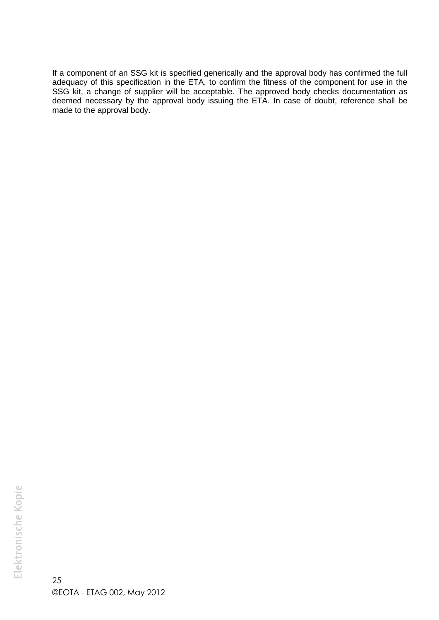If a component of an SSG kit is specified generically and the approval body has confirmed the full adequacy of this specification in the ETA, to confirm the fitness of the component for use in the SSG kit, a change of supplier will be acceptable. The approved body checks documentation as deemed necessary by the approval body issuing the ETA. In case of doubt, reference shall be made to the approval body.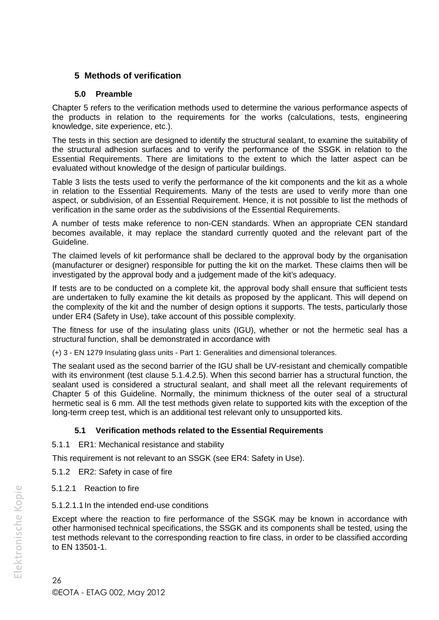# **5 Methods of verification**

#### **5.0 Preamble**

Chapter 5 refers to the verification methods used to determine the various performance aspects of the products in relation to the requirements for the works (calculations, tests, engineering knowledge, site experience, etc.).

The tests in this section are designed to identify the structural sealant, to examine the suitability of the structural adhesion surfaces and to verify the performance of the SSGK in relation to the Essential Requirements. There are limitations to the extent to which the latter aspect can be evaluated without knowledge of the design of particular buildings.

Table 3 lists the tests used to verify the performance of the kit components and the kit as a whole in relation to the Essential Requirements. Many of the tests are used to verify more than one aspect, or subdivision, of an Essential Requirement. Hence, it is not possible to list the methods of verification in the same order as the subdivisions of the Essential Requirements.

A number of tests make reference to non-CEN standards. When an appropriate CEN standard becomes available, it may replace the standard currently quoted and the relevant part of the Guideline.

The claimed levels of kit performance shall be declared to the approval body by the organisation (manufacturer or designer) responsible for putting the kit on the market. These claims then will be investigated by the approval body and a judgement made of the kit's adequacy.

If tests are to be conducted on a complete kit, the approval body shall ensure that sufficient tests are undertaken to fully examine the kit details as proposed by the applicant. This will depend on the complexity of the kit and the number of design options it supports. The tests, particularly those under ER4 (Safety in Use), take account of this possible complexity.

The fitness for use of the insulating glass units (IGU), whether or not the hermetic seal has a structural function, shall be demonstrated in accordance with

(+) 3 - EN 1279 Insulating glass units - Part 1: Generalities and dimensional tolerances.

The sealant used as the second barrier of the IGU shall be UV-resistant and chemically compatible with its environment (test clause 5.1.4.2.5). When this second barrier has a structural function, the sealant used is considered a structural sealant, and shall meet all the relevant requirements of Chapter 5 of this Guideline. Normally, the minimum thickness of the outer seal of a structural hermetic seal is 6 mm. All the test methods given relate to supported kits with the exception of the long-term creep test, which is an additional test relevant only to unsupported kits.

# **5.1 Verification methods related to the Essential Requirements**

5.1.1 ER1: Mechanical resistance and stability

This requirement is not relevant to an SSGK (see ER4: Safety in Use).

- 5.1.2 ER2: Safety in case of fire
- 5.1.2.1 Reaction to fire
- 5.1.2.1.1In the intended end-use conditions

Except where the reaction to fire performance of the SSGK may be known in accordance with other harmonised technical specifications, the SSGK and its components shall be tested, using the test methods relevant to the corresponding reaction to fire class, in order to be classified according to EN 13501-1.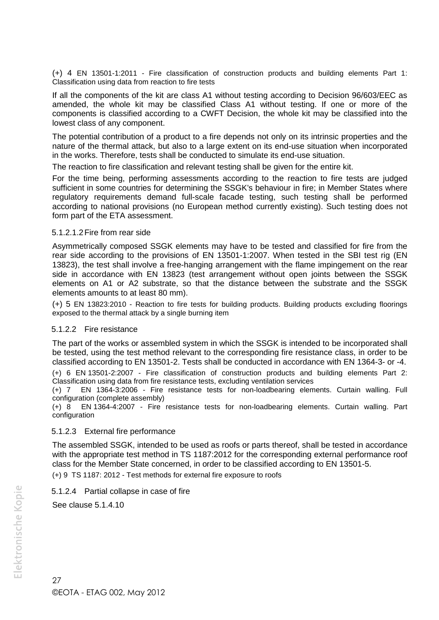(+) 4 EN 13501-1:2011 - Fire classification of construction products and building elements Part 1: Classification using data from reaction to fire tests

If all the components of the kit are class A1 without testing according to Decision 96/603/EEC as amended, the whole kit may be classified Class A1 without testing. If one or more of the components is classified according to a CWFT Decision, the whole kit may be classified into the lowest class of any component.

The potential contribution of a product to a fire depends not only on its intrinsic properties and the nature of the thermal attack, but also to a large extent on its end-use situation when incorporated in the works. Therefore, tests shall be conducted to simulate its end-use situation.

The reaction to fire classification and relevant testing shall be given for the entire kit.

For the time being, performing assessments according to the reaction to fire tests are judged sufficient in some countries for determining the SSGK's behaviour in fire; in Member States where regulatory requirements demand full-scale facade testing, such testing shall be performed according to national provisions (no European method currently existing). Such testing does not form part of the ETA assessment.

#### 5.1.2.1.2Fire from rear side

Asymmetrically composed SSGK elements may have to be tested and classified for fire from the rear side according to the provisions of EN 13501-1:2007. When tested in the SBI test rig (EN 13823), the test shall involve a free-hanging arrangement with the flame impingement on the rear side in accordance with EN 13823 (test arrangement without open joints between the SSGK elements on A1 or A2 substrate, so that the distance between the substrate and the SSGK elements amounts to at least 80 mm).

(+) 5 EN 13823:2010 - Reaction to fire tests for building products. Building products excluding floorings exposed to the thermal attack by a single burning item

#### 5.1.2.2 Fire resistance

The part of the works or assembled system in which the SSGK is intended to be incorporated shall be tested, using the test method relevant to the corresponding fire resistance class, in order to be classified according to EN 13501-2. Tests shall be conducted in accordance with EN 1364-3- or -4.

(+) 6 EN 13501-2:2007 - Fire classification of construction products and building elements Part 2: Classification using data from fire resistance tests, excluding ventilation services

(+) 7 EN 1364-3:2006 - Fire resistance tests for non-loadbearing elements. Curtain walling. Full configuration (complete assembly)

(+) 8 EN 1364-4:2007 - Fire resistance tests for non-loadbearing elements. Curtain walling. Part configuration

#### 5.1.2.3 External fire performance

The assembled SSGK, intended to be used as roofs or parts thereof, shall be tested in accordance with the appropriate test method in TS 1187:2012 for the corresponding external performance roof class for the Member State concerned, in order to be classified according to EN 13501-5.

(+) 9 TS 1187: 2012 - Test methods for external fire exposure to roofs

#### 5.1.2.4 Partial collapse in case of fire

See clause 5.1.4.10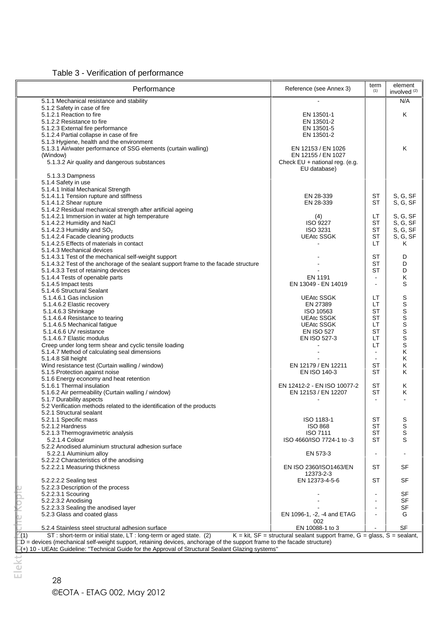Table 3 - Verification of performance

| Performance                                                                          | Reference (see Annex 3)          | term<br>(1)    | element<br>involved <sup>(2)</sup> |
|--------------------------------------------------------------------------------------|----------------------------------|----------------|------------------------------------|
| 5.1.1 Mechanical resistance and stability                                            |                                  |                | N/A                                |
| 5.1.2 Safety in case of fire                                                         |                                  |                |                                    |
| 5.1.2.1 Reaction to fire                                                             | EN 13501-1                       |                | Κ                                  |
| 5.1.2.2 Resistance to fire                                                           | EN 13501-2                       |                |                                    |
| 5.1.2.3 External fire performance                                                    | EN 13501-5                       |                |                                    |
| 5.1.2.4 Partial collapse in case of fire                                             | EN 13501-2                       |                |                                    |
| 5.1.3 Hygiene, health and the environment                                            |                                  |                |                                    |
| 5.1.3.1 Air/water performance of SSG elements (curtain walling)                      | EN 12153 / EN 1026               |                | K                                  |
| (Window)                                                                             | EN 12155 / EN 1027               |                |                                    |
| 5.1.3.2 Air quality and dangerous substances                                         | Check $EU$ + national reg. (e.g. |                |                                    |
|                                                                                      | EU database)                     |                |                                    |
| 5.1.3.3 Dampness                                                                     |                                  |                |                                    |
| 5.1.4 Safety in use                                                                  |                                  |                |                                    |
| 5.1.4.1 Initial Mechanical Strength                                                  |                                  |                |                                    |
| 5.1.4.1.1 Tension rupture and stiffness                                              | EN 28-339                        | ST             | S, G, SF                           |
| 5.1.4.1.2 Shear rupture                                                              | EN 28-339                        | ST             | S, G, SF                           |
| 5.1.4.2 Residual mechanical strength after artificial ageing                         |                                  |                |                                    |
| 5.1.4.2.1 Immersion in water at high temperature                                     | (4)                              | LТ             | S, G, SF                           |
| 5.1.4.2.2 Humidity and NaCl                                                          | <b>ISO 9227</b>                  | <b>ST</b>      | S, G, SF                           |
| 5.1.4.2.3 Humidity and $SO2$                                                         | ISO 3231                         | <b>ST</b>      | S, G, SF                           |
| 5.1.4.2.4 Facade cleaning products                                                   | <b>UEAtc SSGK</b>                | <b>ST</b>      | S, G, SF                           |
| 5.1.4.2.5 Effects of materials in contact                                            |                                  | LТ             | Κ                                  |
| 5.1.4.3 Mechanical devices                                                           |                                  |                |                                    |
| 5.1.4.3.1 Test of the mechanical self-weight support                                 |                                  | <b>ST</b>      | D                                  |
| 5.1.4.3.2 Test of the anchorage of the sealant support frame to the facade structure |                                  | <b>ST</b>      | D                                  |
| 5.1.4.3.3 Test of retaining devices                                                  |                                  | <b>ST</b>      | D                                  |
| 5.1.4.4 Tests of openable parts                                                      | EN 1191                          | $\blacksquare$ | Κ                                  |
|                                                                                      |                                  |                | S                                  |
| 5.1.4.5 Impact tests<br>5.1.4.6 Structural Sealant                                   | EN 13049 - EN 14019              |                |                                    |
|                                                                                      |                                  |                |                                    |
| 5.1.4.6.1 Gas inclusion                                                              | <b>UEAtc SSGK</b>                | LТ             | S                                  |
| 5.1.4.6.2 Elastic recovery                                                           | EN 27389                         | LT             | S                                  |
| 5.1.4.6.3 Shrinkage                                                                  | ISO 10563                        | <b>ST</b>      | S                                  |
| 5.1.4.6.4 Resistance to tearing                                                      | <b>UEAtc SSGK</b>                | <b>ST</b>      | S                                  |
| 5.1.4.6.5 Mechanical fatigue                                                         | <b>UEAtc SSGK</b>                | LT             | S                                  |
| 5.1.4.6.6 UV resistance                                                              | <b>EN ISO 527</b>                | <b>ST</b>      | S                                  |
| 5.1.4.6.7 Elastic modulus                                                            | EN ISO 527-3                     | LT             | $\mathbf S$                        |
| Creep under long term shear and cyclic tensile loading                               |                                  | LТ             | S                                  |
| 5.1.4.7 Method of calculating seal dimensions                                        |                                  | $\blacksquare$ | Κ                                  |
| 5.1.4.8 Sill height                                                                  |                                  | $\blacksquare$ | Κ                                  |
| Wind resistance test (Curtain walling / window)                                      | EN 12179 / EN 12211              | <b>ST</b>      | Κ                                  |
| 5.1.5 Protection against noise                                                       | EN ISO 140-3                     | <b>ST</b>      | Κ                                  |
| 5.1.6 Energy economy and heat retention                                              |                                  |                |                                    |
| 5.1.6.1 Thermal insulation                                                           | EN 12412-2 - EN ISO 10077-2      | ST             | Κ                                  |
| 5.1.6.2 Air permeability (Curtain walling / window)                                  | EN 12153 / EN 12207              | ST             | Κ                                  |
| 5.1.7 Durability aspects                                                             | $\overline{\phantom{a}}$         | $\sim$         | $\overline{a}$                     |
| 5.2 Verification methods related to the identification of the products               |                                  |                |                                    |
| 5.2.1 Structural sealant                                                             |                                  |                |                                    |
| 5.2.1.1 Specific mass                                                                | ISO 1183-1                       | ST             | S                                  |
| 5.2.1.2 Hardness                                                                     | <b>ISO 868</b>                   | <b>ST</b>      | S                                  |
| 5.2.1.3 Thermogravimetric analysis                                                   | ISO 7111                         | ST             | S                                  |
| 5.2.1.4 Colour                                                                       | ISO 4660/ISO 7724-1 to -3        | ST             | S                                  |
| 5.2.2 Anodised aluminium structural adhesion surface                                 |                                  |                |                                    |
| 5.2.2.1 Aluminium alloy                                                              | EN 573-3                         | $\blacksquare$ |                                    |
| 5.2.2.2 Characteristics of the anodising                                             |                                  |                |                                    |
| 5.2.2.2.1 Measuring thickness                                                        | EN ISO 2360/ISO1463/EN           | ST             | SF                                 |
|                                                                                      | 12373-2-3                        |                |                                    |
|                                                                                      |                                  |                |                                    |
| 5.2.2.2.2 Sealing test                                                               | EN 12373-4-5-6                   | ST             | SF                                 |
| 5.2.2.3 Description of the process                                                   |                                  |                |                                    |
| 5.2.2.3.1 Scouring                                                                   |                                  |                | SF                                 |
| 5.2.2.3.2 Anodising                                                                  |                                  |                | <b>SF</b>                          |
| 5.2.2.3.3 Sealing the anodised layer                                                 |                                  |                | SF                                 |
| 5.2.3 Glass and coated glass                                                         | EN 1096-1, -2, -4 and ETAG       |                | G                                  |
|                                                                                      | 002                              |                |                                    |
| 5.2.4 Stainless steel structural adhesion surface                                    | EN 10088-1 to 3                  |                | <b>SF</b>                          |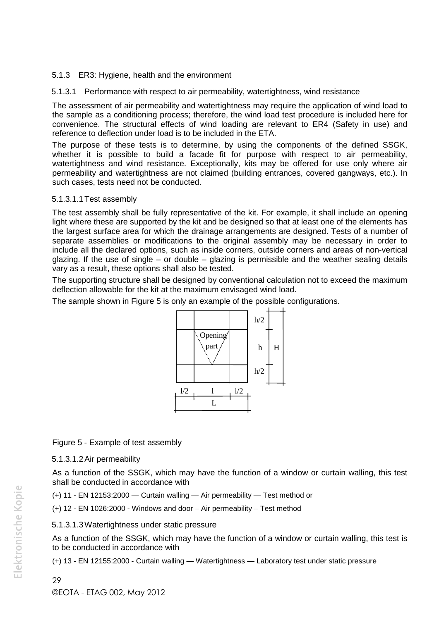#### 5.1.3 ER3: Hygiene, health and the environment

5.1.3.1 Performance with respect to air permeability, watertightness, wind resistance

The assessment of air permeability and watertightness may require the application of wind load to the sample as a conditioning process; therefore, the wind load test procedure is included here for convenience. The structural effects of wind loading are relevant to ER4 (Safety in use) and reference to deflection under load is to be included in the ETA.

The purpose of these tests is to determine, by using the components of the defined SSGK, whether it is possible to build a facade fit for purpose with respect to air permeability, watertightness and wind resistance. Exceptionally, kits may be offered for use only where air permeability and watertightness are not claimed (building entrances, covered gangways, etc.). In such cases, tests need not be conducted.

#### 5.1.3.1.1Test assembly

The test assembly shall be fully representative of the kit. For example, it shall include an opening light where these are supported by the kit and be designed so that at least one of the elements has the largest surface area for which the drainage arrangements are designed. Tests of a number of separate assemblies or modifications to the original assembly may be necessary in order to include all the declared options, such as inside corners, outside corners and areas of non-vertical glazing. If the use of single – or double – glazing is permissible and the weather sealing details vary as a result, these options shall also be tested.

The supporting structure shall be designed by conventional calculation not to exceed the maximum deflection allowable for the kit at the maximum envisaged wind load.

The sample shown in Figure 5 is only an example of the possible configurations.



# Figure 5 - Example of test assembly

5.1.3.1.2Air permeability

As a function of the SSGK, which may have the function of a window or curtain walling, this test shall be conducted in accordance with

(+) 11 - EN 12153:2000 — Curtain walling — Air permeability — Test method or

(+) 12 - EN 1026:2000 - Windows and door – Air permeability – Test method

#### 5.1.3.1.3Watertightness under static pressure

As a function of the SSGK, which may have the function of a window or curtain walling, this test is to be conducted in accordance with

(+) 13 - EN 12155:2000 - Curtain walling — Watertightness — Laboratory test under static pressure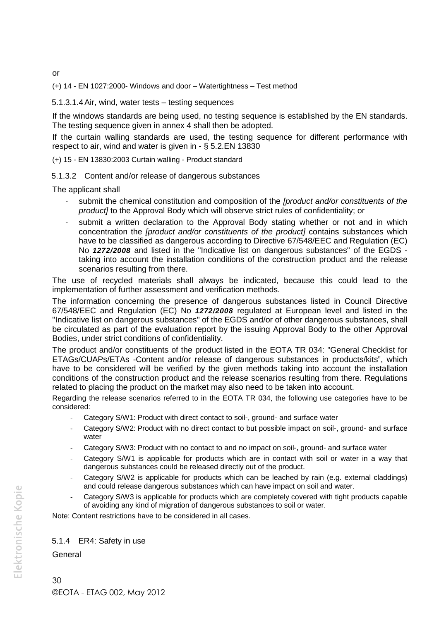or

(+) 14 - EN 1027:2000- Windows and door – Watertightness – Test method

#### 5.1.3.1.4Air, wind, water tests – testing sequences

If the windows standards are being used, no testing sequence is established by the EN standards. The testing sequence given in annex 4 shall then be adopted.

If the curtain walling standards are used, the testing sequence for different performance with respect to air, wind and water is given in - § 5.2.EN 13830

(+) 15 - EN 13830:2003 Curtain walling - Product standard

5.1.3.2 Content and/or release of dangerous substances

The applicant shall

- submit the chemical constitution and composition of the *[product and/or constituents of the product]* to the Approval Body which will observe strict rules of confidentiality; or
- submit a written declaration to the Approval Body stating whether or not and in which concentration the *[product and/or constituents of the product]* contains substances which have to be classified as dangerous according to Directive 67/548/EEC and Regulation (EC) No *1272/2008* and listed in the "Indicative list on dangerous substances" of the EGDS taking into account the installation conditions of the construction product and the release scenarios resulting from there.

The use of recycled materials shall always be indicated, because this could lead to the implementation of further assessment and verification methods.

The information concerning the presence of dangerous substances listed in Council Directive 67/548/EEC and Regulation (EC) No *1272/2008* regulated at European level and listed in the "Indicative list on dangerous substances" of the EGDS and/or of other dangerous substances, shall be circulated as part of the evaluation report by the issuing Approval Body to the other Approval Bodies, under strict conditions of confidentiality.

The product and/or constituents of the product listed in the EOTA TR 034: "General Checklist for ETAGs/CUAPs/ETAs -Content and/or release of dangerous substances in products/kits", which have to be considered will be verified by the given methods taking into account the installation conditions of the construction product and the release scenarios resulting from there. Regulations related to placing the product on the market may also need to be taken into account.

Regarding the release scenarios referred to in the EOTA TR 034, the following use categories have to be considered:

- Category S/W1: Product with direct contact to soil-, ground- and surface water
- Category S/W2: Product with no direct contact to but possible impact on soil-, ground- and surface water
- Category S/W3: Product with no contact to and no impact on soil-, ground- and surface water
- Category S/W1 is applicable for products which are in contact with soil or water in a way that dangerous substances could be released directly out of the product.
- Category S/W2 is applicable for products which can be leached by rain (e.g. external claddings) and could release dangerous substances which can have impact on soil and water.
- Category S/W3 is applicable for products which are completely covered with tight products capable of avoiding any kind of migration of dangerous substances to soil or water.

Note: Content restrictions have to be considered in all cases.

#### 5.1.4 ER4: Safety in use

General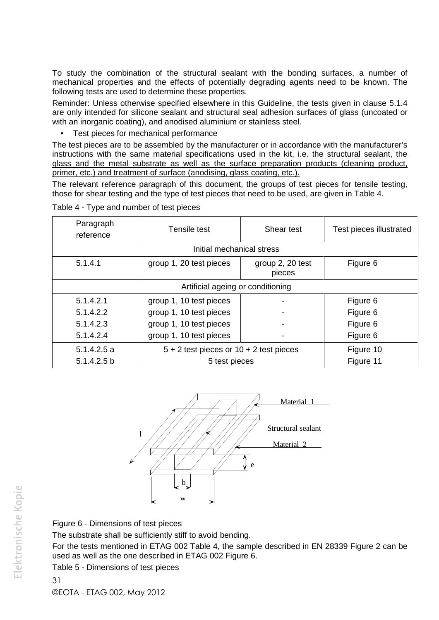To study the combination of the structural sealant with the bonding surfaces, a number of mechanical properties and the effects of potentially degrading agents need to be known. The following tests are used to determine these properties.

Reminder: Unless otherwise specified elsewhere in this Guideline, the tests given in clause 5.1.4 are only intended for silicone sealant and structural seal adhesion surfaces of glass (uncoated or with an inorganic coating), and anodised aluminium or stainless steel.

Test pieces for mechanical performance

The test pieces are to be assembled by the manufacturer or in accordance with the manufacturer's instructions with the same material specifications used in the kit, i.e. the structural sealant, the glass and the metal substrate as well as the surface preparation products (cleaning product, primer, etc.) and treatment of surface (anodising, glass coating, etc.).

The relevant reference paragraph of this document, the groups of test pieces for tensile testing, those for shear testing and the type of test pieces that need to be used, are given in Table 4.

| Paragraph<br>reference | Tensile test                                | Shear test                 | Test pieces illustrated |
|------------------------|---------------------------------------------|----------------------------|-------------------------|
|                        | Initial mechanical stress                   |                            |                         |
| 5.1.4.1                | group 1, 20 test pieces                     | group 2, 20 test<br>pieces | Figure 6                |
|                        | Artificial ageing or conditioning           |                            |                         |
| 5.1.4.2.1              | group 1, 10 test pieces                     |                            | Figure 6                |
| 5.1.4.2.2              | group 1, 10 test pieces                     |                            | Figure 6                |
| 5.1.4.2.3              | group 1, 10 test pieces                     |                            | Figure 6                |
| 5.1.4.2.4              | group 1, 10 test pieces                     |                            | Figure 6                |
| 5.1.4.2.5a             | $5 + 2$ test pieces or $10 + 2$ test pieces |                            | Figure 10               |
| 5.1.4.2.5 b            | 5 test pieces                               |                            | Figure 11               |

Table 4 - Type and number of test pieces



Figure 6 - Dimensions of test pieces

The substrate shall be sufficiently stiff to avoid bending.

For the tests mentioned in ETAG 002 Table 4, the sample described in EN 28339 Figure 2 can be used as well as the one described in ETAG 002 Figure 6.

Table 5 - Dimensions of test pieces

31

©EOTA - ETAG 002, May 2012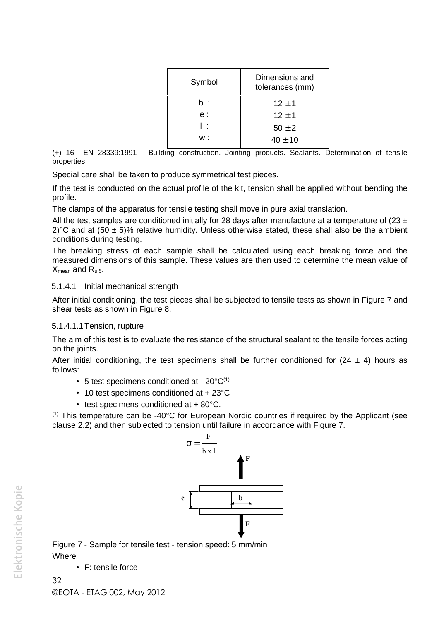| Dimensions and<br>tolerances (mm) |
|-----------------------------------|
| $12 \pm 1$                        |
| $12 + 1$                          |
| $50 \pm 2$                        |
| $40 \pm 10$                       |
|                                   |

(+) 16 EN 28339:1991 - Building construction. Jointing products. Sealants. Determination of tensile properties

Special care shall be taken to produce symmetrical test pieces.

If the test is conducted on the actual profile of the kit, tension shall be applied without bending the profile.

The clamps of the apparatus for tensile testing shall move in pure axial translation.

All the test samples are conditioned initially for 28 days after manufacture at a temperature of (23  $\pm$ 2)°C and at (50  $\pm$  5)% relative humidity. Unless otherwise stated, these shall also be the ambient conditions during testing.

The breaking stress of each sample shall be calculated using each breaking force and the measured dimensions of this sample. These values are then used to determine the mean value of  $X_{mean}$  and  $R_{u,5}$ .

#### 5.1.4.1 Initial mechanical strength

After initial conditioning, the test pieces shall be subjected to tensile tests as shown in Figure 7 and shear tests as shown in Figure 8.

#### 5.1.4.1.1Tension, rupture

The aim of this test is to evaluate the resistance of the structural sealant to the tensile forces acting on the joints.

After initial conditioning, the test specimens shall be further conditioned for  $(24 \pm 4)$  hours as follows:

- $\bullet$  5 test specimens conditioned at 20 $^{\circ}$ C<sup>(1)</sup>
- $\bullet$  10 test specimens conditioned at + 23 $^{\circ}$ C
- test specimens conditioned at  $+80^{\circ}$ C.

 $(1)$  This temperature can be -40°C for European Nordic countries if required by the Applicant (see clause 2.2) and then subjected to tension until failure in accordance with Figure 7.



Figure 7 - Sample for tensile test - tension speed: 5 mm/min **Where** 

F: tensile force

32 ©EOTA - ETAG 002, May 2012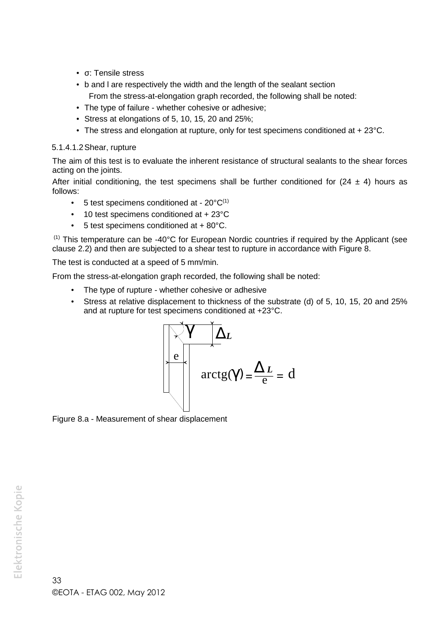- σ: Tensile stress
- b and l are respectively the width and the length of the sealant section From the stress-at-elongation graph recorded, the following shall be noted:
- The type of failure whether cohesive or adhesive;
- $\bullet$  Stress at elongations of 5, 10, 15, 20 and 25%;
- The stress and elongation at rupture, only for test specimens conditioned at + 23°C.

#### 5.1.4.1.2Shear, rupture

The aim of this test is to evaluate the inherent resistance of structural sealants to the shear forces acting on the joints.

After initial conditioning, the test specimens shall be further conditioned for  $(24 \pm 4)$  hours as follows:

- $\bullet$  5 test specimens conditioned at 20 $^{\circ}$ C<sup>(1)</sup>
- 10 test specimens conditioned at + 23°C
- 5 test specimens conditioned at + 80°C.

(1) This temperature can be -40°C for European Nordic countries if required by the Applicant (see clause 2.2) and then are subjected to a shear test to rupture in accordance with Figure 8.

The test is conducted at a speed of 5 mm/min.

From the stress-at-elongation graph recorded, the following shall be noted:

- The type of rupture whether cohesive or adhesive
- Stress at relative displacement to thickness of the substrate (d) of 5, 10, 15, 20 and 25% and at rupture for test specimens conditioned at +23°C.



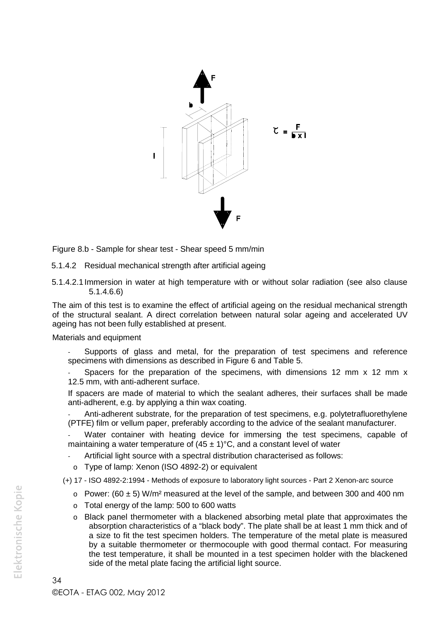

Figure 8.b - Sample for shear test - Shear speed 5 mm/min

5.1.4.2 Residual mechanical strength after artificial ageing

5.1.4.2.1Immersion in water at high temperature with or without solar radiation (see also clause 5.1.4.6.6)

The aim of this test is to examine the effect of artificial ageing on the residual mechanical strength of the structural sealant. A direct correlation between natural solar ageing and accelerated UV ageing has not been fully established at present.

#### Materials and equipment

Supports of glass and metal, for the preparation of test specimens and reference specimens with dimensions as described in Figure 6 and Table 5.

Spacers for the preparation of the specimens, with dimensions 12 mm  $x$  12 mm  $x$ 12.5 mm, with anti-adherent surface.

If spacers are made of material to which the sealant adheres, their surfaces shall be made anti-adherent, e.g. by applying a thin wax coating.

Anti-adherent substrate, for the preparation of test specimens, e.g. polytetrafluorethylene (PTFE) film or vellum paper, preferably according to the advice of the sealant manufacturer.

Water container with heating device for immersing the test specimens, capable of maintaining a water temperature of  $(45 \pm 1)$ °C, and a constant level of water

- Artificial light source with a spectral distribution characterised as follows:
- o Type of lamp: Xenon (ISO 4892-2) or equivalent
- (+) 17 ISO 4892-2:1994 Methods of exposure to laboratory light sources Part 2 Xenon-arc source
	- $\circ$  Power: (60  $\pm$  5) W/m<sup>2</sup> measured at the level of the sample, and between 300 and 400 nm
	- o Total energy of the lamp: 500 to 600 watts
	- o Black panel thermometer with a blackened absorbing metal plate that approximates the absorption characteristics of a "black body". The plate shall be at least 1 mm thick and of a size to fit the test specimen holders. The temperature of the metal plate is measured by a suitable thermometer or thermocouple with good thermal contact. For measuring the test temperature, it shall be mounted in a test specimen holder with the blackened side of the metal plate facing the artificial light source.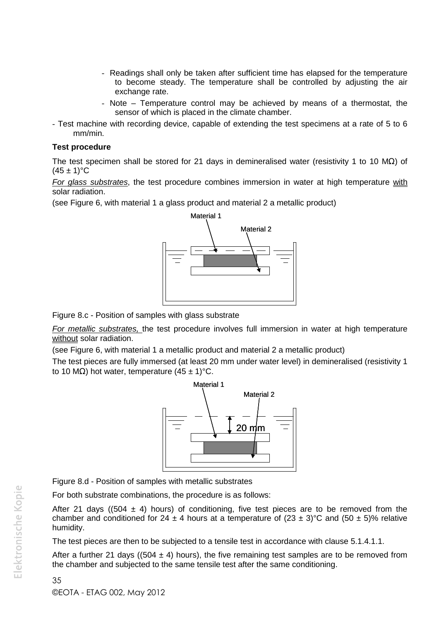- Readings shall only be taken after sufficient time has elapsed for the temperature to become steady. The temperature shall be controlled by adjusting the air exchange rate.
- Note Temperature control may be achieved by means of a thermostat, the sensor of which is placed in the climate chamber.
- Test machine with recording device, capable of extending the test specimens at a rate of 5 to 6 mm/min.

#### **Test procedure**

The test specimen shall be stored for 21 days in demineralised water (resistivity 1 to 10 M $\Omega$ ) of  $(45 \pm 1)$ °C

*For glass substrates*, the test procedure combines immersion in water at high temperature with solar radiation.

(see Figure 6, with material 1 a glass product and material 2 a metallic product)



Figure 8.c - Position of samples with glass substrate

*For metallic substrates,* the test procedure involves full immersion in water at high temperature without solar radiation.

(see Figure 6, with material 1 a metallic product and material 2 a metallic product)

The test pieces are fully immersed (at least 20 mm under water level) in demineralised (resistivity 1 to 10 M $\Omega$ ) hot water, temperature (45 ± 1)°C.



Figure 8.d - Position of samples with metallic substrates

For both substrate combinations, the procedure is as follows:

After 21 days ((504  $\pm$  4) hours) of conditioning, five test pieces are to be removed from the chamber and conditioned for 24  $\pm$  4 hours at a temperature of (23  $\pm$  3)°C and (50  $\pm$  5)% relative humidity.

The test pieces are then to be subjected to a tensile test in accordance with clause 5.1.4.1.1.

After a further 21 days ((504  $\pm$  4) hours), the five remaining test samples are to be removed from the chamber and subjected to the same tensile test after the same conditioning.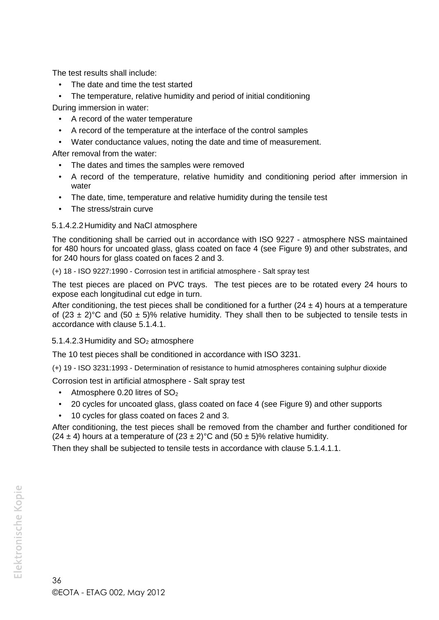The test results shall include:

- The date and time the test started
- The temperature, relative humidity and period of initial conditioning

During immersion in water:

- A record of the water temperature
- A record of the temperature at the interface of the control samples
- Water conductance values, noting the date and time of measurement.

After removal from the water:

- The dates and times the samples were removed
- A record of the temperature, relative humidity and conditioning period after immersion in water
- The date, time, temperature and relative humidity during the tensile test
- The stress/strain curve

#### 5.1.4.2.2Humidity and NaCl atmosphere

The conditioning shall be carried out in accordance with ISO 9227 - atmosphere NSS maintained for 480 hours for uncoated glass, glass coated on face 4 (see Figure 9) and other substrates, and for 240 hours for glass coated on faces 2 and 3.

(+) 18 - ISO 9227:1990 - Corrosion test in artificial atmosphere - Salt spray test

The test pieces are placed on PVC trays. The test pieces are to be rotated every 24 hours to expose each longitudinal cut edge in turn.

After conditioning, the test pieces shall be conditioned for a further  $(24 \pm 4)$  hours at a temperature of  $(23 \pm 2)$ °C and  $(50 \pm 5)$ % relative humidity. They shall then to be subjected to tensile tests in accordance with clause 5.1.4.1.

#### 5.1.4.2.3 Humidity and SO<sub>2</sub> atmosphere

The 10 test pieces shall be conditioned in accordance with ISO 3231.

(+) 19 - ISO 3231:1993 - Determination of resistance to humid atmospheres containing sulphur dioxide

Corrosion test in artificial atmosphere - Salt spray test

- $\bullet$  Atmosphere 0.20 litres of  $SO<sub>2</sub>$
- 20 cycles for uncoated glass, glass coated on face 4 (see Figure 9) and other supports
- 10 cycles for glass coated on faces 2 and 3.

After conditioning, the test pieces shall be removed from the chamber and further conditioned for (24  $\pm$  4) hours at a temperature of (23  $\pm$  2)°C and (50  $\pm$  5)% relative humidity.

Then they shall be subjected to tensile tests in accordance with clause 5.1.4.1.1.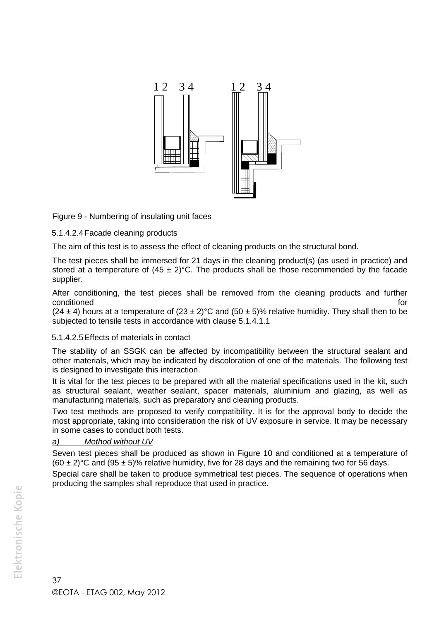

Figure 9 - Numbering of insulating unit faces

5.1.4.2.4Facade cleaning products

The aim of this test is to assess the effect of cleaning products on the structural bond.

The test pieces shall be immersed for 21 days in the cleaning product(s) (as used in practice) and stored at a temperature of  $(45 \pm 2)$ °C. The products shall be those recommended by the facade supplier.

After conditioning, the test pieces shall be removed from the cleaning products and further conditioned to the conditioned for the conditioned for the conditioned for the conditioned for the conditioned

(24  $\pm$  4) hours at a temperature of (23  $\pm$  2)°C and (50  $\pm$  5)% relative humidity. They shall then to be subjected to tensile tests in accordance with clause 5.1.4.1.1

## 5.1.4.2.5Effects of materials in contact

The stability of an SSGK can be affected by incompatibility between the structural sealant and other materials, which may be indicated by discoloration of one of the materials. The following test is designed to investigate this interaction.

It is vital for the test pieces to be prepared with all the material specifications used in the kit, such as structural sealant, weather sealant, spacer materials, aluminium and glazing, as well as manufacturing materials, such as preparatory and cleaning products.

Two test methods are proposed to verify compatibility. It is for the approval body to decide the most appropriate, taking into consideration the risk of UV exposure in service. It may be necessary in some cases to conduct both tests.

## *a) Method without UV*

Seven test pieces shall be produced as shown in Figure 10 and conditioned at a temperature of  $(60 \pm 2)$ °C and  $(95 \pm 5)$ % relative humidity, five for 28 days and the remaining two for 56 days.

Special care shall be taken to produce symmetrical test pieces. The sequence of operations when producing the samples shall reproduce that used in practice.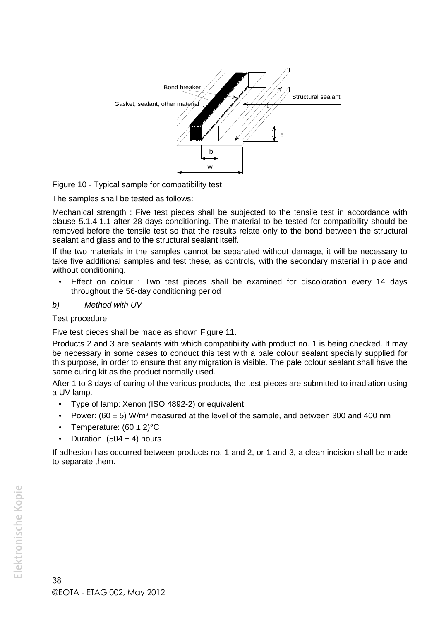

Figure 10 - Typical sample for compatibility test

The samples shall be tested as follows:

Mechanical strength : Five test pieces shall be subjected to the tensile test in accordance with clause 5.1.4.1.1 after 28 days conditioning. The material to be tested for compatibility should be removed before the tensile test so that the results relate only to the bond between the structural sealant and glass and to the structural sealant itself.

If the two materials in the samples cannot be separated without damage, it will be necessary to take five additional samples and test these, as controls, with the secondary material in place and without conditioning.

 Effect on colour : Two test pieces shall be examined for discoloration every 14 days throughout the 56-day conditioning period

#### *b) Method with UV*

#### Test procedure

Five test pieces shall be made as shown Figure 11.

Products 2 and 3 are sealants with which compatibility with product no. 1 is being checked. It may be necessary in some cases to conduct this test with a pale colour sealant specially supplied for this purpose, in order to ensure that any migration is visible. The pale colour sealant shall have the same curing kit as the product normally used.

After 1 to 3 days of curing of the various products, the test pieces are submitted to irradiation using a UV lamp.

- Type of lamp: Xenon (ISO 4892-2) or equivalent
- Power: (60  $\pm$  5) W/m<sup>2</sup> measured at the level of the sample, and between 300 and 400 nm
- Temperature:  $(60 \pm 2)$ °C
- Duration:  $(504 \pm 4)$  hours

If adhesion has occurred between products no. 1 and 2, or 1 and 3, a clean incision shall be made to separate them.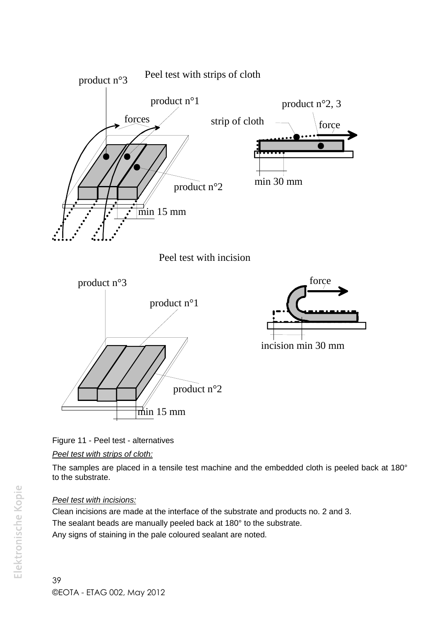



The samples are placed in a tensile test machine and the embedded cloth is peeled back at 180° to the substrate.

# *Peel test with incisions:*

Clean incisions are made at the interface of the substrate and products no. 2 and 3. The sealant beads are manually peeled back at 180° to the substrate. Any signs of staining in the pale coloured sealant are noted.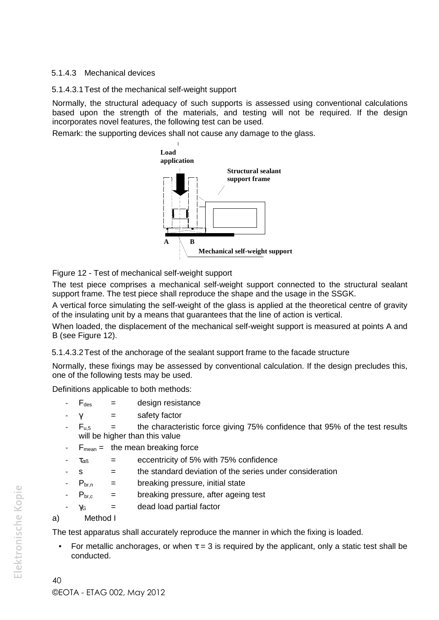## 5.1.4.3 Mechanical devices

5.1.4.3.1Test of the mechanical self-weight support

Normally, the structural adequacy of such supports is assessed using conventional calculations based upon the strength of the materials, and testing will not be required. If the design incorporates novel features, the following test can be used.

Remark: the supporting devices shall not cause any damage to the glass.



Figure 12 - Test of mechanical self-weight support

The test piece comprises a mechanical self-weight support connected to the structural sealant support frame. The test piece shall reproduce the shape and the usage in the SSGK.

A vertical force simulating the self-weight of the glass is applied at the theoretical centre of gravity of the insulating unit by a means that guarantees that the line of action is vertical.

When loaded, the displacement of the mechanical self-weight support is measured at points A and B (see Figure 12).

5.1.4.3.2Test of the anchorage of the sealant support frame to the facade structure

Normally, these fixings may be assessed by conventional calculation. If the design precludes this, one of the following tests may be used.

Definitions applicable to both methods:

- $F_{des}$  = design resistance
- $\gamma$  = safety factor
- $F_{u,5}$  = the characteristic force giving 75% confidence that 95% of the test results will be higher than this value
- $F_{mean} =$  the mean breaking force
- $\tau_{\alpha\beta}$  = eccentricity of 5% with 75% confidence
	- $s =$  the standard deviation of the series under consideration
- $P_{\text{brn}} =$  breaking pressure, initial state
- $P_{\text{br.c}}$  = breaking pressure, after ageing test
- $v<sub>G</sub>$  = dead load partial factor
- a) Method I

The test apparatus shall accurately reproduce the manner in which the fixing is loaded.

For metallic anchorages, or when  $\tau = 3$  is required by the applicant, only a static test shall be conducted.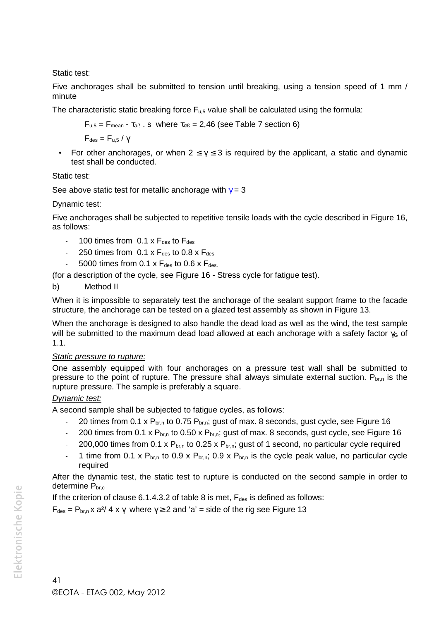Static test:

Five anchorages shall be submitted to tension until breaking, using a tension speed of 1 mm / minute

The characteristic static breaking force  $F_{\mu,5}$  value shall be calculated using the formula:

$$
F_{u,5} = F_{mean} - \tau_{aB} \cdot s \text{ where } \tau_{\alpha B} = 2,46 \text{ (see Table 7 section 6)}
$$

 $F_{des} = F_{us}/v$ 

For other anchorages, or when  $2 \le \gamma \le 3$  is required by the applicant, a static and dynamic test shall be conducted.

Static test:

See above static test for metallic anchorage with  $\gamma = 3$ 

Dynamic test:

Five anchorages shall be subjected to repetitive tensile loads with the cycle described in Figure 16, as follows:

- 100 times from  $0.1 \times F_{des}$  to  $F_{des}$
- 250 times from  $0.1 \times F_{des}$  to  $0.8 \times F_{des}$
- 5000 times from 0.1 x  $F_{des}$  to 0.6 x  $F_{des}$ .

(for a description of the cycle, see Figure 16 - Stress cycle for fatigue test).

b) Method II

When it is impossible to separately test the anchorage of the sealant support frame to the facade structure, the anchorage can be tested on a glazed test assembly as shown in Figure 13.

When the anchorage is designed to also handle the dead load as well as the wind, the test sample will be submitted to the maximum dead load allowed at each anchorage with a safety factor  $\gamma_G$  of 1.1.

#### *Static pressure to rupture:*

One assembly equipped with four anchorages on a pressure test wall shall be submitted to pressure to the point of rupture. The pressure shall always simulate external suction.  $P_{\text{b}_r,n}$  is the rupture pressure. The sample is preferably a square.

#### *Dynamic test:*

A second sample shall be subjected to fatigue cycles, as follows:

- 20 times from 0.1 x  $P_{b r,n}$  to 0.75  $P_{b r,n}$ ; gust of max. 8 seconds, gust cycle, see Figure 16
- 200 times from 0.1 x  $P_{b r,n}$  to 0.50 x  $P_{b r,n}$ ; gust of max. 8 seconds, gust cycle, see Figure 16
- 200,000 times from 0.1 x  $P_{b r,n}$  to 0.25 x  $P_{b r,n}$ ; gust of 1 second, no particular cycle required
- 1 time from 0.1 x  $P_{b r,n}$  to 0.9 x  $P_{b r,n}$ ; 0.9 x  $P_{b r,n}$  is the cycle peak value, no particular cycle required

After the dynamic test, the static test to rupture is conducted on the second sample in order to determine P<sub>br,c</sub>

If the criterion of clause  $6.1.4.3.2$  of table 8 is met,  $F_{des}$  is defined as follows:

 $F_{des} = P_{br,n} x a^{2}/ 4 x \gamma$  where  $\gamma \ge 2$  and 'a' = side of the rig see Figure 13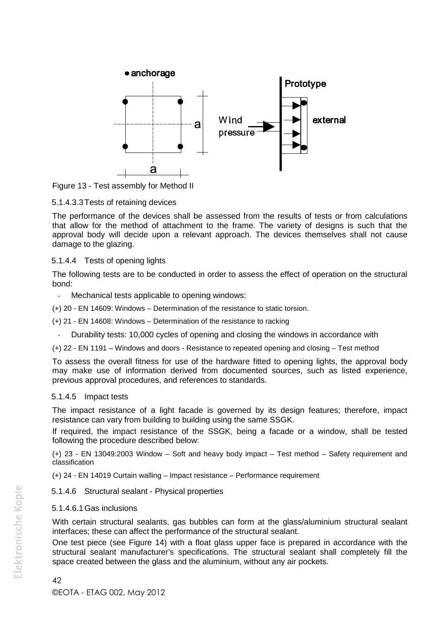

Figure 13 - Test assembly for Method II

5.1.4.3.3Tests of retaining devices

The performance of the devices shall be assessed from the results of tests or from calculations that allow for the method of attachment to the frame. The variety of designs is such that the approval body will decide upon a relevant approach. The devices themselves shall not cause damage to the glazing.

#### 5.1.4.4 Tests of opening lights

The following tests are to be conducted in order to assess the effect of operation on the structural bond:

- Mechanical tests applicable to opening windows:
- (+) 20 EN 14609: Windows Determination of the resistance to static torsion.
- (+) 21 EN 14608: Windows Determination of the resistance to racking
	- Durability tests: 10,000 cycles of opening and closing the windows in accordance with
- (+) 22 EN 1191 Windows and doors Resistance to repeated opening and closing Test method

To assess the overall fitness for use of the hardware fitted to opening lights, the approval body may make use of information derived from documented sources, such as listed experience, previous approval procedures, and references to standards.

#### 5.1.4.5 Impact tests

The impact resistance of a light facade is governed by its design features; therefore, impact resistance can vary from building to building using the same SSGK.

If required, the impact resistance of the SSGK, being a facade or a window, shall be tested following the procedure described below:

(+) 23 - EN 13049:2003 Window – Soft and heavy body impact – Test method – Safety requirement and classification

(+) 24 - EN 14019 Curtain walling – Impact resistance – Performance requirement

#### 5.1.4.6 Structural sealant - Physical properties

#### 5.1.4.6.1Gas inclusions

With certain structural sealants, gas bubbles can form at the glass/aluminium structural sealant interfaces; these can affect the performance of the structural sealant.

One test piece (see Figure 14) with a float glass upper face is prepared in accordance with the structural sealant manufacturer's specifications. The structural sealant shall completely fill the space created between the glass and the aluminium, without any air pockets.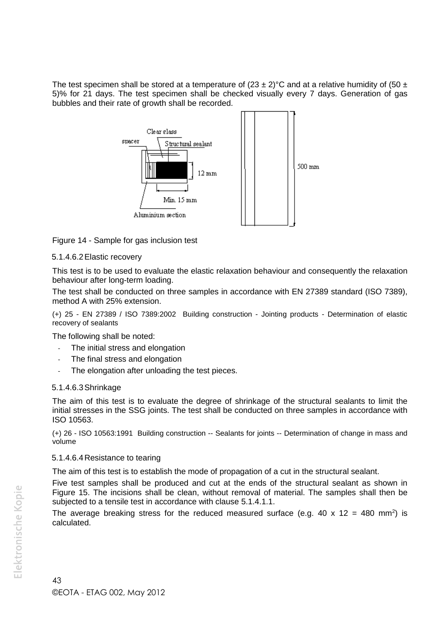The test specimen shall be stored at a temperature of  $(23 \pm 2)$ °C and at a relative humidity of  $(50 \pm 1)$ 5)% for 21 days. The test specimen shall be checked visually every 7 days. Generation of gas bubbles and their rate of growth shall be recorded.



Figure 14 - Sample for gas inclusion test

#### 5.1.4.6.2Elastic recovery

This test is to be used to evaluate the elastic relaxation behaviour and consequently the relaxation behaviour after long-term loading.

The test shall be conducted on three samples in accordance with EN 27389 standard (ISO 7389), method A with 25% extension.

(+) 25 - EN 27389 / ISO 7389:2002 Building construction - Jointing products - Determination of elastic recovery of sealants

The following shall be noted:

- The initial stress and elongation
- The final stress and elongation
- The elongation after unloading the test pieces.

#### 5.1.4.6.3Shrinkage

The aim of this test is to evaluate the degree of shrinkage of the structural sealants to limit the initial stresses in the SSG joints. The test shall be conducted on three samples in accordance with ISO 10563.

(+) 26 - ISO 10563:1991 Building construction -- Sealants for joints -- Determination of change in mass and volume

#### 5.1.4.6.4Resistance to tearing

The aim of this test is to establish the mode of propagation of a cut in the structural sealant.

Five test samples shall be produced and cut at the ends of the structural sealant as shown in Figure 15. The incisions shall be clean, without removal of material. The samples shall then be subjected to a tensile test in accordance with clause 5.1.4.1.1.

The average breaking stress for the reduced measured surface (e.g. 40 x 12 = 480 mm<sup>2</sup>) is calculated.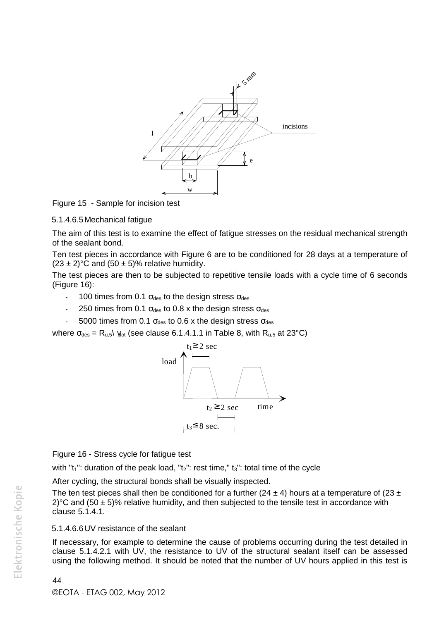

Figure 15 - Sample for incision test

#### 5.1.4.6.5Mechanical fatigue

The aim of this test is to examine the effect of fatigue stresses on the residual mechanical strength of the sealant bond.

Ten test pieces in accordance with Figure 6 are to be conditioned for 28 days at a temperature of  $(23 \pm 2)$ °C and  $(50 \pm 5)$ % relative humidity.

The test pieces are then to be subjected to repetitive tensile loads with a cycle time of 6 seconds (Figure 16):

- 100 times from 0.1  $\sigma_{des}$  to the design stress  $\sigma_{des}$
- 250 times from 0.1  $\sigma_{des}$  to 0.8 x the design stress  $\sigma_{des}$
- 5000 times from 0.1  $\sigma_{des}$  to 0.6 x the design stress  $\sigma_{des}$

where  $\sigma_{des} = R_{u,5} \gamma_{tot}$  (see clause 6.1.4.1.1 in Table 8, with  $R_{u,5}$  at 23°C)



Figure 16 - Stress cycle for fatigue test

with " $t_1$ ": duration of the peak load, " $t_2$ ": rest time,"  $t_3$ ": total time of the cycle

After cycling, the structural bonds shall be visually inspected.

The ten test pieces shall then be conditioned for a further (24  $\pm$  4) hours at a temperature of (23  $\pm$ 2) °C and (50  $\pm$  5)% relative humidity, and then subjected to the tensile test in accordance with clause 5.1.4.1.

#### 5.1.4.6.6UV resistance of the sealant

If necessary, for example to determine the cause of problems occurring during the test detailed in clause 5.1.4.2.1 with UV, the resistance to UV of the structural sealant itself can be assessed using the following method. It should be noted that the number of UV hours applied in this test is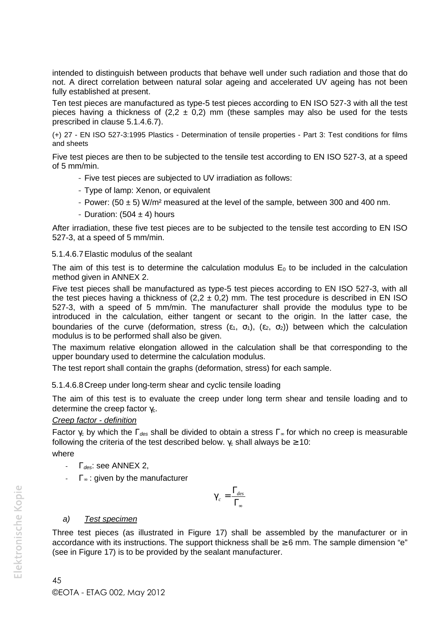intended to distinguish between products that behave well under such radiation and those that do not. A direct correlation between natural solar ageing and accelerated UV ageing has not been fully established at present.

Ten test pieces are manufactured as type-5 test pieces according to EN ISO 527-3 with all the test pieces having a thickness of  $(2,2 \pm 0,2)$  mm (these samples may also be used for the tests prescribed in clause 5.1.4.6.7).

(+) 27 - EN ISO 527-3:1995 Plastics - Determination of tensile properties - Part 3: Test conditions for films and sheets

Five test pieces are then to be subjected to the tensile test according to EN ISO 527-3, at a speed of 5 mm/min.

- Five test pieces are subjected to UV irradiation as follows:
- Type of lamp: Xenon, or equivalent
- Power:  $(50 \pm 5)$  W/m<sup>2</sup> measured at the level of the sample, between 300 and 400 nm.
- Duration:  $(504 \pm 4)$  hours

After irradiation, these five test pieces are to be subjected to the tensile test according to EN ISO 527-3, at a speed of 5 mm/min.

#### 5.1.4.6.7Elastic modulus of the sealant

The aim of this test is to determine the calculation modulus  $E_0$  to be included in the calculation method given in ANNEX 2.

Five test pieces shall be manufactured as type-5 test pieces according to EN ISO 527-3, with all the test pieces having a thickness of  $(2,2 \pm 0,2)$  mm. The test procedure is described in EN ISO 527-3, with a speed of 5 mm/min. The manufacturer shall provide the modulus type to be introduced in the calculation, either tangent or secant to the origin. In the latter case, the boundaries of the curve (deformation, stress  $(\varepsilon_1, \sigma_1)$ ,  $(\varepsilon_2, \sigma_2)$ ) between which the calculation modulus is to be performed shall also be given.

The maximum relative elongation allowed in the calculation shall be that corresponding to the upper boundary used to determine the calculation modulus.

The test report shall contain the graphs (deformation, stress) for each sample.

5.1.4.6.8Creep under long-term shear and cyclic tensile loading

The aim of this test is to evaluate the creep under long term shear and tensile loading and to determine the creep factor  $v_c$ .

#### *Creep factor - definition*

Factor  $\gamma_c$  by which the  $\Gamma_{des}$  shall be divided to obtain a stress  $\Gamma_{\infty}$  for which no creep is measurable following the criteria of the test described below.  $\gamma_c$  shall always be  $\geq 10$ :

where

- *des*: see ANNEX 2,
- $\Gamma_{\infty}$ : given by the manufacturer

$$
X_c = \frac{\Gamma_{des}}{\Gamma_{\infty}}
$$

#### *a) Test specimen*

Three test pieces (as illustrated in Figure 17) shall be assembled by the manufacturer or in accordance with its instructions. The support thickness shall be  $\geq 6$  mm. The sample dimension "e" (see in Figure 17) is to be provided by the sealant manufacturer.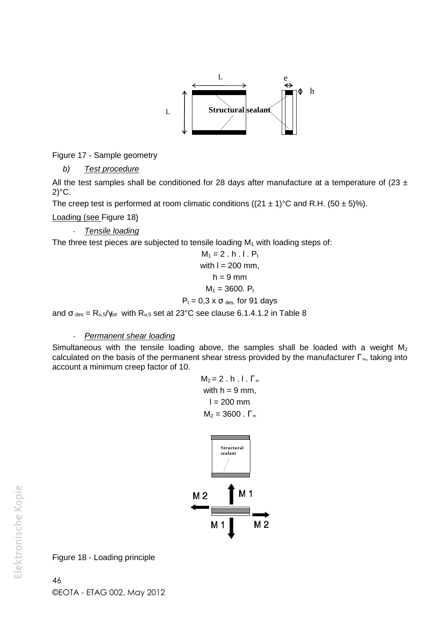

Figure 17 - Sample geometry

*b) Test procedure*

All the test samples shall be conditioned for 28 days after manufacture at a temperature of (23  $\pm$  $2$ <sup>o</sup>C.

The creep test is performed at room climatic conditions ( $(21 \pm 1)$ °C and R.H.  $(50 \pm 5)$ %).

Loading (see Figure 18)

- *Tensile loading*

The three test pieces are subjected to tensile loading  $M_1$  with loading steps of:

$$
M_1 = 2 \cdot h \cdot l \cdot P_t
$$
  
with  $l = 200 \text{ mm}$ ,  
 $h = 9 \text{ mm}$   
 $M_1 = 3600 \cdot P_t$   
 $P_t = 0.3 \times \sigma_{des}$  for 91 days

and  $\sigma_{des} = R_{u,5}/\gamma_{tot}$  with  $R_{u,5}$  set at 23°C see clause 6.1.4.1.2 in Table 8

#### - *Permanent shear loading*

Simultaneous with the tensile loading above, the samples shall be loaded with a weight  $M_2$ calculated on the basis of the permanent shear stress provided by the manufacturer  $\Gamma_{\infty}$ , taking into account a minimum creep factor of 10.

$$
M_2 = 2 \cdot h \cdot l \cdot \Gamma_{\infty}
$$
  
with  $h = 9$  mm,  
 $l = 200$  mm  

$$
M_2 = 3600 \cdot \Gamma_{\infty}
$$



Figure 18 - Loading principle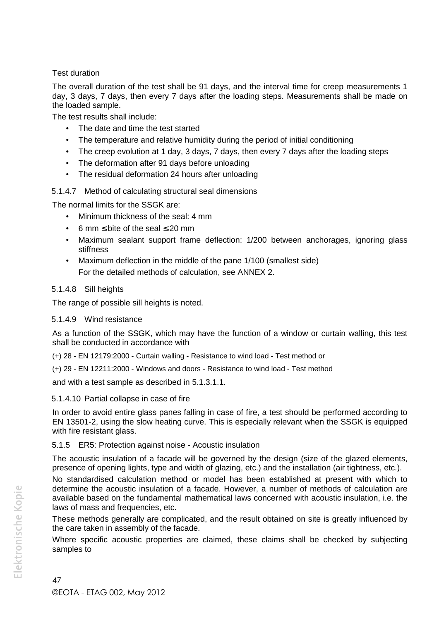Test duration

The overall duration of the test shall be 91 days, and the interval time for creep measurements 1 day, 3 days, 7 days, then every 7 days after the loading steps. Measurements shall be made on the loaded sample.

The test results shall include:

- The date and time the test started
- The temperature and relative humidity during the period of initial conditioning
- The creep evolution at 1 day, 3 days, 7 days, then every 7 days after the loading steps
- The deformation after 91 days before unloading
- The residual deformation 24 hours after unloading

## 5.1.4.7 Method of calculating structural seal dimensions

The normal limits for the SSGK are:

- Minimum thickness of the seal: 4 mm
- 6 mm  $\leq$  bite of the seal  $\leq$  20 mm
- Maximum sealant support frame deflection: 1/200 between anchorages, ignoring glass stiffness
- Maximum deflection in the middle of the pane 1/100 (smallest side) For the detailed methods of calculation, see ANNEX 2.

## 5.1.4.8 Sill heights

The range of possible sill heights is noted.

#### 5.1.4.9 Wind resistance

As a function of the SSGK, which may have the function of a window or curtain walling, this test shall be conducted in accordance with

(+) 28 - EN 12179:2000 - Curtain walling - Resistance to wind load - Test method or

(+) 29 - EN 12211:2000 - Windows and doors - Resistance to wind load - Test method

and with a test sample as described in 5.1.3.1.1.

#### 5.1.4.10 Partial collapse in case of fire

In order to avoid entire glass panes falling in case of fire, a test should be performed according to EN 13501-2, using the slow heating curve. This is especially relevant when the SSGK is equipped with fire resistant glass.

## 5.1.5 ER5: Protection against noise - Acoustic insulation

The acoustic insulation of a facade will be governed by the design (size of the glazed elements, presence of opening lights, type and width of glazing, etc.) and the installation (air tightness, etc.).

No standardised calculation method or model has been established at present with which to determine the acoustic insulation of a facade. However, a number of methods of calculation are available based on the fundamental mathematical laws concerned with acoustic insulation, i.e. the laws of mass and frequencies, etc.

These methods generally are complicated, and the result obtained on site is greatly influenced by the care taken in assembly of the facade.

Where specific acoustic properties are claimed, these claims shall be checked by subjecting samples to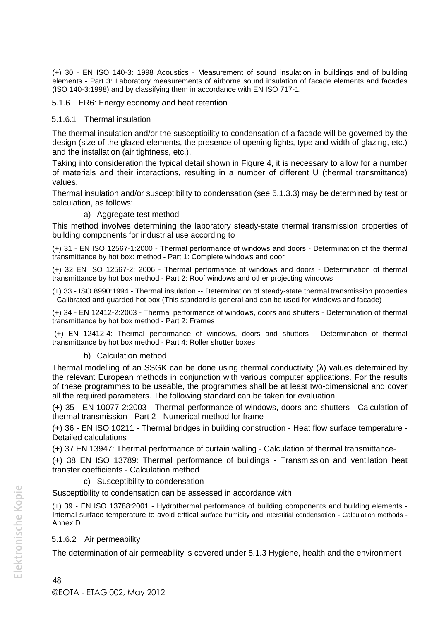(+) 30 - EN ISO 140-3: 1998 Acoustics - Measurement of sound insulation in buildings and of building elements - Part 3: Laboratory measurements of airborne sound insulation of facade elements and facades (ISO 140-3:1998) and by classifying them in accordance with EN ISO 717-1.

#### 5.1.6 ER6: Energy economy and heat retention

#### 5.1.6.1 Thermal insulation

The thermal insulation and/or the susceptibility to condensation of a facade will be governed by the design (size of the glazed elements, the presence of opening lights, type and width of glazing, etc.) and the installation (air tightness, etc.).

Taking into consideration the typical detail shown in Figure 4, it is necessary to allow for a number of materials and their interactions, resulting in a number of different U (thermal transmittance) values.

Thermal insulation and/or susceptibility to condensation (see 5.1.3.3) may be determined by test or calculation, as follows:

#### a) Aggregate test method

This method involves determining the laboratory steady-state thermal transmission properties of building components for industrial use according to

(+) 31 - EN ISO 12567-1:2000 - Thermal performance of windows and doors - Determination of the thermal transmittance by hot box: method - Part 1: Complete windows and door

(+) 32 EN ISO 12567-2: 2006 - Thermal performance of windows and doors - Determination of thermal transmittance by hot box method - Part 2: Roof windows and other projecting windows

(+) 33 - ISO 8990:1994 - Thermal insulation -- Determination of steady-state thermal transmission properties - Calibrated and guarded hot box (This standard is general and can be used for windows and facade)

(+) 34 - EN 12412-2:2003 - Thermal performance of windows, doors and shutters - Determination of thermal transmittance by hot box method - Part 2: Frames

(+) EN 12412-4: Thermal performance of windows, doors and shutters - Determination of thermal transmittance by hot box method - Part 4: Roller shutter boxes

#### b) Calculation method

Thermal modelling of an SSGK can be done using thermal conductivity  $(\lambda)$  values determined by the relevant European methods in conjunction with various computer applications. For the results of these programmes to be useable, the programmes shall be at least two-dimensional and cover all the required parameters. The following standard can be taken for evaluation

(+) 35 - EN 10077-2:2003 - Thermal performance of windows, doors and shutters - Calculation of thermal transmission - Part 2 - Numerical method for frame

(+) 36 - EN ISO 10211 - Thermal bridges in building construction - Heat flow surface temperature - Detailed calculations

(+) 37 EN 13947: Thermal performance of curtain walling - Calculation of thermal transmittance-

(+) 38 EN ISO 13789: Thermal performance of buildings - Transmission and ventilation heat transfer coefficients - Calculation method

#### c) Susceptibility to condensation

Susceptibility to condensation can be assessed in accordance with

(+) 39 - EN ISO 13788:2001 - Hydrothermal performance of building components and building elements - Internal surface temperature to avoid critical surface humidity and interstitial condensation - Calculation methods - Annex D

#### 5.1.6.2 Air permeability

The determination of air permeability is covered under 5.1.3 Hygiene, health and the environment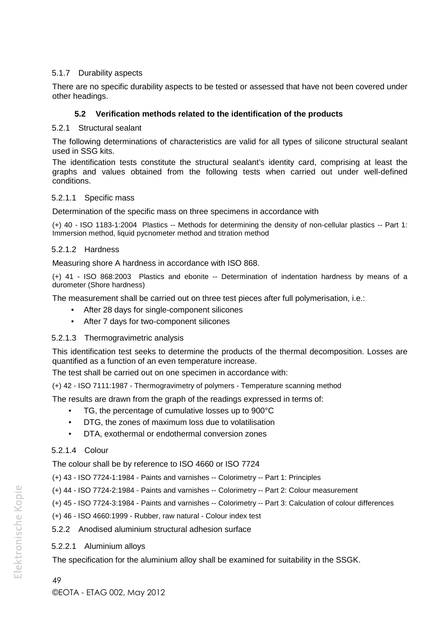## 5.1.7 Durability aspects

There are no specific durability aspects to be tested or assessed that have not been covered under other headings.

#### **5.2 Verification methods related to the identification of the products**

#### 5.2.1 Structural sealant

The following determinations of characteristics are valid for all types of silicone structural sealant used in SSG kits.

The identification tests constitute the structural sealant's identity card, comprising at least the graphs and values obtained from the following tests when carried out under well-defined conditions.

#### 5.2.1.1 Specific mass

Determination of the specific mass on three specimens in accordance with

(+) 40 - ISO 1183-1:2004 Plastics -- Methods for determining the density of non-cellular plastics -- Part 1: Immersion method, liquid pycnometer method and titration method

#### 5.2.1.2 Hardness

Measuring shore A hardness in accordance with ISO 868.

(+) 41 - ISO 868:2003 Plastics and ebonite -- Determination of indentation hardness by means of a durometer (Shore hardness)

The measurement shall be carried out on three test pieces after full polymerisation, i.e.:

- After 28 days for single-component silicones
- After 7 days for two-component silicones

#### 5.2.1.3 Thermogravimetric analysis

This identification test seeks to determine the products of the thermal decomposition. Losses are quantified as a function of an even temperature increase.

The test shall be carried out on one specimen in accordance with:

(+) 42 - ISO 7111:1987 - Thermogravimetry of polymers - Temperature scanning method

The results are drawn from the graph of the readings expressed in terms of:

- TG, the percentage of cumulative losses up to 900°C
- DTG, the zones of maximum loss due to volatilisation
- DTA, exothermal or endothermal conversion zones

#### 5.2.1.4 Colour

The colour shall be by reference to ISO 4660 or ISO 7724

(+) 43 - ISO 7724-1:1984 - Paints and varnishes -- Colorimetry -- Part 1: Principles

- (+) 44 ISO 7724-2:1984 Paints and varnishes -- Colorimetry -- Part 2: Colour measurement
- (+) 45 ISO 7724-3:1984 Paints and varnishes -- Colorimetry -- Part 3: Calculation of colour differences

(+) 46 - ISO 4660:1999 - Rubber, raw natural - Colour index test

5.2.2 Anodised aluminium structural adhesion surface

#### 5.2.2.1 Aluminium alloys

The specification for the aluminium alloy shall be examined for suitability in the SSGK.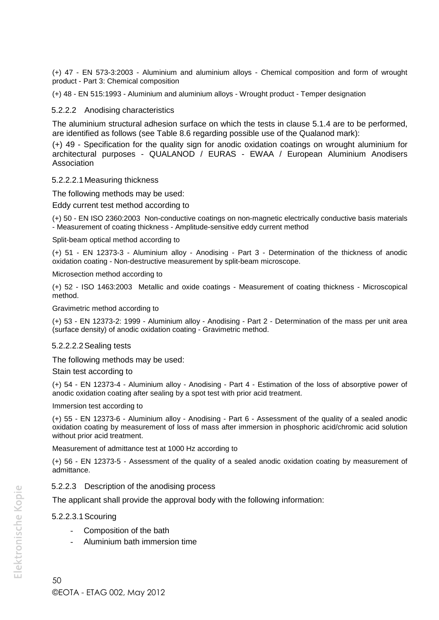(+) 47 - EN 573-3:2003 - Aluminium and aluminium alloys - Chemical composition and form of wrought product - Part 3: Chemical composition

(+) 48 - EN 515:1993 - Aluminium and aluminium alloys - Wrought product - Temper designation

5.2.2.2 Anodising characteristics

The aluminium structural adhesion surface on which the tests in clause 5.1.4 are to be performed, are identified as follows (see Table 8.6 regarding possible use of the Qualanod mark):

(+) 49 - Specification for the quality sign for anodic oxidation coatings on wrought aluminium for architectural purposes - QUALANOD / EURAS - EWAA / European Aluminium Anodisers Association

#### 5.2.2.2.1Measuring thickness

The following methods may be used:

Eddy current test method according to

(+) 50 - EN ISO 2360:2003 Non-conductive coatings on non-magnetic electrically conductive basis materials - Measurement of coating thickness - Amplitude-sensitive eddy current method

Split-beam optical method according to

(+) 51 - EN 12373-3 - Aluminium alloy - Anodising - Part 3 - Determination of the thickness of anodic oxidation coating - Non-destructive measurement by split-beam microscope.

Microsection method according to

(+) 52 - ISO 1463:2003 Metallic and oxide coatings - Measurement of coating thickness - Microscopical method.

Gravimetric method according to

(+) 53 - EN 12373-2: 1999 - Aluminium alloy - Anodising - Part 2 - Determination of the mass per unit area (surface density) of anodic oxidation coating - Gravimetric method.

#### 5.2.2.2.2Sealing tests

The following methods may be used:

#### Stain test according to

(+) 54 - EN 12373-4 - Aluminium alloy - Anodising - Part 4 - Estimation of the loss of absorptive power of anodic oxidation coating after sealing by a spot test with prior acid treatment.

Immersion test according to

(+) 55 - EN 12373-6 - Aluminium alloy - Anodising - Part 6 - Assessment of the quality of a sealed anodic oxidation coating by measurement of loss of mass after immersion in phosphoric acid/chromic acid solution without prior acid treatment.

Measurement of admittance test at 1000 Hz according to

(+) 56 - EN 12373-5 - Assessment of the quality of a sealed anodic oxidation coating by measurement of admittance.

#### 5.2.2.3 Description of the anodising process

The applicant shall provide the approval body with the following information:

5.2.2.3.1Scouring

- Composition of the bath
- Aluminium bath immersion time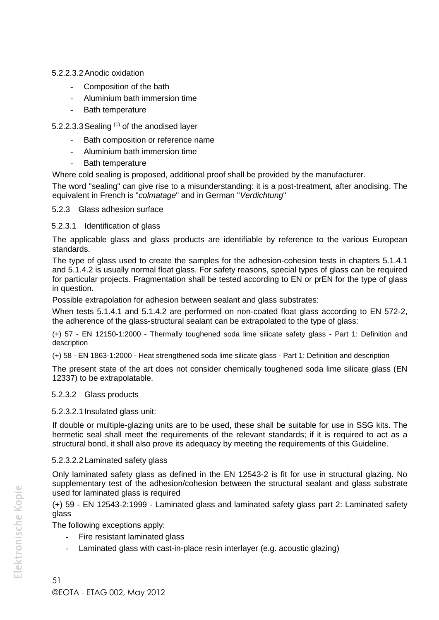#### 5.2.2.3.2Anodic oxidation

- Composition of the bath
- Aluminium bath immersion time
- Bath temperature

## 5.2.2.3.3 Sealing  $(1)$  of the anodised layer

- Bath composition or reference name
- Aluminium bath immersion time
- Bath temperature

Where cold sealing is proposed, additional proof shall be provided by the manufacturer.

The word "sealing" can give rise to a misunderstanding: it is a post-treatment, after anodising. The equivalent in French is "*colmatage*" and in German "*Verdichtung*"

#### 5.2.3 Glass adhesion surface

#### 5.2.3.1 Identification of glass

The applicable glass and glass products are identifiable by reference to the various European standards.

The type of glass used to create the samples for the adhesion-cohesion tests in chapters 5.1.4.1 and 5.1.4.2 is usually normal float glass. For safety reasons, special types of glass can be required for particular projects. Fragmentation shall be tested according to EN or prEN for the type of glass in question.

Possible extrapolation for adhesion between sealant and glass substrates:

When tests 5.1.4.1 and 5.1.4.2 are performed on non-coated float glass according to EN 572-2, the adherence of the glass-structural sealant can be extrapolated to the type of glass:

(+) 57 - EN 12150-1:2000 - Thermally toughened soda lime silicate safety glass - Part 1: Definition and description

(+) 58 - EN 1863-1:2000 - Heat strengthened soda lime silicate glass - Part 1: Definition and description

The present state of the art does not consider chemically toughened soda lime silicate glass (EN 12337) to be extrapolatable.

## 5.2.3.2 Glass products

#### 5.2.3.2.1Insulated glass unit:

If double or multiple-glazing units are to be used, these shall be suitable for use in SSG kits. The hermetic seal shall meet the requirements of the relevant standards; if it is required to act as a structural bond, it shall also prove its adequacy by meeting the requirements of this Guideline.

## 5.2.3.2.2Laminated safety glass

Only laminated safety glass as defined in the EN 12543-2 is fit for use in structural glazing. No supplementary test of the adhesion/cohesion between the structural sealant and glass substrate used for laminated glass is required

(+) 59 - EN 12543-2:1999 - Laminated glass and laminated safety glass part 2: Laminated safety glass

The following exceptions apply:

- Fire resistant laminated glass
- Laminated glass with cast-in-place resin interlayer (e.g. acoustic glazing)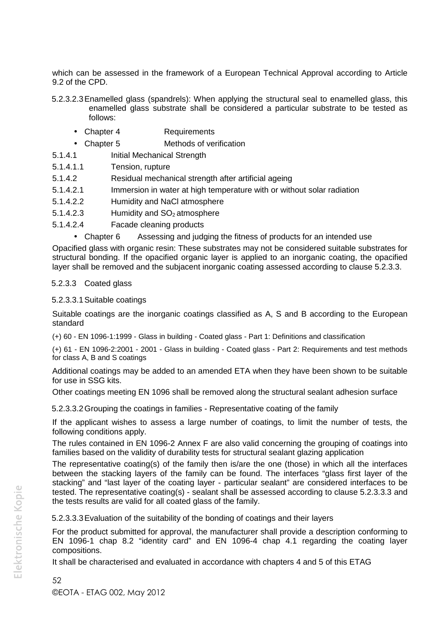which can be assessed in the framework of a European Technical Approval according to Article 9.2 of the CPD.

- 5.2.3.2.3Enamelled glass (spandrels): When applying the structural seal to enamelled glass, this enamelled glass substrate shall be considered a particular substrate to be tested as follows:
	- Chapter 4 Requirements
	- Chapter 5 Methods of verification
- 5.1.4.1 Initial Mechanical Strength
- 5.1.4.1.1 Tension, rupture
- 5.1.4.2 Residual mechanical strength after artificial ageing
- 5.1.4.2.1 Immersion in water at high temperature with or without solar radiation
- 5.1.4.2.2 Humidity and NaCl atmosphere
- 5.1.4.2.3 Humidity and  $SO<sub>2</sub>$  atmosphere
- 5.1.4.2.4 Facade cleaning products
	- Chapter 6 Assessing and judging the fitness of products for an intended use

Opacified glass with organic resin: These substrates may not be considered suitable substrates for structural bonding. If the opacified organic layer is applied to an inorganic coating, the opacified layer shall be removed and the subjacent inorganic coating assessed according to clause 5.2.3.3.

#### 5.2.3.3 Coated glass

#### 5.2.3.3.1Suitable coatings

Suitable coatings are the inorganic coatings classified as A, S and B according to the European standard

(+) 60 - EN 1096-1:1999 - Glass in building - Coated glass - Part 1: Definitions and classification

(+) 61 - EN 1096-2:2001 - 2001 - Glass in building - Coated glass - Part 2: Requirements and test methods for class A, B and S coatings

Additional coatings may be added to an amended ETA when they have been shown to be suitable for use in SSG kits.

Other coatings meeting EN 1096 shall be removed along the structural sealant adhesion surface

5.2.3.3.2Grouping the coatings in families - Representative coating of the family

If the applicant wishes to assess a large number of coatings, to limit the number of tests, the following conditions apply.

The rules contained in EN 1096-2 Annex F are also valid concerning the grouping of coatings into families based on the validity of durability tests for structural sealant glazing application

The representative coating(s) of the family then is/are the one (those) in which all the interfaces between the stacking layers of the family can be found. The interfaces "glass first layer of the stacking" and "last layer of the coating layer - particular sealant" are considered interfaces to be tested. The representative coating(s) - sealant shall be assessed according to clause 5.2.3.3.3 and the tests results are valid for all coated glass of the family.

5.2.3.3.3Evaluation of the suitability of the bonding of coatings and their layers

For the product submitted for approval, the manufacturer shall provide a description conforming to EN 1096-1 chap 8.2 "identity card" and EN 1096-4 chap 4.1 regarding the coating layer compositions.

It shall be characterised and evaluated in accordance with chapters 4 and 5 of this ETAG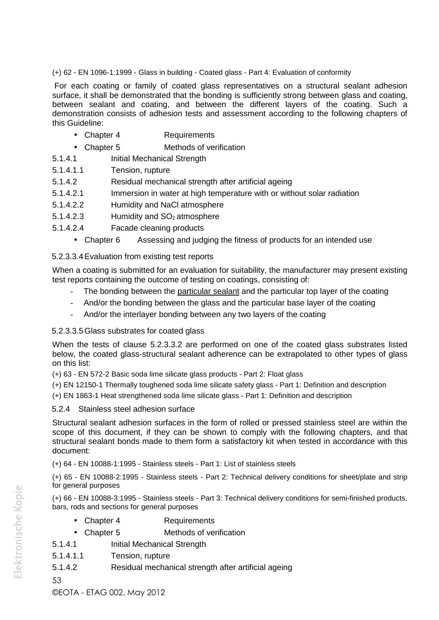(+) 62 - EN 1096-1:1999 - Glass in building - Coated glass - Part 4: Evaluation of conformity

For each coating or family of coated glass representatives on a structural sealant adhesion surface, it shall be demonstrated that the bonding is sufficiently strong between glass and coating, between sealant and coating, and between the different layers of the coating. Such a demonstration consists of adhesion tests and assessment according to the following chapters of this Guideline:

- Chapter 4 Requirements
- Chapter 5 Methods of verification
- 5.1.4.1 Initial Mechanical Strength
- 5.1.4.1.1 Tension, rupture
- 5.1.4.2 Residual mechanical strength after artificial ageing
- 5.1.4.2.1 Immersion in water at high temperature with or without solar radiation
- 5.1.4.2.2 Humidity and NaCl atmosphere
- 5.1.4.2.3 Humidity and  $SO<sub>2</sub>$  atmosphere
- 5.1.4.2.4 Facade cleaning products
	- Chapter 6 Assessing and judging the fitness of products for an intended use

#### 5.2.3.3.4Evaluation from existing test reports

When a coating is submitted for an evaluation for suitability, the manufacturer may present existing test reports containing the outcome of testing on coatings, consisting of:

- The bonding between the particular sealant and the particular top layer of the coating
- And/or the bonding between the glass and the particular base layer of the coating
- And/or the interlayer bonding between any two layers of the coating

#### 5.2.3.3.5Glass substrates for coated glass

When the tests of clause 5.2.3.3.2 are performed on one of the coated glass substrates listed below, the coated glass-structural sealant adherence can be extrapolated to other types of glass on this list:

(+) 63 - EN 572-2 Basic soda lime silicate glass products - Part 2: Float glass

(+) EN 12150-1 Thermally toughened soda lime silicate safety glass - Part 1: Definition and description

(+) EN 1863-1 Heat strengthened soda lime silicate glass - Part 1: Definition and description

#### 5.2.4 Stainless steel adhesion surface

Structural sealant adhesion surfaces in the form of rolled or pressed stainless steel are within the scope of this document, if they can be shown to comply with the following chapters, and that structural sealant bonds made to them form a satisfactory kit when tested in accordance with this document:

(+) 64 - EN 10088-1:1995 - Stainless steels - Part 1: List of stainless steels

(+) 65 - EN 10088-2:1995 - Stainless steels - Part 2: Technical delivery conditions for sheet/plate and strip for general purposes

(+) 66 - EN 10088-3:1995 - Stainless steels - Part 3: Technical delivery conditions for semi-finished products, bars, rods and sections for general purposes

- Chapter 4 Requirements
- Chapter 5 Methods of verification
- 5.1.4.1 Initial Mechanical Strength
- 5.1.4.1.1 Tension, rupture
- 5.1.4.2 Residual mechanical strength after artificial ageing

53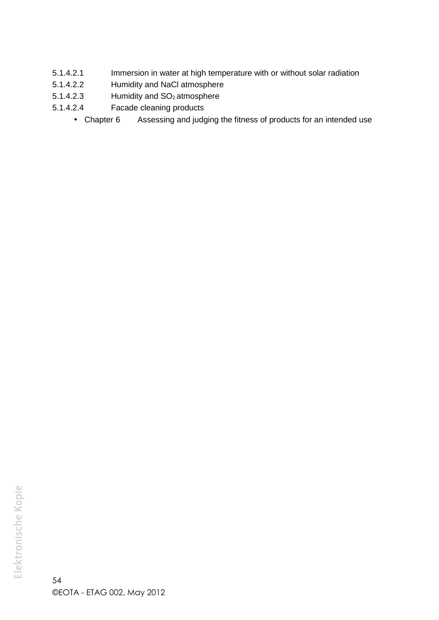- 5.1.4.2.1 Immersion in water at high temperature with or without solar radiation
- 5.1.4.2.2 Humidity and NaCl atmosphere
- 5.1.4.2.3 Humidity and SO<sub>2</sub> atmosphere
- 5.1.4.2.4 Facade cleaning products
	- Chapter 6 Assessing and judging the fitness of products for an intended use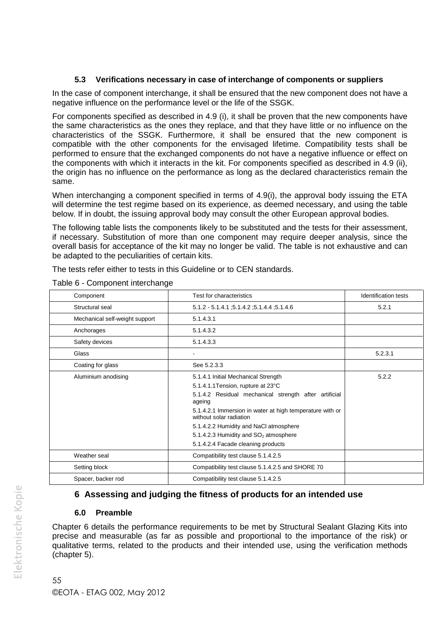#### **5.3 Verifications necessary in case of interchange of components or suppliers**

In the case of component interchange, it shall be ensured that the new component does not have a negative influence on the performance level or the life of the SSGK.

For components specified as described in 4.9 (i), it shall be proven that the new components have the same characteristics as the ones they replace, and that they have little or no influence on the characteristics of the SSGK. Furthermore, it shall be ensured that the new component is compatible with the other components for the envisaged lifetime. Compatibility tests shall be performed to ensure that the exchanged components do not have a negative influence or effect on the components with which it interacts in the kit. For components specified as described in 4.9 (ii), the origin has no influence on the performance as long as the declared characteristics remain the same.

When interchanging a component specified in terms of 4.9(i), the approval body issuing the ETA will determine the test regime based on its experience, as deemed necessary, and using the table below. If in doubt, the issuing approval body may consult the other European approval bodies.

The following table lists the components likely to be substituted and the tests for their assessment, if necessary. Substitution of more than one component may require deeper analysis, since the overall basis for acceptance of the kit may no longer be valid. The table is not exhaustive and can be adapted to the peculiarities of certain kits.

The tests refer either to tests in this Guideline or to CEN standards.

| Component                      | Test for characteristics                                                            | Identification tests |
|--------------------------------|-------------------------------------------------------------------------------------|----------------------|
| Structural seal                | 5.1.4.6; 5.1.4.4; 5.1.4.1; 5.1.4.1                                                  | 5.2.1                |
| Mechanical self-weight support | 5.1.4.3.1                                                                           |                      |
| Anchorages                     | 5.1.4.3.2                                                                           |                      |
| Safety devices                 | 5.1.4.3.3                                                                           |                      |
| Glass                          | -                                                                                   | 5.2.3.1              |
| Coating for glass              | See 5.2.3.3                                                                         |                      |
| Aluminium anodising            | 5.1.4.1 Initial Mechanical Strength                                                 | 5.2.2                |
|                                | 5.1.4.1.1 Tension, rupture at 23°C                                                  |                      |
|                                | 5.1.4.2 Residual mechanical strength after artificial<br>ageing                     |                      |
|                                | 5.1.4.2.1 Immersion in water at high temperature with or<br>without solar radiation |                      |
|                                | 5.1.4.2.2 Humidity and NaCl atmosphere                                              |                      |
|                                | 5.1.4.2.3 Humidity and SO <sub>2</sub> atmosphere                                   |                      |
|                                | 5.1.4.2.4 Facade cleaning products                                                  |                      |
| Weather seal                   | Compatibility test clause 5.1.4.2.5                                                 |                      |
| Setting block                  | Compatibility test clause 5.1.4.2.5 and SHORE 70                                    |                      |
| Spacer, backer rod             | Compatibility test clause 5.1.4.2.5                                                 |                      |

Table 6 - Component interchange

# **6 Assessing and judging the fitness of products for an intended use**

## **6.0 Preamble**

Chapter 6 details the performance requirements to be met by Structural Sealant Glazing Kits into precise and measurable (as far as possible and proportional to the importance of the risk) or qualitative terms, related to the products and their intended use, using the verification methods (chapter 5).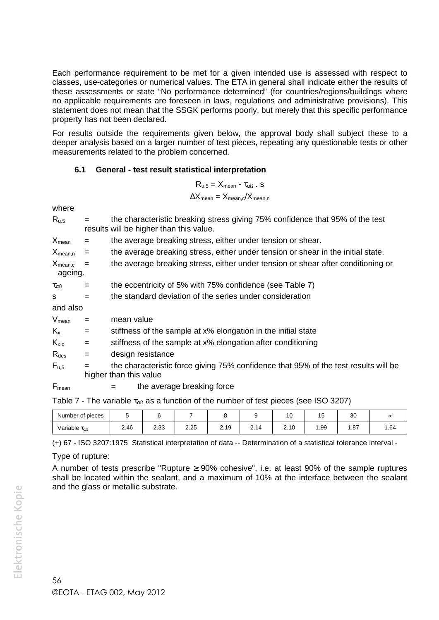Each performance requirement to be met for a given intended use is assessed with respect to classes, use-categories or numerical values. The ETA in general shall indicate either the results of these assessments or state "No performance determined" (for countries/regions/buildings where no applicable requirements are foreseen in laws, regulations and administrative provisions). This statement does not mean that the SSGK performs poorly, but merely that this specific performance property has not been declared.

For results outside the requirements given below, the approval body shall subject these to a deeper analysis based on a larger number of test pieces, repeating any questionable tests or other measurements related to the problem concerned.

#### **6.1 General - test result statistical interpretation**

| $R_{u,5} = X_{mean} - \tau_{\alpha\beta}$ . S                    |  |
|------------------------------------------------------------------|--|
| $\Delta X_{\text{mean}} = X_{\text{mean},c} / X_{\text{mean},n}$ |  |

where

| $R_{u,5}$               |     |                                                                                                               | the characteristic breaking stress giving 75% confidence that 95% of the test<br>results will be higher than this value. |  |  |  |  |  |  |  |
|-------------------------|-----|---------------------------------------------------------------------------------------------------------------|--------------------------------------------------------------------------------------------------------------------------|--|--|--|--|--|--|--|
| $X_{mean}$              | $=$ |                                                                                                               | the average breaking stress, either under tension or shear.                                                              |  |  |  |  |  |  |  |
| $X_{mean,n}$            | $=$ |                                                                                                               | the average breaking stress, either under tension or shear in the initial state.                                         |  |  |  |  |  |  |  |
| $X_{mean,c}$<br>ageing. | $=$ |                                                                                                               | the average breaking stress, either under tension or shear after conditioning or                                         |  |  |  |  |  |  |  |
| $\tau_{\alpha\beta}$    | $=$ |                                                                                                               | the eccentricity of 5% with 75% confidence (see Table 7)                                                                 |  |  |  |  |  |  |  |
| S                       | $=$ |                                                                                                               | the standard deviation of the series under consideration                                                                 |  |  |  |  |  |  |  |
| and also                |     |                                                                                                               |                                                                                                                          |  |  |  |  |  |  |  |
| $V_{mean}$              | $=$ |                                                                                                               | mean value                                                                                                               |  |  |  |  |  |  |  |
| $K_{x}$                 | $=$ |                                                                                                               | stiffness of the sample at x% elongation in the initial state                                                            |  |  |  |  |  |  |  |
| $K_{x,c}$               | $=$ |                                                                                                               | stiffness of the sample at x% elongation after conditioning                                                              |  |  |  |  |  |  |  |
| $R_{\text{des}}$        | $=$ |                                                                                                               | design resistance                                                                                                        |  |  |  |  |  |  |  |
| $F_{u,5}$               | $=$ | the characteristic force giving 75% confidence that 95% of the test results will be<br>higher than this value |                                                                                                                          |  |  |  |  |  |  |  |
| $F_{mean}$              |     | $=$                                                                                                           | the average breaking force                                                                                               |  |  |  |  |  |  |  |

Table 7 - The variable  $\tau_{\alpha\beta}$  as a function of the number of test pieces (see ISO 3207)

| Number of pieces              |      |            |      |                |                  | 10   | $\overline{A}$<br>cı | 3U<br>vu | $\infty$ |
|-------------------------------|------|------------|------|----------------|------------------|------|----------------------|----------|----------|
| Variable $\tau_{\alpha\beta}$ | 2.46 | つつつ<br>د.ے | 2.25 | - 1 Q<br>ت ، ے | 2 14<br><u>.</u> | 2.10 | .99                  | .87      | 1.64     |

(+) 67 - ISO 3207:1975 Statistical interpretation of data -- Determination of a statistical tolerance interval -

Type of rupture:

A number of tests prescribe "Rupture  $\geq 90\%$  cohesive", i.e. at least 90% of the sample ruptures shall be located within the sealant, and a maximum of 10% at the interface between the sealant and the glass or metallic substrate.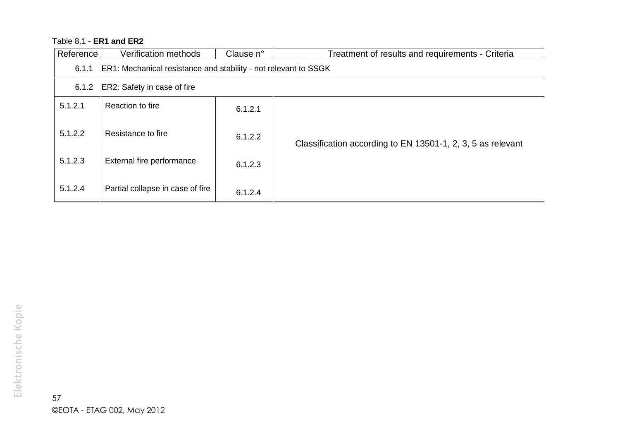# Table 8.1 - **ER1 and ER2**

| Reference <sup>1</sup> | Verification methods                                            | Clause n° | Treatment of results and requirements - Criteria            |  |  |  |  |  |
|------------------------|-----------------------------------------------------------------|-----------|-------------------------------------------------------------|--|--|--|--|--|
| 6.1.1                  | ER1: Mechanical resistance and stability - not relevant to SSGK |           |                                                             |  |  |  |  |  |
| 6.1.2                  | ER2: Safety in case of fire                                     |           |                                                             |  |  |  |  |  |
| 5.1.2.1                | Reaction to fire                                                | 6.1.2.1   |                                                             |  |  |  |  |  |
| 5.1.2.2                | Resistance to fire                                              | 6.1.2.2   | Classification according to EN 13501-1, 2, 3, 5 as relevant |  |  |  |  |  |
| 5.1.2.3                | External fire performance                                       | 6.1.2.3   |                                                             |  |  |  |  |  |
| 5.1.2.4                | Partial collapse in case of fire                                | 6.1.2.4   |                                                             |  |  |  |  |  |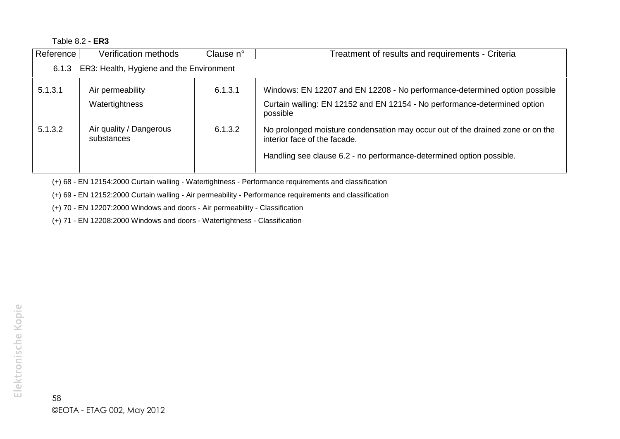Table 8.2 **- ER3**

| Reference                                      | Verification methods                  | Clause n° | Treatment of results and requirements - Criteria                                                               |  |  |  |
|------------------------------------------------|---------------------------------------|-----------|----------------------------------------------------------------------------------------------------------------|--|--|--|
| 6.1.3 ER3: Health, Hygiene and the Environment |                                       |           |                                                                                                                |  |  |  |
| 5.1.3.1                                        | Air permeability                      | 6.1.3.1   | Windows: EN 12207 and EN 12208 - No performance-determined option possible                                     |  |  |  |
|                                                | Watertightness                        |           | Curtain walling: EN 12152 and EN 12154 - No performance-determined option<br>possible                          |  |  |  |
| 5.1.3.2                                        | Air quality / Dangerous<br>substances | 6.1.3.2   | No prolonged moisture condensation may occur out of the drained zone or on the<br>interior face of the facade. |  |  |  |
|                                                |                                       |           | Handling see clause 6.2 - no performance-determined option possible.                                           |  |  |  |

(+) 68 - EN 12154:2000 Curtain walling - Watertightness - Performance requirements and classification

(+) 69 - EN 12152:2000 Curtain walling - Air permeability - Performance requirements and classification

(+) 70 - EN 12207:2000 Windows and doors - Air permeability - Classification

(+) 71 - EN 12208:2000 Windows and doors - Watertightness - Classification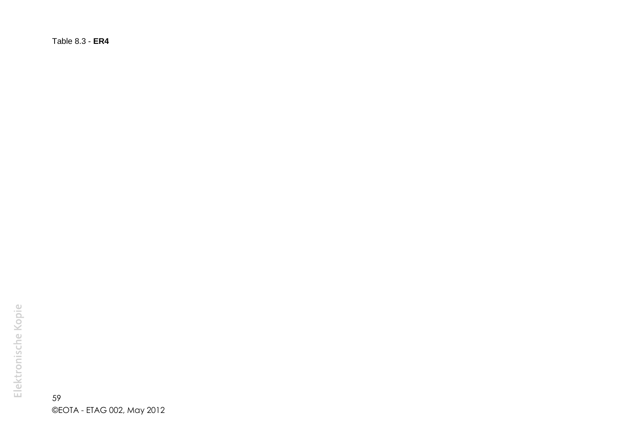Table 8.3 - **ER4**

59 ©EOTA - ETAG 002, May 2012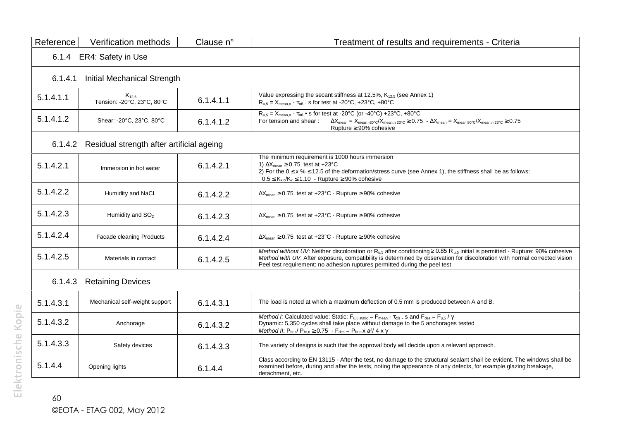| Reference | Verification methods                      | Clause n° | Treatment of results and requirements - Criteria                                                                                                                                                                                                                                                                                                                                                                   |
|-----------|-------------------------------------------|-----------|--------------------------------------------------------------------------------------------------------------------------------------------------------------------------------------------------------------------------------------------------------------------------------------------------------------------------------------------------------------------------------------------------------------------|
| 6.1.4     | ER4: Safety in Use                        |           |                                                                                                                                                                                                                                                                                                                                                                                                                    |
| 6.1.4.1   | Initial Mechanical Strength               |           |                                                                                                                                                                                                                                                                                                                                                                                                                    |
| 5.1.4.1.1 | $K_{12,5}$<br>Tension: - 20°C, 23°C, 80°C | 6.1.4.1.1 | Value expressing the secant stiffness at 12.5%, K <sub>12.5</sub> (see Annex 1)<br>$R_{u,5} = X_{mean,n} - \tau_{\alpha\beta}$ . s for test at -20°C, +23°C, +80°C                                                                                                                                                                                                                                                 |
| 5.1.4.1.2 | Shear: -20°C, 23°C, 80°C                  | 6.1.4.1.2 | $R_{u,5} = X_{mean,n} - \tau_{\alpha\beta}$ • s for test at -20°C (or -40°C) +23°C, +80°C<br>For tension and shear:<br>$\Delta X_{\text{mean}} = X_{\text{mean} \cdot 20^{\circ} \text{C}} / X_{\text{mean}, n \cdot 23^{\circ} \text{C}} \geq 0.75 - \Delta X_{\text{mean}} = X_{\text{mean}} \cdot 80^{\circ} \text{C} / X_{\text{mean}, n \cdot 23^{\circ} \text{C}} \geq 0.75$<br>Rupture $\geq 90\%$ cohesive |
| 6.1.4.2   | Residual strength after artificial ageing |           |                                                                                                                                                                                                                                                                                                                                                                                                                    |
| 5.1.4.2.1 | Immersion in hot water                    | 6.1.4.2.1 | The minimum requirement is 1000 hours immersion<br>1) $\Delta X_{\text{mean}} \geq 0.75$ test at +23°C<br>2) For the $0 \le x \le 12.5$ of the deformation/stress curve (see Annex 1), the stiffness shall be as follows:<br>$0.5 \leq K_{x,c}/K_x \leq 1.10$ - Rupture $\geq 90\%$ cohesive                                                                                                                       |
| 5.1.4.2.2 | Humidity and NaCL                         | 6.1.4.2.2 | $\Delta X_{\text{mean}} \ge 0.75$ test at +23°C - Rupture $\ge 90\%$ cohesive                                                                                                                                                                                                                                                                                                                                      |
| 5.1.4.2.3 | Humidity and SO <sub>2</sub>              | 6.1.4.2.3 | $\Delta X_{\text{mean}} \ge 0.75$ test at +23°C - Rupture $\ge 90\%$ cohesive                                                                                                                                                                                                                                                                                                                                      |
| 5.1.4.2.4 | Facade cleaning Products                  | 6.1.4.2.4 | $\Delta X_{\text{mean}} \geq 0.75$ test at +23°C - Rupture $\geq 90\%$ cohesive                                                                                                                                                                                                                                                                                                                                    |
| 5.1.4.2.5 | Materials in contact                      | 6.1.4.2.5 | Method without UV: Neither discoloration or $R_{\mu,5}$ after conditioning 0.85 $R_{\mu,5}$ initial is permitted - Rupture: 90% cohesive<br>Method with UV: After exposure, compatibility is determined by observation for discoloration with normal corrected vision<br>Peel test requirement: no adhesion ruptures permitted during the peel test                                                                |
| 6.1.4.3   | <b>Retaining Devices</b>                  |           |                                                                                                                                                                                                                                                                                                                                                                                                                    |
| 5.1.4.3.1 | Mechanical self-weight support            | 6.1.4.3.1 | The load is noted at which a maximum deflection of 0.5 mm is produced between A and B.                                                                                                                                                                                                                                                                                                                             |
| 5.1.4.3.2 | Anchorage                                 | 6.1.4.3.2 | Method I: Calculated value: Static: $F_{u,5 \text{ static}} = F_{\text{mean}} - \tau_{\alpha\beta}$ . s and $F_{\text{des}} = F_{u,5}/\gamma$<br>Dynamic: 5,350 cycles shall take place without damage to the 5 anchorages tested<br>Method II: $P_{br,c}$ $P_{br,n} \ge 0.75 - F_{des} = P_{br,n} x a^2/ 4 x \gamma$                                                                                              |
| 5.1.4.3.3 | Safety devices                            | 6.1.4.3.3 | The variety of designs is such that the approval body will decide upon a relevant approach.                                                                                                                                                                                                                                                                                                                        |
| 5.1.4.4   | Opening lights                            | 6.1.4.4   | Class according to EN 13115 - After the test, no damage to the structural sealant shall be evident. The windows shall be<br>examined before, during and after the tests, noting the appearance of any defects, for example glazing breakage,<br>detachment. etc.                                                                                                                                                   |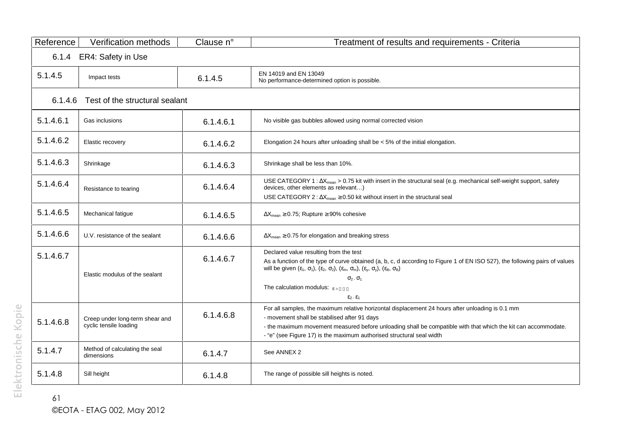| Reference | Verification methods                                      | Clause n° | Treatment of results and requirements - Criteria                                                                                                                                                                                                                                                                                                                                                                                       |
|-----------|-----------------------------------------------------------|-----------|----------------------------------------------------------------------------------------------------------------------------------------------------------------------------------------------------------------------------------------------------------------------------------------------------------------------------------------------------------------------------------------------------------------------------------------|
| 6.1.4     | ER4: Safety in Use                                        |           |                                                                                                                                                                                                                                                                                                                                                                                                                                        |
| 5.1.4.5   | Impact tests                                              | 6.1.4.5   | EN 14019 and EN 13049<br>No performance-determined option is possible.                                                                                                                                                                                                                                                                                                                                                                 |
| 6.1.4.6   | Test of the structural sealant                            |           |                                                                                                                                                                                                                                                                                                                                                                                                                                        |
| 5.1.4.6.1 | Gas inclusions                                            | 6.1.4.6.1 | No visible gas bubbles allowed using normal corrected vision                                                                                                                                                                                                                                                                                                                                                                           |
| 5.1.4.6.2 | Elastic recovery                                          | 6.1.4.6.2 | Elongation 24 hours after unloading shall be $< 5\%$ of the initial elongation.                                                                                                                                                                                                                                                                                                                                                        |
| 5.1.4.6.3 | Shrinkage                                                 | 6.1.4.6.3 | Shrinkage shall be less than 10%.                                                                                                                                                                                                                                                                                                                                                                                                      |
| 5.1.4.6.4 | Resistance to tearing                                     | 6.1.4.6.4 | USE CATEGORY 1 : $\Delta X_{mean} > 0.75$ kit with insert in the structural seal (e.g. mechanical self-weight support, safety<br>devices, other elements as relevant)<br>USE CATEGORY 2 : $\Delta X_{mean} \ge 0.50$ kit without insert in the structural seal                                                                                                                                                                         |
| 5.1.4.6.5 | Mechanical fatigue                                        | 6.1.4.6.5 | $\Delta X_{\text{mean}} \geq 0.75$ ; Rupture $\geq 90\%$ cohesive                                                                                                                                                                                                                                                                                                                                                                      |
| 5.1.4.6.6 | U.V. resistance of the sealant                            | 6.1.4.6.6 | $\Delta X_{\text{mean}} \geq 0.75$ for elongation and breaking stress                                                                                                                                                                                                                                                                                                                                                                  |
| 5.1.4.6.7 | Elastic modulus of the sealant                            | 6.1.4.6.7 | Declared value resulting from the test<br>As a function of the type of curve obtained (a, b, c, d according to Figure 1 of EN ISO 527), the following pairs of values<br>will be given $(\varepsilon_1, \sigma_1)$ , $(\varepsilon_2, \sigma_2)$ , $(\varepsilon_m, \sigma_m)$ , $(\varepsilon_y, \sigma_y)$ , $(\varepsilon_B, \sigma_B)$<br>$\sigma_2$ . $\sigma_1$<br>The calculation modulus: $E =$<br>$\epsilon_2$ . $\epsilon_1$ |
| 5.1.4.6.8 | Creep under long-term shear and<br>cyclic tensile loading | 6.1.4.6.8 | For all samples, the maximum relative horizontal displacement 24 hours after unloading is 0.1 mm<br>- movement shall be stabilised after 91 days<br>- the maximum movement measured before unloading shall be compatible with that which the kit can accommodate.<br>- "e" (see Figure 17) is the maximum authorised structural seal width                                                                                             |
| 5.1.4.7   | Method of calculating the seal<br>dimensions              | 6.1.4.7   | See ANNEX 2                                                                                                                                                                                                                                                                                                                                                                                                                            |
| 5.1.4.8   | Sill height                                               | 6.1.4.8   | The range of possible sill heights is noted.                                                                                                                                                                                                                                                                                                                                                                                           |

61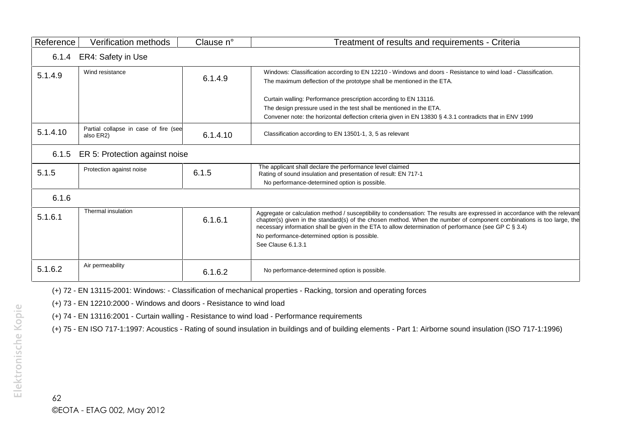| Reference | Verification methods                               | Clause n° | Treatment of results and requirements - Criteria                                                                                                                                                                                                                                                                                                                                                                                      |
|-----------|----------------------------------------------------|-----------|---------------------------------------------------------------------------------------------------------------------------------------------------------------------------------------------------------------------------------------------------------------------------------------------------------------------------------------------------------------------------------------------------------------------------------------|
|           | 6.1.4 ER4: Safety in Use                           |           |                                                                                                                                                                                                                                                                                                                                                                                                                                       |
| 5.1.4.9   | Wind resistance                                    | 6.1.4.9   | Windows: Classification according to EN 12210 - Windows and doors - Resistance to wind load - Classification.<br>The maximum deflection of the prototype shall be mentioned in the ETA.                                                                                                                                                                                                                                               |
|           |                                                    |           | Curtain walling: Performance prescription according to EN 13116.<br>The design pressure used in the test shall be mentioned in the ETA.<br>Convener note: the horizontal deflection criteria given in EN 13830 § 4.3.1 contradicts that in ENV 1999                                                                                                                                                                                   |
| 5.1.4.10  | Partial collapse in case of fire (see<br>also ER2) | 6.1.4.10  | Classification according to EN 13501-1, 3, 5 as relevant                                                                                                                                                                                                                                                                                                                                                                              |
| 6.1.5     | ER 5: Protection against noise                     |           |                                                                                                                                                                                                                                                                                                                                                                                                                                       |
| 5.1.5     | Protection against noise                           | 6.1.5     | The applicant shall declare the performance level claimed<br>Rating of sound insulation and presentation of result: EN 717-1<br>No performance-determined option is possible.                                                                                                                                                                                                                                                         |
| 6.1.6     |                                                    |           |                                                                                                                                                                                                                                                                                                                                                                                                                                       |
| 5.1.6.1   | Thermal insulation                                 | 6.1.6.1   | Aggregate or calculation method / susceptibility to condensation: The results are expressed in accordance with the relevant<br>chapter(s) given in the standard(s) of the chosen method. When the number of component combinations is too large, the<br>necessary information shall be given in the ETA to allow determination of performance (see GP C § 3.4)<br>No performance-determined option is possible.<br>See Clause 6.1.3.1 |
| 5.1.6.2   | Air permeability                                   | 6.1.6.2   | No performance-determined option is possible.                                                                                                                                                                                                                                                                                                                                                                                         |

(+) 72 - EN 13115-2001: Windows: - Classification of mechanical properties - Racking, torsion and operating forces

(+) 73 - EN 12210:2000 - Windows and doors - Resistance to wind load

(+) 74 - EN 13116:2001 - Curtain walling - Resistance to wind load - Performance requirements

(+) 75 - EN ISO 717-1:1997: Acoustics - Rating of sound insulation in buildings and of building elements - Part 1: Airborne sound insulation (ISO 717-1:1996)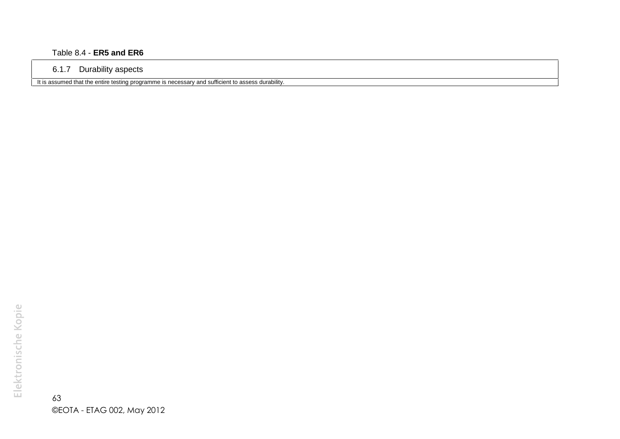#### Table 8.4 - **ER5 and ER6**

#### 6.1.7 Durability aspects

It is assumed that the entire testing programme is necessary and sufficient to assess durability.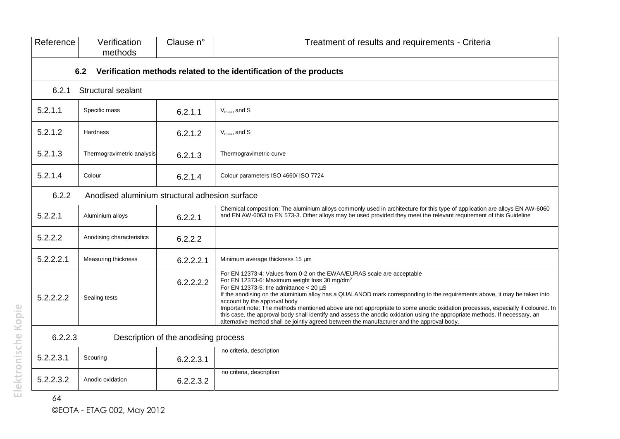| Reference | Verification<br>methods                                                   | Clause n°                            | Treatment of results and requirements - Criteria                                                                                                                                                                                                                                                                                                                                                                                                                                                                                                                                                                                                                                                                 |  |  |  |  |
|-----------|---------------------------------------------------------------------------|--------------------------------------|------------------------------------------------------------------------------------------------------------------------------------------------------------------------------------------------------------------------------------------------------------------------------------------------------------------------------------------------------------------------------------------------------------------------------------------------------------------------------------------------------------------------------------------------------------------------------------------------------------------------------------------------------------------------------------------------------------------|--|--|--|--|
|           | 6.2<br>Verification methods related to the identification of the products |                                      |                                                                                                                                                                                                                                                                                                                                                                                                                                                                                                                                                                                                                                                                                                                  |  |  |  |  |
| 6.2.1     | Structural sealant                                                        |                                      |                                                                                                                                                                                                                                                                                                                                                                                                                                                                                                                                                                                                                                                                                                                  |  |  |  |  |
| 5.2.1.1   | Specific mass                                                             | 6.2.1.1                              | $V_{mean}$ and S                                                                                                                                                                                                                                                                                                                                                                                                                                                                                                                                                                                                                                                                                                 |  |  |  |  |
| 5.2.1.2   | <b>Hardness</b>                                                           | 6.2.1.2                              | $V_{mean}$ and $S$                                                                                                                                                                                                                                                                                                                                                                                                                                                                                                                                                                                                                                                                                               |  |  |  |  |
| 5.2.1.3   | Thermogravimetric analysis                                                | 6.2.1.3                              | Thermogravimetric curve                                                                                                                                                                                                                                                                                                                                                                                                                                                                                                                                                                                                                                                                                          |  |  |  |  |
| 5.2.1.4   | Colour                                                                    | 6.2.1.4                              | Colour parameters ISO 4660/ ISO 7724                                                                                                                                                                                                                                                                                                                                                                                                                                                                                                                                                                                                                                                                             |  |  |  |  |
| 6.2.2     | Anodised aluminium structural adhesion surface                            |                                      |                                                                                                                                                                                                                                                                                                                                                                                                                                                                                                                                                                                                                                                                                                                  |  |  |  |  |
| 5.2.2.1   | Aluminium alloys                                                          | 6.2.2.1                              | Chemical composition: The aluminium alloys commonly used in architecture for this type of application are alloys EN AW-6060<br>and EN AW-6063 to EN 573-3. Other alloys may be used provided they meet the relevant requirement of this Guideline                                                                                                                                                                                                                                                                                                                                                                                                                                                                |  |  |  |  |
| 5.2.2.2   | Anodising characteristics                                                 | 6.2.2.2                              |                                                                                                                                                                                                                                                                                                                                                                                                                                                                                                                                                                                                                                                                                                                  |  |  |  |  |
| 5.2.2.2.1 | Measuring thickness                                                       | 6.2.2.2.1                            | Minimum average thickness 15 µm                                                                                                                                                                                                                                                                                                                                                                                                                                                                                                                                                                                                                                                                                  |  |  |  |  |
| 5.2.2.2.2 | Sealing tests                                                             | 6.2.2.2.2                            | For EN 12373-4: Values from 0-2 on the EWAA/EURAS scale are acceptable<br>For EN 12373-6: Maximum weight loss 30 mg/dm <sup>2</sup><br>For EN 12373-5: the admittance $<$ 20 $\mu$ S<br>If the anodising on the aluminium alloy has a QUALANOD mark corresponding to the requirements above, it may be taken into<br>account by the approval body<br>Important note: The methods mentioned above are not appropriate to some anodic oxidation processes, especially if coloured. In<br>this case, the approval body shall identify and assess the anodic oxidation using the appropriate methods. If necessary, an<br>alternative method shall be jointly agreed between the manufacturer and the approval body. |  |  |  |  |
| 6.2.2.3   |                                                                           | Description of the anodising process |                                                                                                                                                                                                                                                                                                                                                                                                                                                                                                                                                                                                                                                                                                                  |  |  |  |  |
| 5.2.2.3.1 | Scouring                                                                  | 6.2.2.3.1                            | no criteria, description                                                                                                                                                                                                                                                                                                                                                                                                                                                                                                                                                                                                                                                                                         |  |  |  |  |
| 5.2.2.3.2 | Anodic oxidation                                                          | 6.2.2.3.2                            | no criteria, description                                                                                                                                                                                                                                                                                                                                                                                                                                                                                                                                                                                                                                                                                         |  |  |  |  |
| 64        |                                                                           |                                      |                                                                                                                                                                                                                                                                                                                                                                                                                                                                                                                                                                                                                                                                                                                  |  |  |  |  |

©EOTA - ETAG 002, May 2012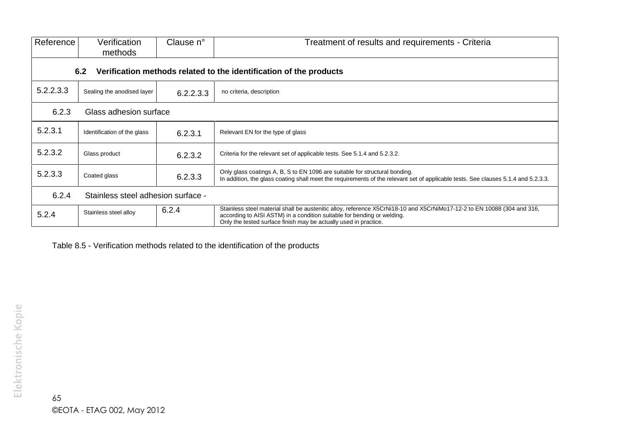| Reference | Verification<br>methods                                                   | Clause n° | Treatment of results and requirements - Criteria                                                                                                                                                                                                                       |  |  |  |  |
|-----------|---------------------------------------------------------------------------|-----------|------------------------------------------------------------------------------------------------------------------------------------------------------------------------------------------------------------------------------------------------------------------------|--|--|--|--|
|           | Verification methods related to the identification of the products<br>6.2 |           |                                                                                                                                                                                                                                                                        |  |  |  |  |
| 5.2.2.3.3 | Sealing the anodised layer                                                | 6.2.2.3.3 | no criteria, description                                                                                                                                                                                                                                               |  |  |  |  |
| 6.2.3     | Glass adhesion surface                                                    |           |                                                                                                                                                                                                                                                                        |  |  |  |  |
| 5.2.3.1   | Identification of the glass                                               | 6.2.3.1   | Relevant EN for the type of glass                                                                                                                                                                                                                                      |  |  |  |  |
| 5.2.3.2   | Glass product                                                             | 6.2.3.2   | Criteria for the relevant set of applicable tests. See 5.1.4 and 5.2.3.2.                                                                                                                                                                                              |  |  |  |  |
| 5.2.3.3   | Coated glass                                                              | 6.2.3.3   | Only glass coatings A, B, S to EN 1096 are suitable for structural bonding.<br>In addition, the glass coating shall meet the requirements of the relevant set of applicable tests. See clauses 5.1.4 and 5.2.3.3.                                                      |  |  |  |  |
| 6.2.4     | Stainless steel adhesion surface -                                        |           |                                                                                                                                                                                                                                                                        |  |  |  |  |
| 5.2.4     | Stainless steel alloy                                                     | 6.2.4     | Stainless steel material shall be austenitic alloy, reference X5CrNi18-10 and X5CrNiMo17-12-2 to EN 10088 (304 and 316,<br>according to AISI ASTM) in a condition suitable for bending or welding.<br>Only the tested surface finish may be actually used in practice. |  |  |  |  |

Table 8.5 - Verification methods related to the identification of the products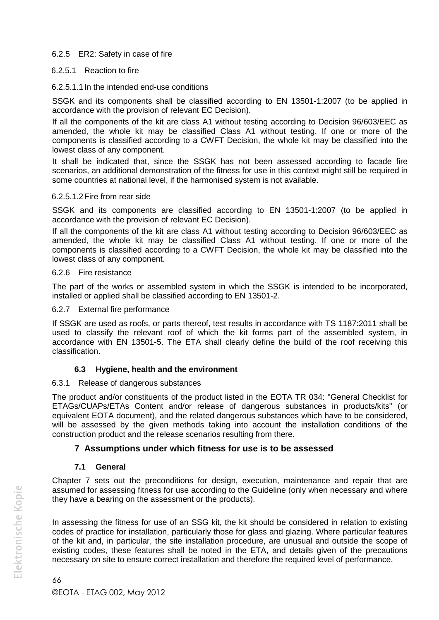#### 6.2.5 ER2: Safety in case of fire

#### 6.2.5.1 Reaction to fire

#### 6.2.5.1.1In the intended end-use conditions

SSGK and its components shall be classified according to EN 13501-1:2007 (to be applied in accordance with the provision of relevant EC Decision).

If all the components of the kit are class A1 without testing according to Decision 96/603/EEC as amended, the whole kit may be classified Class A1 without testing. If one or more of the components is classified according to a CWFT Decision, the whole kit may be classified into the lowest class of any component.

It shall be indicated that, since the SSGK has not been assessed according to facade fire scenarios, an additional demonstration of the fitness for use in this context might still be required in some countries at national level, if the harmonised system is not available.

#### 6.2.5.1.2Fire from rear side

SSGK and its components are classified according to EN 13501-1:2007 (to be applied in accordance with the provision of relevant EC Decision).

If all the components of the kit are class A1 without testing according to Decision 96/603/EEC as amended, the whole kit may be classified Class A1 without testing. If one or more of the components is classified according to a CWFT Decision, the whole kit may be classified into the lowest class of any component.

#### 6.2.6 Fire resistance

The part of the works or assembled system in which the SSGK is intended to be incorporated, installed or applied shall be classified according to EN 13501-2.

#### 6.2.7 External fire performance

If SSGK are used as roofs, or parts thereof, test results in accordance with TS 1187:2011 shall be used to classify the relevant roof of which the kit forms part of the assembled system, in accordance with EN 13501-5. The ETA shall clearly define the build of the roof receiving this classification.

#### **6.3 Hygiene, health and the environment**

#### 6.3.1 Release of dangerous substances

The product and/or constituents of the product listed in the EOTA TR 034: "General Checklist for ETAGs/CUAPs/ETAs Content and/or release of dangerous substances in products/kits" (or equivalent EOTA document), and the related dangerous substances which have to be considered, will be assessed by the given methods taking into account the installation conditions of the construction product and the release scenarios resulting from there.

## **7 Assumptions under which fitness for use is to be assessed**

#### **7.1 General**

Chapter 7 sets out the preconditions for design, execution, maintenance and repair that are assumed for assessing fitness for use according to the Guideline (only when necessary and where they have a bearing on the assessment or the products).

In assessing the fitness for use of an SSG kit, the kit should be considered in relation to existing codes of practice for installation, particularly those for glass and glazing. Where particular features of the kit and, in particular, the site installation procedure, are unusual and outside the scope of existing codes, these features shall be noted in the ETA, and details given of the precautions necessary on site to ensure correct installation and therefore the required level of performance.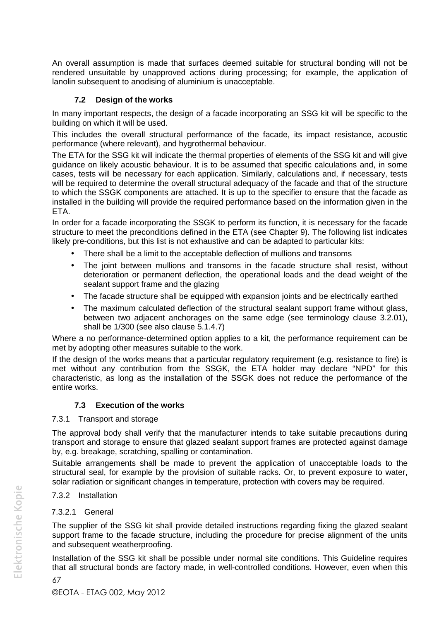An overall assumption is made that surfaces deemed suitable for structural bonding will not be rendered unsuitable by unapproved actions during processing; for example, the application of lanolin subsequent to anodising of aluminium is unacceptable.

#### **7.2 Design of the works**

In many important respects, the design of a facade incorporating an SSG kit will be specific to the building on which it will be used.

This includes the overall structural performance of the facade, its impact resistance, acoustic performance (where relevant), and hygrothermal behaviour.

The ETA for the SSG kit will indicate the thermal properties of elements of the SSG kit and will give guidance on likely acoustic behaviour. It is to be assumed that specific calculations and, in some cases, tests will be necessary for each application. Similarly, calculations and, if necessary, tests will be required to determine the overall structural adequacy of the facade and that of the structure to which the SSGK components are attached. It is up to the specifier to ensure that the facade as installed in the building will provide the required performance based on the information given in the ETA.

In order for a facade incorporating the SSGK to perform its function, it is necessary for the facade structure to meet the preconditions defined in the ETA (see Chapter 9). The following list indicates likely pre-conditions, but this list is not exhaustive and can be adapted to particular kits:

- There shall be a limit to the acceptable deflection of mullions and transoms
- The joint between mullions and transoms in the facade structure shall resist, without deterioration or permanent deflection, the operational loads and the dead weight of the sealant support frame and the glazing
- The facade structure shall be equipped with expansion joints and be electrically earthed
- The maximum calculated deflection of the structural sealant support frame without glass, between two adjacent anchorages on the same edge (see terminology clause 3.2.01), shall be 1/300 (see also clause 5.1.4.7)

Where a no performance-determined option applies to a kit, the performance requirement can be met by adopting other measures suitable to the work.

If the design of the works means that a particular regulatory requirement (e.g. resistance to fire) is met without any contribution from the SSGK, the ETA holder may declare "NPD" for this characteristic, as long as the installation of the SSGK does not reduce the performance of the entire works.

## **7.3 Execution of the works**

#### 7.3.1 Transport and storage

The approval body shall verify that the manufacturer intends to take suitable precautions during transport and storage to ensure that glazed sealant support frames are protected against damage by, e.g. breakage, scratching, spalling or contamination.

Suitable arrangements shall be made to prevent the application of unacceptable loads to the structural seal, for example by the provision of suitable racks. Or, to prevent exposure to water, solar radiation or significant changes in temperature, protection with covers may be required.

# 7.3.2 Installation

#### 7.3.2.1 General

The supplier of the SSG kit shall provide detailed instructions regarding fixing the glazed sealant support frame to the facade structure, including the procedure for precise alignment of the units and subsequent weatherproofing.

Installation of the SSG kit shall be possible under normal site conditions. This Guideline requires that all structural bonds are factory made, in well-controlled conditions. However, even when this

Elektronische Kopie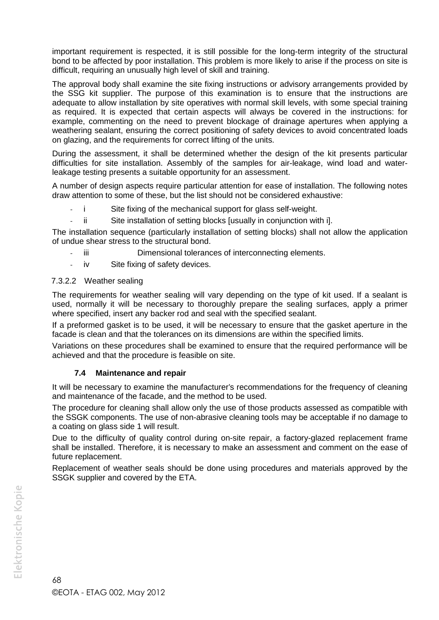important requirement is respected, it is still possible for the long-term integrity of the structural bond to be affected by poor installation. This problem is more likely to arise if the process on site is difficult, requiring an unusually high level of skill and training.

The approval body shall examine the site fixing instructions or advisory arrangements provided by the SSG kit supplier. The purpose of this examination is to ensure that the instructions are adequate to allow installation by site operatives with normal skill levels, with some special training as required. It is expected that certain aspects will always be covered in the instructions: for example, commenting on the need to prevent blockage of drainage apertures when applying a weathering sealant, ensuring the correct positioning of safety devices to avoid concentrated loads on glazing, and the requirements for correct lifting of the units.

During the assessment, it shall be determined whether the design of the kit presents particular difficulties for site installation. Assembly of the samples for air-leakage, wind load and waterleakage testing presents a suitable opportunity for an assessment.

A number of design aspects require particular attention for ease of installation. The following notes draw attention to some of these, but the list should not be considered exhaustive:

- Site fixing of the mechanical support for glass self-weight.
- ii Site installation of setting blocks [usually in conjunction with i].

The installation sequence (particularly installation of setting blocks) shall not allow the application of undue shear stress to the structural bond.

- iii Dimensional tolerances of interconnecting elements.
- iv Site fixing of safety devices.

#### 7.3.2.2 Weather sealing

The requirements for weather sealing will vary depending on the type of kit used. If a sealant is used, normally it will be necessary to thoroughly prepare the sealing surfaces, apply a primer where specified, insert any backer rod and seal with the specified sealant.

If a preformed gasket is to be used, it will be necessary to ensure that the gasket aperture in the facade is clean and that the tolerances on its dimensions are within the specified limits.

Variations on these procedures shall be examined to ensure that the required performance will be achieved and that the procedure is feasible on site.

#### **7.4 Maintenance and repair**

It will be necessary to examine the manufacturer's recommendations for the frequency of cleaning and maintenance of the facade, and the method to be used.

The procedure for cleaning shall allow only the use of those products assessed as compatible with the SSGK components. The use of non-abrasive cleaning tools may be acceptable if no damage to a coating on glass side 1 will result.

Due to the difficulty of quality control during on-site repair, a factory-glazed replacement frame shall be installed. Therefore, it is necessary to make an assessment and comment on the ease of future replacement.

Replacement of weather seals should be done using procedures and materials approved by the SSGK supplier and covered by the ETA.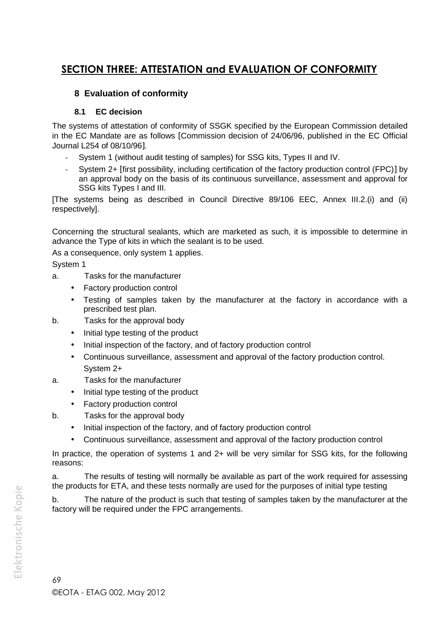# **SECTION THREE: ATTESTATION and EVALUATION OF CONFORMITY**

# **8 Evaluation of conformity**

## **8.1 EC decision**

The systems of attestation of conformity of SSGK specified by the European Commission detailed in the EC Mandate are as follows [Commission decision of 24/06/96, published in the EC Official Journal L254 of 08/10/96.

- System 1 (without audit testing of samples) for SSG kits, Types II and IV.
- System 2+ [first possibility, including certification of the factory production control (FPC)] by an approval body on the basis of its continuous surveillance, assessment and approval for SSG kits Types I and III.

[The systems being as described in Council Directive 89/106 EEC, Annex III.2.(i) and (ii) respectively].

Concerning the structural sealants, which are marketed as such, it is impossible to determine in advance the Type of kits in which the sealant is to be used.

As a consequence, only system 1 applies.

System 1

- a. Tasks for the manufacturer
	- Factory production control
	- Testing of samples taken by the manufacturer at the factory in accordance with a prescribed test plan.
- b. Tasks for the approval body
	- $\bullet$  Initial type testing of the product
	- Initial inspection of the factory, and of factory production control
	- Continuous surveillance, assessment and approval of the factory production control. System 2+
- a. Tasks for the manufacturer
	- Initial type testing of the product
	- Factory production control
- b. Tasks for the approval body
	- Initial inspection of the factory, and of factory production control
	- Continuous surveillance, assessment and approval of the factory production control

In practice, the operation of systems 1 and 2+ will be very similar for SSG kits, for the following reasons:

a. The results of testing will normally be available as part of the work required for assessing the products for ETA, and these tests normally are used for the purposes of initial type testing

b. The nature of the product is such that testing of samples taken by the manufacturer at the factory will be required under the FPC arrangements.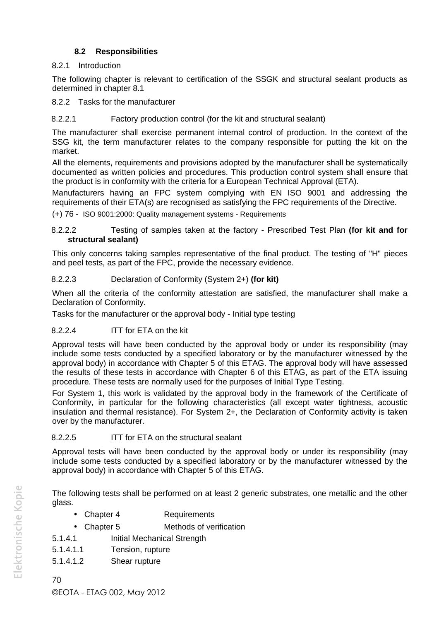## **8.2 Responsibilities**

## 8.2.1 Introduction

The following chapter is relevant to certification of the SSGK and structural sealant products as determined in chapter 8.1

8.2.2 Tasks for the manufacturer

#### 8.2.2.1 Factory production control (for the kit and structural sealant)

The manufacturer shall exercise permanent internal control of production. In the context of the SSG kit, the term manufacturer relates to the company responsible for putting the kit on the market.

All the elements, requirements and provisions adopted by the manufacturer shall be systematically documented as written policies and procedures. This production control system shall ensure that the product is in conformity with the criteria for a European Technical Approval (ETA).

Manufacturers having an FPC system complying with EN ISO 9001 and addressing the requirements of their ETA(s) are recognised as satisfying the FPC requirements of the Directive.

(+) 76 - ISO 9001:2000: Quality management systems - Requirements

8.2.2.2 Testing of samples taken at the factory - Prescribed Test Plan **(for kit and for structural sealant)**

This only concerns taking samples representative of the final product. The testing of "H" pieces and peel tests, as part of the FPC, provide the necessary evidence.

## 8.2.2.3 Declaration of Conformity (System 2+) **(for kit)**

When all the criteria of the conformity attestation are satisfied, the manufacturer shall make a Declaration of Conformity.

Tasks for the manufacturer or the approval body - Initial type testing

## 8.2.2.4 ITT for ETA on the kit

Approval tests will have been conducted by the approval body or under its responsibility (may include some tests conducted by a specified laboratory or by the manufacturer witnessed by the approval body) in accordance with Chapter 5 of this ETAG. The approval body will have assessed the results of these tests in accordance with Chapter 6 of this ETAG, as part of the ETA issuing procedure. These tests are normally used for the purposes of Initial Type Testing.

For System 1, this work is validated by the approval body in the framework of the Certificate of Conformity, in particular for the following characteristics (all except water tightness, acoustic insulation and thermal resistance). For System 2+, the Declaration of Conformity activity is taken over by the manufacturer.

## 8.2.2.5 ITT for ETA on the structural sealant

Approval tests will have been conducted by the approval body or under its responsibility (may include some tests conducted by a specified laboratory or by the manufacturer witnessed by the approval body) in accordance with Chapter 5 of this ETAG.

The following tests shall be performed on at least 2 generic substrates, one metallic and the other glass.

- Chapter 4 Requirements
- Chapter 5 Methods of verification
- 5.1.4.1 Initial Mechanical Strength
- 5.1.4.1.1 Tension, rupture
- 5.1.4.1.2 Shear rupture

70 ©EOTA - ETAG 002, May 2012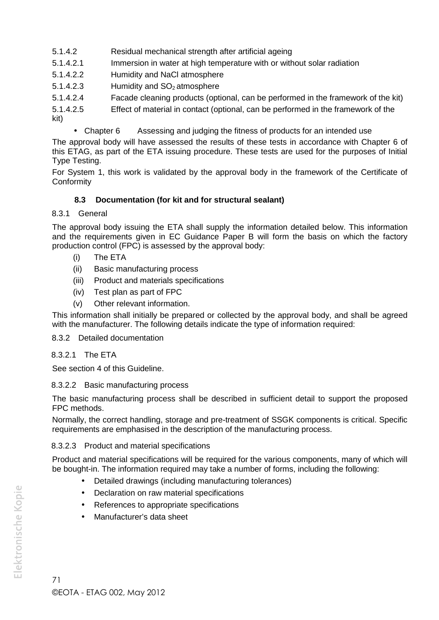- 5.1.4.2 Residual mechanical strength after artificial ageing
- 5.1.4.2.1 Immersion in water at high temperature with or without solar radiation
- 5.1.4.2.2 Humidity and NaCl atmosphere
- 5.1.4.2.3 Humidity and SO<sub>2</sub> atmosphere
- 5.1.4.2.4 Facade cleaning products (optional, can be performed in the framework of the kit)
- 5.1.4.2.5 Effect of material in contact (optional, can be performed in the framework of the

kit)

• Chapter 6 Assessing and judging the fitness of products for an intended use

The approval body will have assessed the results of these tests in accordance with Chapter 6 of this ETAG, as part of the ETA issuing procedure. These tests are used for the purposes of Initial Type Testing.

For System 1, this work is validated by the approval body in the framework of the Certificate of **Conformity** 

## **8.3 Documentation (for kit and for structural sealant)**

### 8.3.1 General

The approval body issuing the ETA shall supply the information detailed below. This information and the requirements given in EC Guidance Paper B will form the basis on which the factory production control (FPC) is assessed by the approval body:

- (i) The ETA
- (ii) Basic manufacturing process
- (iii) Product and materials specifications
- (iv) Test plan as part of FPC
- (v) Other relevant information.

This information shall initially be prepared or collected by the approval body, and shall be agreed with the manufacturer. The following details indicate the type of information required:

#### 8.3.2 Detailed documentation

### 8.3.2.1 The ETA

See section 4 of this Guideline.

### 8.3.2.2 Basic manufacturing process

The basic manufacturing process shall be described in sufficient detail to support the proposed FPC methods.

Normally, the correct handling, storage and pre-treatment of SSGK components is critical. Specific requirements are emphasised in the description of the manufacturing process.

#### 8.3.2.3 Product and material specifications

Product and material specifications will be required for the various components, many of which will be bought-in. The information required may take a number of forms, including the following:

- Detailed drawings (including manufacturing tolerances)
- Declaration on raw material specifications
- References to appropriate specifications
- Manufacturer's data sheet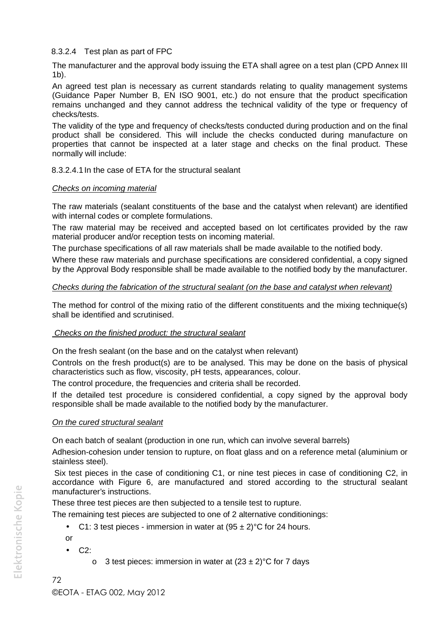### 8.3.2.4 Test plan as part of FPC

The manufacturer and the approval body issuing the ETA shall agree on a test plan (CPD Annex III 1b).

An agreed test plan is necessary as current standards relating to quality management systems (Guidance Paper Number B, EN ISO 9001, etc.) do not ensure that the product specification remains unchanged and they cannot address the technical validity of the type or frequency of checks/tests.

The validity of the type and frequency of checks/tests conducted during production and on the final product shall be considered. This will include the checks conducted during manufacture on properties that cannot be inspected at a later stage and checks on the final product. These normally will include:

### 8.3.2.4.1In the case of ETA for the structural sealant

### *Checks on incoming material*

The raw materials (sealant constituents of the base and the catalyst when relevant) are identified with internal codes or complete formulations.

The raw material may be received and accepted based on lot certificates provided by the raw material producer and/or reception tests on incoming material.

The purchase specifications of all raw materials shall be made available to the notified body.

Where these raw materials and purchase specifications are considered confidential, a copy signed by the Approval Body responsible shall be made available to the notified body by the manufacturer.

### *Checks during the fabrication of the structural sealant (on the base and catalyst when relevant)*

The method for control of the mixing ratio of the different constituents and the mixing technique(s) shall be identified and scrutinised.

#### *Checks on the finished product: the structural sealant*

On the fresh sealant (on the base and on the catalyst when relevant)

Controls on the fresh product(s) are to be analysed. This may be done on the basis of physical characteristics such as flow, viscosity, pH tests, appearances, colour.

The control procedure, the frequencies and criteria shall be recorded.

If the detailed test procedure is considered confidential, a copy signed by the approval body responsible shall be made available to the notified body by the manufacturer.

### *On the cured structural sealant*

On each batch of sealant (production in one run, which can involve several barrels)

Adhesion-cohesion under tension to rupture, on float glass and on a reference metal (aluminium or stainless steel).

Six test pieces in the case of conditioning C1, or nine test pieces in case of conditioning C2, in accordance with Figure 6, are manufactured and stored according to the structural sealant manufacturer's instructions.

These three test pieces are then subjected to a tensile test to rupture.

The remaining test pieces are subjected to one of 2 alternative conditionings:

• C1: 3 test pieces - immersion in water at  $(95 \pm 2)$ °C for 24 hours.

or

- $\bullet$  C2:
	- o 3 test pieces: immersion in water at  $(23 \pm 2)$ °C for 7 days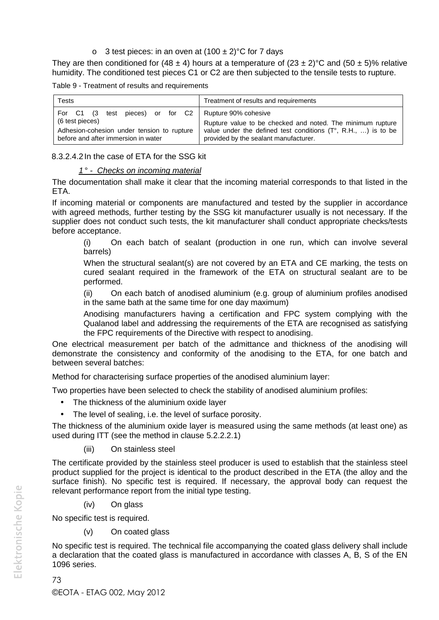o 3 test pieces: in an oven at  $(100 \pm 2)$ °C for 7 days

They are then conditioned for (48  $\pm$  4) hours at a temperature of (23  $\pm$  2)°C and (50  $\pm$  5)% relative humidity. The conditioned test pieces C1 or C2 are then subjected to the tensile tests to rupture.

Table 9 - Treatment of results and requirements

| Tests                                      | Treatment of results and requirements                                  |
|--------------------------------------------|------------------------------------------------------------------------|
| For C1 (3 test pieces) or for C2           | Rupture 90% cohesive                                                   |
| (6 test pieces)                            | Rupture value to be checked and noted. The minimum rupture             |
| Adhesion-cohesion under tension to rupture | value under the defined test conditions $(T^{\circ}, R.H., )$ is to be |
| before and after immersion in water        | provided by the sealant manufacturer.                                  |

#### 8.3.2.4.2In the case of ETA for the SSG kit

#### *1 ° - Checks on incoming material*

The documentation shall make it clear that the incoming material corresponds to that listed in the ETA.

If incoming material or components are manufactured and tested by the supplier in accordance with agreed methods, further testing by the SSG kit manufacturer usually is not necessary. If the supplier does not conduct such tests, the kit manufacturer shall conduct appropriate checks/tests before acceptance.

(i) On each batch of sealant (production in one run, which can involve several barrels)

When the structural sealant(s) are not covered by an ETA and CE marking, the tests on cured sealant required in the framework of the ETA on structural sealant are to be performed.

(ii) On each batch of anodised aluminium (e.g. group of aluminium profiles anodised in the same bath at the same time for one day maximum)

Anodising manufacturers having a certification and FPC system complying with the Qualanod label and addressing the requirements of the ETA are recognised as satisfying the FPC requirements of the Directive with respect to anodising.

One electrical measurement per batch of the admittance and thickness of the anodising will demonstrate the consistency and conformity of the anodising to the ETA, for one batch and between several batches:

Method for characterising surface properties of the anodised aluminium layer:

Two properties have been selected to check the stability of anodised aluminium profiles:

- The thickness of the aluminium oxide layer
- The level of sealing, i.e. the level of surface porosity.

The thickness of the aluminium oxide layer is measured using the same methods (at least one) as used during ITT (see the method in clause 5.2.2.2.1)

(iii) On stainless steel

The certificate provided by the stainless steel producer is used to establish that the stainless steel product supplied for the project is identical to the product described in the ETA (the alloy and the surface finish). No specific test is required. If necessary, the approval body can request the relevant performance report from the initial type testing.

(iv) On glass

No specific test is required.

(v) On coated glass

No specific test is required. The technical file accompanying the coated glass delivery shall include a declaration that the coated glass is manufactured in accordance with classes A, B, S of the EN 1096 series.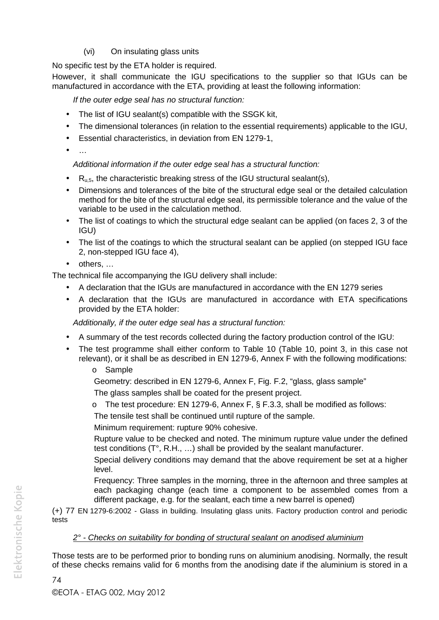### (vi) On insulating glass units

No specific test by the ETA holder is required.

However, it shall communicate the IGU specifications to the supplier so that IGUs can be manufactured in accordance with the ETA, providing at least the following information:

*If the outer edge seal has no structural function:*

- The list of IGU sealant(s) compatible with the SSGK kit,
- The dimensional tolerances (in relation to the essential requirements) applicable to the IGU,
- Essential characteristics, in deviation from EN 1279-1,
- $\bullet$  ...

*Additional information if the outer edge seal has a structural function:*

- $\bullet$  R<sub>u,5</sub>, the characteristic breaking stress of the IGU structural sealant(s),
- Dimensions and tolerances of the bite of the structural edge seal or the detailed calculation method for the bite of the structural edge seal, its permissible tolerance and the value of the variable to be used in the calculation method.
- The list of coatings to which the structural edge sealant can be applied (on faces 2, 3 of the IGU)
- The list of the coatings to which the structural sealant can be applied (on stepped IGU face 2, non-stepped IGU face 4),
- $\bullet$  others,  $\dots$

The technical file accompanying the IGU delivery shall include:

- A declaration that the IGUs are manufactured in accordance with the EN 1279 series
- A declaration that the IGUs are manufactured in accordance with ETA specifications provided by the ETA holder:

*Additionally, if the outer edge seal has a structural function:*

- A summary of the test records collected during the factory production control of the IGU:
- The test programme shall either conform to Table 10 (Table 10, point 3, in this case not relevant), or it shall be as described in EN 1279-6, Annex F with the following modifications:
	- o Sample

Geometry: described in EN 1279-6, Annex F, Fig. F.2, "glass, glass sample"

The glass samples shall be coated for the present project.

o The test procedure: EN 1279-6, Annex F, § F.3.3, shall be modified as follows:

The tensile test shall be continued until rupture of the sample.

Minimum requirement: rupture 90% cohesive.

Rupture value to be checked and noted. The minimum rupture value under the defined test conditions (T°, R.H., …) shall be provided by the sealant manufacturer.

Special delivery conditions may demand that the above requirement be set at a higher level.

Frequency: Three samples in the morning, three in the afternoon and three samples at each packaging change (each time a component to be assembled comes from a different package, e.g. for the sealant, each time a new barrel is opened)

(+) 77 EN 1279-6:2002 - Glass in building. Insulating glass units. Factory production control and periodic tests

# *2° - Checks on suitability for bonding of structural sealant on anodised aluminium*

Those tests are to be performed prior to bonding runs on aluminium anodising. Normally, the result of these checks remains valid for 6 months from the anodising date if the aluminium is stored in a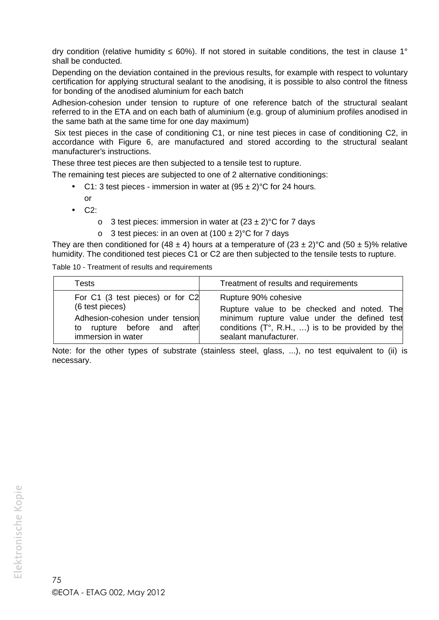dry condition (relative humidity 60%). If not stored in suitable conditions, the test in clause 1° shall be conducted.

Depending on the deviation contained in the previous results, for example with respect to voluntary certification for applying structural sealant to the anodising, it is possible to also control the fitness for bonding of the anodised aluminium for each batch

Adhesion-cohesion under tension to rupture of one reference batch of the structural sealant referred to in the ETA and on each bath of aluminium (e.g. group of aluminium profiles anodised in the same bath at the same time for one day maximum)

Six test pieces in the case of conditioning C1, or nine test pieces in case of conditioning C2, in accordance with Figure 6, are manufactured and stored according to the structural sealant manufacturer's instructions.

These three test pieces are then subjected to a tensile test to rupture.

The remaining test pieces are subjected to one of 2 alternative conditionings:

- C1: 3 test pieces immersion in water at  $(95 \pm 2)$ °C for 24 hours. or
- $\bullet$  C2:
	- o 3 test pieces: immersion in water at  $(23 \pm 2)$ °C for 7 days
	- o 3 test pieces: in an oven at  $(100 \pm 2)$ °C for 7 days

They are then conditioned for (48  $\pm$  4) hours at a temperature of (23  $\pm$  2)°C and (50  $\pm$  5)% relative humidity. The conditioned test pieces C1 or C2 are then subjected to the tensile tests to rupture.

Table 10 - Treatment of results and requirements

| Tests                            | Treatment of results and requirements                     |
|----------------------------------|-----------------------------------------------------------|
| For C1 (3 test pieces) or for C2 | Rupture 90% cohesive                                      |
| (6 test pieces)                  | Rupture value to be checked and noted. The                |
| Adhesion-cohesion under tension  | minimum rupture value under the defined test              |
| to rupture before and after      | conditions $(T^{\circ}, R.H., )$ is to be provided by the |
| immersion in water               | sealant manufacturer.                                     |

Note: for the other types of substrate (stainless steel, glass, ...), no test equivalent to (ii) is necessary.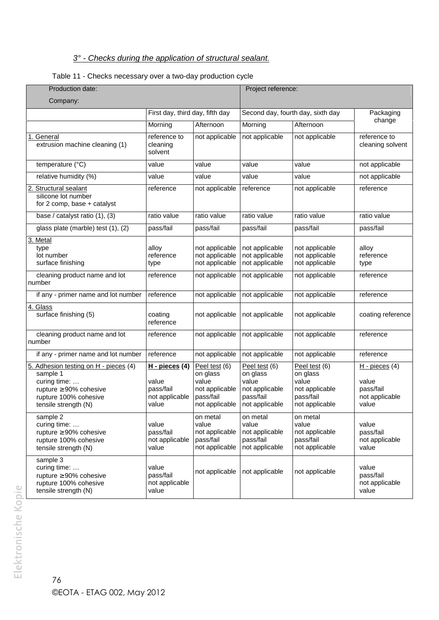# *3° - Checks during the application of structural sealant.*

### Table 11 - Checks necessary over a two-day production cycle

| Production date:                                                                                                                                   |                                                                 |                                                                                     | Project reference:                                                                  |                                                                                     |                                                                   |
|----------------------------------------------------------------------------------------------------------------------------------------------------|-----------------------------------------------------------------|-------------------------------------------------------------------------------------|-------------------------------------------------------------------------------------|-------------------------------------------------------------------------------------|-------------------------------------------------------------------|
| Company:                                                                                                                                           |                                                                 |                                                                                     |                                                                                     |                                                                                     |                                                                   |
|                                                                                                                                                    |                                                                 | First day, third day, fifth day                                                     |                                                                                     | Second day, fourth day, sixth day                                                   | Packaging                                                         |
|                                                                                                                                                    | Morning                                                         | Afternoon                                                                           | Morning                                                                             | Afternoon                                                                           | change                                                            |
| General<br>1.<br>extrusion machine cleaning (1)                                                                                                    | reference to<br>cleaning<br>solvent                             | not applicable                                                                      | not applicable                                                                      | not applicable                                                                      | reference to<br>cleaning solvent                                  |
| temperature (°C)                                                                                                                                   | value                                                           | value                                                                               | value                                                                               | value                                                                               | not applicable                                                    |
| relative humidity (%)                                                                                                                              | value                                                           | value                                                                               | value                                                                               | value                                                                               | not applicable                                                    |
| 2. Structural sealant<br>silicone lot number<br>for 2 comp, base + catalyst                                                                        | reference                                                       | not applicable                                                                      | reference                                                                           | not applicable                                                                      | reference                                                         |
| base / catalyst ratio (1), (3)                                                                                                                     | ratio value                                                     | ratio value                                                                         | ratio value                                                                         | ratio value                                                                         | ratio value                                                       |
| glass plate (marble) test (1), (2)                                                                                                                 | pass/fail                                                       | pass/fail                                                                           | pass/fail                                                                           | pass/fail                                                                           | pass/fail                                                         |
| 3. Metal<br>type<br>lot number<br>surface finishing                                                                                                | alloy<br>reference<br>type                                      | not applicable<br>not applicable<br>not applicable                                  | not applicable<br>not applicable<br>not applicable                                  | not applicable<br>not applicable<br>not applicable                                  | alloy<br>reference<br>type                                        |
| cleaning product name and lot<br>number                                                                                                            | reference                                                       | not applicable                                                                      | not applicable                                                                      | not applicable                                                                      | reference                                                         |
| if any - primer name and lot number                                                                                                                | reference                                                       | not applicable                                                                      | not applicable                                                                      | not applicable                                                                      | reference                                                         |
| 4. Glass<br>surface finishing (5)                                                                                                                  | coating<br>reference                                            | not applicable                                                                      | not applicable                                                                      | not applicable                                                                      | coating reference                                                 |
| cleaning product name and lot<br>number                                                                                                            | reference                                                       | not applicable                                                                      | not applicable                                                                      | not applicable                                                                      | reference                                                         |
| if any - primer name and lot number                                                                                                                | reference                                                       | not applicable                                                                      | not applicable                                                                      | not applicable                                                                      | reference                                                         |
| 5. Adhesion testing on H - pieces (4)<br>sample 1<br>curing time:<br>rupture $\geq 90\%$ cohesive<br>rupture 100% cohesive<br>tensile strength (N) | H - pieces (4)<br>value<br>pass/fail<br>not applicable<br>value | Peel test (6)<br>on glass<br>value<br>not applicable<br>pass/fail<br>not applicable | Peel test (6)<br>on glass<br>value<br>not applicable<br>pass/fail<br>not applicable | Peel test (6)<br>on glass<br>value<br>not applicable<br>pass/fail<br>not applicable | $H - pieces$ (4)<br>value<br>pass/fail<br>not applicable<br>value |
| sample 2<br>curing time:<br>rupture $\geq 90\%$ cohesive<br>rupture 100% cohesive<br>tensile strength (N)                                          | value<br>pass/fail<br>not applicable<br>value                   | on metal<br>value<br>not applicable<br>pass/fail<br>not applicable                  | on metal<br>value<br>not applicable<br>pass/fail<br>not applicable                  | on metal<br>value<br>not applicable<br>pass/fail<br>not applicable                  | value<br>pass/fail<br>not applicable<br>value                     |
| sample 3<br>curing time:<br>rupture $\geq 90\%$ cohesive<br>rupture 100% cohesive<br>tensile strength (N)                                          | value<br>pass/fail<br>not applicable<br>value                   | not applicable                                                                      | not applicable                                                                      | not applicable                                                                      | value<br>pass/fail<br>not applicable<br>value                     |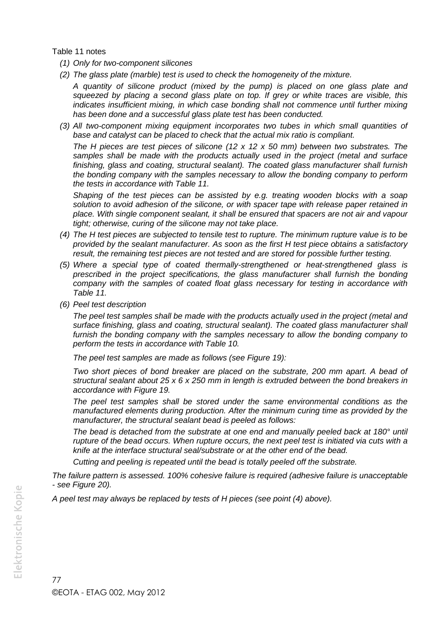Table 11 notes

- *(1) Only for two-component silicones*
- *(2) The glass plate (marble) test is used to check the homogeneity of the mixture.*

*A quantity of silicone product (mixed by the pump) is placed on one glass plate and squeezed by placing a second glass plate on top. If grey or white traces are visible, this indicates insufficient mixing, in which case bonding shall not commence until further mixing has been done and a successful glass plate test has been conducted.*

*(3) All two-component mixing equipment incorporates two tubes in which small quantities of base and catalyst can be placed to check that the actual mix ratio is compliant.*

*The H pieces are test pieces of silicone (12 x 12 x 50 mm) between two substrates. The samples shall be made with the products actually used in the project (metal and surface finishing, glass and coating, structural sealant). The coated glass manufacturer shall furnish the bonding company with the samples necessary to allow the bonding company to perform the tests in accordance with Table 11.*

*Shaping of the test pieces can be assisted by e.g. treating wooden blocks with a soap solution to avoid adhesion of the silicone, or with spacer tape with release paper retained in place. With single component sealant, it shall be ensured that spacers are not air and vapour tight; otherwise, curing of the silicone may not take place.*

- *(4) The H test pieces are subjected to tensile test to rupture. The minimum rupture value is to be provided by the sealant manufacturer. As soon as the first H test piece obtains a satisfactory result, the remaining test pieces are not tested and are stored for possible further testing.*
- *(5) Where a special type of coated thermally-strengthened or heat-strengthened glass is prescribed in the project specifications, the glass manufacturer shall furnish the bonding company with the samples of coated float glass necessary for testing in accordance with Table 11.*
- *(6) Peel test description*

*The peel test samples shall be made with the products actually used in the project (metal and surface finishing, glass and coating, structural sealant). The coated glass manufacturer shall furnish the bonding company with the samples necessary to allow the bonding company to perform the tests in accordance with Table 10.*

*The peel test samples are made as follows (see Figure 19):*

*Two short pieces of bond breaker are placed on the substrate, 200 mm apart. A bead of structural sealant about 25 x 6 x 250 mm in length is extruded between the bond breakers in accordance with Figure 19.*

*The peel test samples shall be stored under the same environmental conditions as the manufactured elements during production. After the minimum curing time as provided by the manufacturer, the structural sealant bead is peeled as follows:*

*The bead is detached from the substrate at one end and manually peeled back at 180° until rupture of the bead occurs. When rupture occurs, the next peel test is initiated via cuts with a knife at the interface structural seal/substrate or at the other end of the bead.*

*Cutting and peeling is repeated until the bead is totally peeled off the substrate.*

*The failure pattern is assessed. 100% cohesive failure is required (adhesive failure is unacceptable - see Figure 20).*

*A peel test may always be replaced by tests of H pieces (see point (4) above).*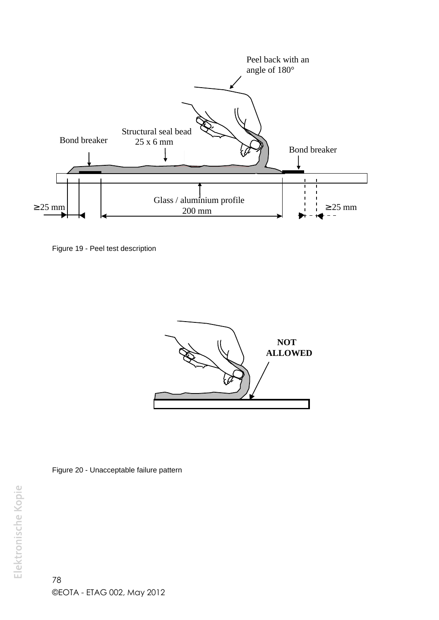

Figure 19 - Peel test description



Figure 20 - Unacceptable failure pattern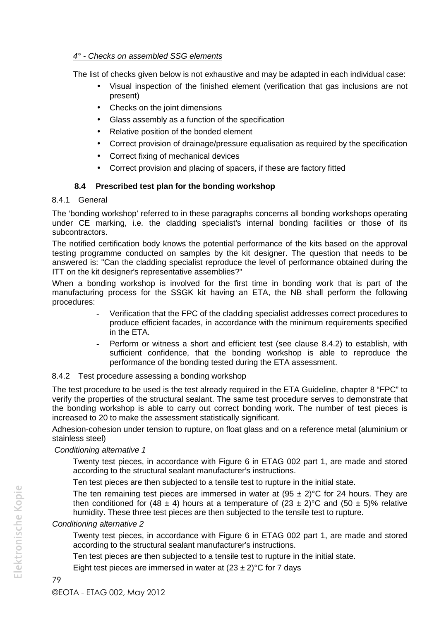### *4° - Checks on assembled SSG elements*

The list of checks given below is not exhaustive and may be adapted in each individual case:

- Visual inspection of the finished element (verification that gas inclusions are not present)
- Checks on the joint dimensions
- Glass assembly as a function of the specification
- Relative position of the bonded element
- Correct provision of drainage/pressure equalisation as required by the specification
- Correct fixing of mechanical devices
- Correct provision and placing of spacers, if these are factory fitted

## **8.4 Prescribed test plan for the bonding workshop**

### 8.4.1 General

The 'bonding workshop' referred to in these paragraphs concerns all bonding workshops operating under CE marking, i.e. the cladding specialist's internal bonding facilities or those of its subcontractors.

The notified certification body knows the potential performance of the kits based on the approval testing programme conducted on samples by the kit designer. The question that needs to be answered is: "Can the cladding specialist reproduce the level of performance obtained during the ITT on the kit designer's representative assemblies?"

When a bonding workshop is involved for the first time in bonding work that is part of the manufacturing process for the SSGK kit having an ETA, the NB shall perform the following procedures:

- Verification that the FPC of the cladding specialist addresses correct procedures to produce efficient facades, in accordance with the minimum requirements specified in the ETA.
- Perform or witness a short and efficient test (see clause 8.4.2) to establish, with sufficient confidence, that the bonding workshop is able to reproduce the performance of the bonding tested during the ETA assessment.

### 8.4.2 Test procedure assessing a bonding workshop

The test procedure to be used is the test already required in the ETA Guideline, chapter 8 "FPC" to verify the properties of the structural sealant. The same test procedure serves to demonstrate that the bonding workshop is able to carry out correct bonding work. The number of test pieces is increased to 20 to make the assessment statistically significant.

Adhesion-cohesion under tension to rupture, on float glass and on a reference metal (aluminium or stainless steel)

### *Conditioning alternative 1*

Twenty test pieces, in accordance with Figure 6 in ETAG 002 part 1, are made and stored according to the structural sealant manufacturer's instructions.

Ten test pieces are then subjected to a tensile test to rupture in the initial state.

The ten remaining test pieces are immersed in water at  $(95 \pm 2)$ °C for 24 hours. They are then conditioned for (48  $\pm$  4) hours at a temperature of (23  $\pm$  2)°C and (50  $\pm$  5)% relative humidity. These three test pieces are then subjected to the tensile test to rupture.

### *Conditioning alternative 2*

Twenty test pieces, in accordance with Figure 6 in ETAG 002 part 1, are made and stored according to the structural sealant manufacturer's instructions.

Ten test pieces are then subjected to a tensile test to rupture in the initial state.

Eight test pieces are immersed in water at  $(23 \pm 2)$ °C for 7 days

Elektronische Kopie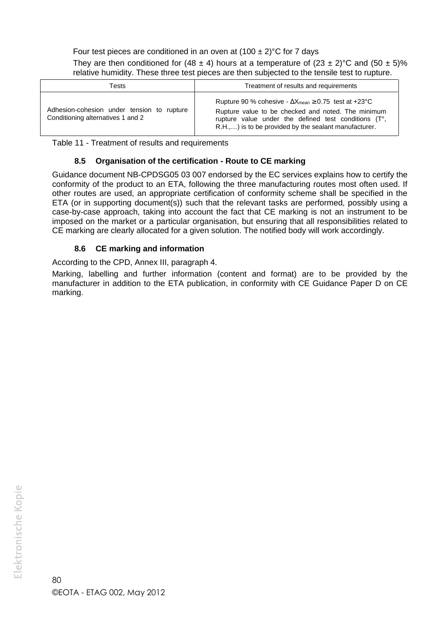Four test pieces are conditioned in an oven at  $(100 \pm 2)$ °C for 7 days

They are then conditioned for (48  $\pm$  4) hours at a temperature of (23  $\pm$  2)°C and (50  $\pm$  5)% relative humidity. These three test pieces are then subjected to the tensile test to rupture.

| Tests                                                                           | Treatment of results and requirements                                                                                                                                                                                                           |
|---------------------------------------------------------------------------------|-------------------------------------------------------------------------------------------------------------------------------------------------------------------------------------------------------------------------------------------------|
| Adhesion-cohesion under tension to rupture<br>Conditioning alternatives 1 and 2 | Rupture 90 % cohesive - $\Delta X_{\text{mean}} \geq 0.75$ test at +23°C<br>Rupture value to be checked and noted. The minimum<br>rupture value under the defined test conditions (T°,<br>R.H.,) is to be provided by the sealant manufacturer. |

Table 11 - Treatment of results and requirements

### **8.5 Organisation of the certification - Route to CE marking**

Guidance document NB-CPDSG05 03 007 endorsed by the EC services explains how to certify the conformity of the product to an ETA, following the three manufacturing routes most often used. If other routes are used, an appropriate certification of conformity scheme shall be specified in the ETA (or in supporting document(s)) such that the relevant tasks are performed, possibly using a case-by-case approach, taking into account the fact that CE marking is not an instrument to be imposed on the market or a particular organisation, but ensuring that all responsibilities related to CE marking are clearly allocated for a given solution. The notified body will work accordingly.

### **8.6 CE marking and information**

According to the CPD, Annex III, paragraph 4.

Marking, labelling and further information (content and format) are to be provided by the manufacturer in addition to the ETA publication, in conformity with CE Guidance Paper D on CE marking.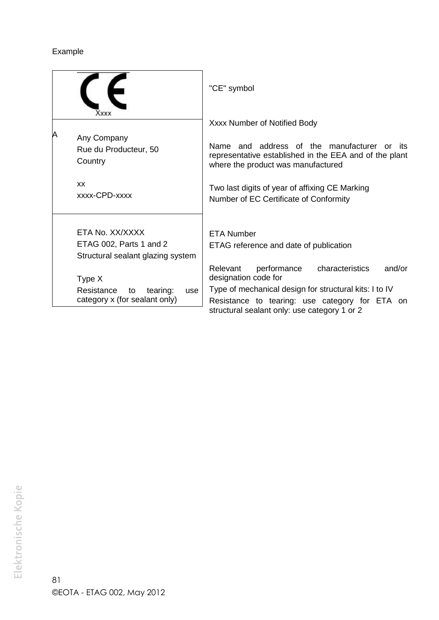# Example

|   | <b>ХХХХ</b>                                                                     | "CE" symbol                                                                                                                                 |
|---|---------------------------------------------------------------------------------|---------------------------------------------------------------------------------------------------------------------------------------------|
|   |                                                                                 | Xxxx Number of Notified Body                                                                                                                |
| Α | Any Company<br>Rue du Producteur, 50<br>Country                                 | Name and address of the manufacturer or its<br>representative established in the EEA and of the plant<br>where the product was manufactured |
|   | <b>XX</b><br>xxxx-CPD-xxxx                                                      | Two last digits of year of affixing CE Marking<br>Number of EC Certificate of Conformity                                                    |
|   | ETA No. XX/XXXX<br>ETAG 002, Parts 1 and 2<br>Structural sealant glazing system | <b>ETA Number</b><br>ETAG reference and date of publication                                                                                 |
|   | Type X<br>Resistance<br>tearing:<br>to<br>use                                   | characteristics<br>Relevant<br>performance<br>and/or<br>designation code for<br>Type of mechanical design for structural kits: I to IV      |
|   | category x (for sealant only)                                                   | Resistance to tearing: use category for ETA on<br>structural sealant only: use category 1 or 2                                              |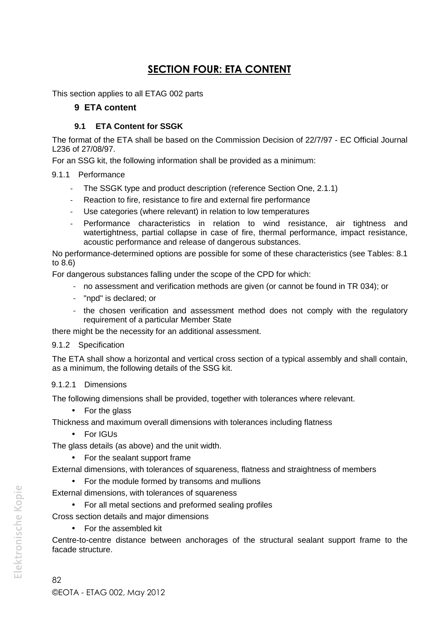# **SECTION FOUR: ETA CONTENT**

This section applies to all ETAG 002 parts

### **9 ETA content**

### **9.1 ETA Content for SSGK**

The format of the ETA shall be based on the Commission Decision of 22/7/97 - EC Official Journal L236 of 27/08/97.

For an SSG kit, the following information shall be provided as a minimum:

### 9.1.1 Performance

- The SSGK type and product description (reference Section One, 2.1.1)
- Reaction to fire, resistance to fire and external fire performance
- Use categories (where relevant) in relation to low temperatures
- Performance characteristics in relation to wind resistance, air tightness and watertightness, partial collapse in case of fire, thermal performance, impact resistance, acoustic performance and release of dangerous substances.

No performance-determined options are possible for some of these characteristics (see Tables: 8.1 to 8.6)

For dangerous substances falling under the scope of the CPD for which:

- no assessment and verification methods are given (or cannot be found in TR 034); or
- "npd" is declared; or
- the chosen verification and assessment method does not comply with the regulatory requirement of a particular Member State

there might be the necessity for an additional assessment.

#### 9.1.2 Specification

The ETA shall show a horizontal and vertical cross section of a typical assembly and shall contain, as a minimum, the following details of the SSG kit.

### 9.1.2.1 Dimensions

The following dimensions shall be provided, together with tolerances where relevant.

• For the glass

Thickness and maximum overall dimensions with tolerances including flatness

• For IGUs

The glass details (as above) and the unit width.

• For the sealant support frame

External dimensions, with tolerances of squareness, flatness and straightness of members

• For the module formed by transoms and mullions

External dimensions, with tolerances of squareness

For all metal sections and preformed sealing profiles

Cross section details and major dimensions

• For the assembled kit

Centre-to-centre distance between anchorages of the structural sealant support frame to the facade structure.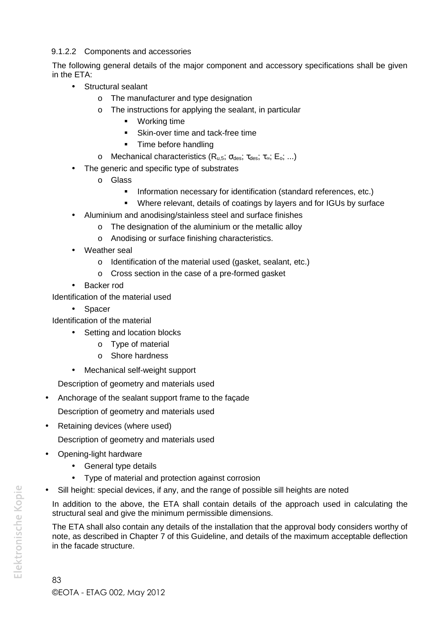### 9.1.2.2 Components and accessories

The following general details of the major component and accessory specifications shall be given in the ETA:

- Structural sealant
	- o The manufacturer and type designation
	- o The instructions for applying the sealant, in particular
		- **•** Working time
		- **Skin-over time and tack-free time**
		- **Time before handling**
	- o Mechanical characteristics  $(R_{u.5}; \sigma_{des}; \tau_{des}; \tau_{es}; E_o; ...)$
- The generic and specific type of substrates
	- o Glass
		- **Information necessary for identification (standard references, etc.)**
		- Where relevant, details of coatings by layers and for IGUs by surface
- Aluminium and anodising/stainless steel and surface finishes
	- o The designation of the aluminium or the metallic alloy
	- o Anodising or surface finishing characteristics.
- Weather seal
	- o Identification of the material used (gasket, sealant, etc.)
	- o Cross section in the case of a pre-formed gasket
- Backer rod

Identification of the material used

• Spacer

- Identification of the material
	- Setting and location blocks
		- o Type of material
		- o Shore hardness
	- Mechanical self-weight support

Description of geometry and materials used

Anchorage of the sealant support frame to the façade

Description of geometry and materials used

Retaining devices (where used)

Description of geometry and materials used

- Opening-light hardware
	- General type details
	- Type of material and protection against corrosion
- Sill height: special devices, if any, and the range of possible sill heights are noted

In addition to the above, the ETA shall contain details of the approach used in calculating the structural seal and give the minimum permissible dimensions.

The ETA shall also contain any details of the installation that the approval body considers worthy of note, as described in Chapter 7 of this Guideline, and details of the maximum acceptable deflection in the facade structure.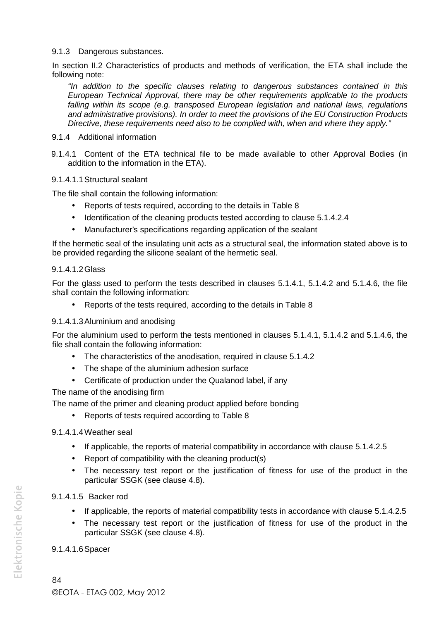#### 9.1.3 Dangerous substances.

In section II.2 Characteristics of products and methods of verification, the ETA shall include the following note:

*"In addition to the specific clauses relating to dangerous substances contained in this European Technical Approval, there may be other requirements applicable to the products falling within its scope (e.g. transposed European legislation and national laws, regulations and administrative provisions). In order to meet the provisions of the EU Construction Products Directive, these requirements need also to be complied with, when and where they apply."*

- 9.1.4 Additional information
- 9.1.4.1 Content of the ETA technical file to be made available to other Approval Bodies (in addition to the information in the ETA).

#### 9.1.4.1.1Structural sealant

The file shall contain the following information:

- Reports of tests required, according to the details in Table 8
- Identification of the cleaning products tested according to clause 5.1.4.2.4
- Manufacturer's specifications regarding application of the sealant

If the hermetic seal of the insulating unit acts as a structural seal, the information stated above is to be provided regarding the silicone sealant of the hermetic seal.

#### 9.1.4.1.2Glass

For the glass used to perform the tests described in clauses 5.1.4.1, 5.1.4.2 and 5.1.4.6, the file shall contain the following information:

Reports of the tests required, according to the details in Table 8

#### 9.1.4.1.3Aluminium and anodising

For the aluminium used to perform the tests mentioned in clauses 5.1.4.1, 5.1.4.2 and 5.1.4.6, the file shall contain the following information:

- The characteristics of the anodisation, required in clause 5.1.4.2
- The shape of the aluminium adhesion surface
- Certificate of production under the Qualanod label, if any

The name of the anodising firm

The name of the primer and cleaning product applied before bonding

• Reports of tests required according to Table 8

#### 9.1.4.1.4Weather seal

- If applicable, the reports of material compatibility in accordance with clause 5.1.4.2.5
- Report of compatibility with the cleaning product(s)
- The necessary test report or the justification of fitness for use of the product in the particular SSGK (see clause 4.8).

#### 9.1.4.1.5 Backer rod

- If applicable, the reports of material compatibility tests in accordance with clause 5.1.4.2.5
- The necessary test report or the justification of fitness for use of the product in the particular SSGK (see clause 4.8).

#### 9.1.4.1.6Spacer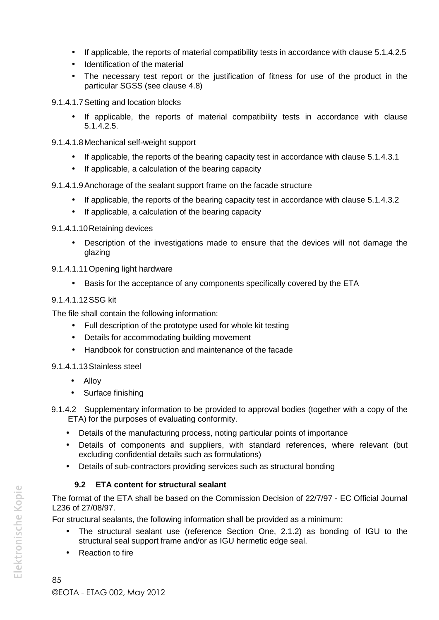- If applicable, the reports of material compatibility tests in accordance with clause 5.1.4.2.5
- Identification of the material
- The necessary test report or the justification of fitness for use of the product in the particular SGSS (see clause 4.8)
- 9.1.4.1.7Setting and location blocks
	- If applicable, the reports of material compatibility tests in accordance with clause 5.1.4.2.5.
- 9.1.4.1.8Mechanical self-weight support
	- If applicable, the reports of the bearing capacity test in accordance with clause 5.1.4.3.1
	- If applicable, a calculation of the bearing capacity
- 9.1.4.1.9Anchorage of the sealant support frame on the facade structure
	- If applicable, the reports of the bearing capacity test in accordance with clause 5.1.4.3.2
	- If applicable, a calculation of the bearing capacity
- 9.1.4.1.10Retaining devices
	- Description of the investigations made to ensure that the devices will not damage the glazing
- 9.1.4.1.11Opening light hardware
	- Basis for the acceptance of any components specifically covered by the ETA

### 9.1.4.1.12SSG kit

The file shall contain the following information:

- Full description of the prototype used for whole kit testing
- Details for accommodating building movement
- Handbook for construction and maintenance of the facade

### 9.1.4.1.13Stainless steel

- Alloy
- Surface finishing
- 9.1.4.2 Supplementary information to be provided to approval bodies (together with a copy of the ETA) for the purposes of evaluating conformity.
	- Details of the manufacturing process, noting particular points of importance
	- Details of components and suppliers, with standard references, where relevant (but excluding confidential details such as formulations)
	- Details of sub-contractors providing services such as structural bonding

# **9.2 ETA content for structural sealant**

The format of the ETA shall be based on the Commission Decision of 22/7/97 - EC Official Journal L236 of 27/08/97.

For structural sealants, the following information shall be provided as a minimum:

- The structural sealant use (reference Section One, 2.1.2) as bonding of IGU to the structural seal support frame and/or as IGU hermetic edge seal.
- Reaction to fire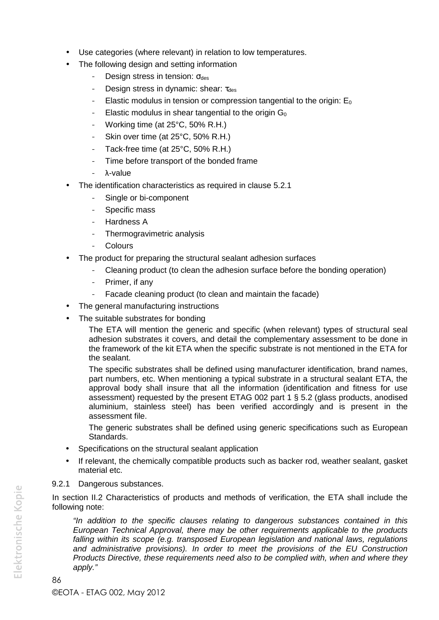- Use categories (where relevant) in relation to low temperatures.
- The following design and setting information
	- Design stress in tension:  $\sigma_{\text{des}}$
	- Design stress in dynamic: shear:  $\tau_{des}$
	- Elastic modulus in tension or compression tangential to the origin:  $E_0$
	- Elastic modulus in shear tangential to the origin  $G_0$
	- Working time (at 25°C, 50% R.H.)
	- Skin over time (at 25°C, 50% R.H.)
	- Tack-free time (at 25°C, 50% R.H.)
	- Time before transport of the bonded frame
	- λ-value
- The identification characteristics as required in clause 5.2.1
	- Single or bi-component
	- Specific mass
	- Hardness A
	- Thermogravimetric analysis
	- **Colours**
- The product for preparing the structural sealant adhesion surfaces
	- Cleaning product (to clean the adhesion surface before the bonding operation)
	- Primer, if any
	- Facade cleaning product (to clean and maintain the facade)
- The general manufacturing instructions
- The suitable substrates for bonding

The ETA will mention the generic and specific (when relevant) types of structural seal adhesion substrates it covers, and detail the complementary assessment to be done in the framework of the kit ETA when the specific substrate is not mentioned in the ETA for the sealant.

The specific substrates shall be defined using manufacturer identification, brand names, part numbers, etc. When mentioning a typical substrate in a structural sealant ETA, the approval body shall insure that all the information (identification and fitness for use assessment) requested by the present ETAG 002 part 1 § 5.2 (glass products, anodised aluminium, stainless steel) has been verified accordingly and is present in the assessment file.

The generic substrates shall be defined using generic specifications such as European Standards.

- Specifications on the structural sealant application
- If relevant, the chemically compatible products such as backer rod, weather sealant, gasket material etc.
- 9.2.1 Dangerous substances.

In section II.2 Characteristics of products and methods of verification, the ETA shall include the following note:

*"In addition to the specific clauses relating to dangerous substances contained in this European Technical Approval, there may be other requirements applicable to the products falling within its scope (e.g. transposed European legislation and national laws, regulations and administrative provisions). In order to meet the provisions of the EU Construction Products Directive, these requirements need also to be complied with, when and where they apply."*

Elektronische Kopie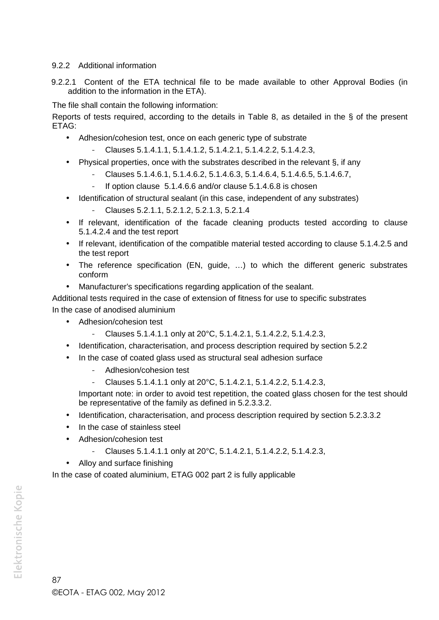### 9.2.2 Additional information

9.2.2.1 Content of the ETA technical file to be made available to other Approval Bodies (in addition to the information in the ETA).

The file shall contain the following information:

Reports of tests required, according to the details in Table 8, as detailed in the § of the present ETAG:

- Adhesion/cohesion test, once on each generic type of substrate
	- Clauses 5.1.4.1.1, 5.1.4.1.2, 5.1.4.2.1, 5.1.4.2.2, 5.1.4.2.3,
- Physical properties, once with the substrates described in the relevant  $\hat{S}$ , if any
	- Clauses 5.1.4.6.1, 5.1.4.6.2, 5.1.4.6.3, 5.1.4.6.4, 5.1.4.6.5, 5.1.4.6.7,
	- If option clause 5.1.4.6.6 and/or clause 5.1.4.6.8 is chosen
- Identification of structural sealant (in this case, independent of any substrates)
	- Clauses 5.2.1.1, 5.2.1.2, 5.2.1.3, 5.2.1.4
- If relevant, identification of the facade cleaning products tested according to clause 5.1.4.2.4 and the test report
- If relevant, identification of the compatible material tested according to clause 5.1.4.2.5 and the test report
- The reference specification (EN, guide, …) to which the different generic substrates conform
- Manufacturer's specifications regarding application of the sealant.

Additional tests required in the case of extension of fitness for use to specific substrates

In the case of anodised aluminium

- Adhesion/cohesion test
	- Clauses 5.1.4.1.1 only at 20°C, 5.1.4.2.1, 5.1.4.2.2, 5.1.4.2.3,
- Identification, characterisation, and process description required by section 5.2.2
- In the case of coated glass used as structural seal adhesion surface
	- Adhesion/cohesion test
	- Clauses 5.1.4.1.1 only at 20°C, 5.1.4.2.1, 5.1.4.2.2, 5.1.4.2.3,

Important note: in order to avoid test repetition, the coated glass chosen for the test should be representative of the family as defined in 5.2.3.3.2.

- Identification, characterisation, and process description required by section 5.2.3.3.2
- In the case of stainless steel
- Adhesion/cohesion test
	- Clauses 5.1.4.1.1 only at 20°C, 5.1.4.2.1, 5.1.4.2.2, 5.1.4.2.3,
- Alloy and surface finishing

In the case of coated aluminium, ETAG 002 part 2 is fully applicable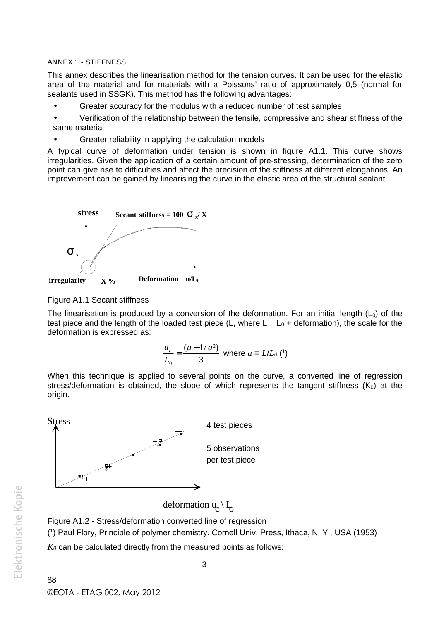#### ANNEX 1 - STIFFNESS

This annex describes the linearisation method for the tension curves. It can be used for the elastic area of the material and for materials with a Poissons' ratio of approximately 0,5 (normal for sealants used in SSGK). This method has the following advantages:

- Greater accuracy for the modulus with a reduced number of test samples
- Verification of the relationship between the tensile, compressive and shear stiffness of the same material
- Greater reliability in applying the calculation models

A typical curve of deformation under tension is shown in figure A1.1. This curve shows irregularities. Given the application of a certain amount of pre-stressing, determination of the zero point can give rise to difficulties and affect the precision of the stiffness at different elongations. An improvement can be gained by linearising the curve in the elastic area of the structural sealant.



Figure A1.1 Secant stiffness

The linearisation is produced by a conversion of the deformation. For an initial length  $(L_0)$  of the test piece and the length of the loaded test piece (L, where  $L = L_0 +$  deformation), the scale for the deformation is expressed as:

$$
\frac{u_c}{L_0} = \frac{(a - 1/a^2)}{3}
$$
 where  $a = L/L_0$  (1)

When this technique is applied to several points on the curve, a converted line of regression stress/deformation is obtained, the slope of which represents the tangent stiffness  $(K_0)$  at the origin.



deformation  $u_c \setminus I_o$ 

Figure A1.2 - Stress/deformation converted line of regression

(<sup>1</sup> ) Paul Flory, Principle of polymer chemistry. Cornell Univ. Press, Ithaca, N. Y., USA (1953)

*K<sup>0</sup>* can be calculated directly from the measured points as follows: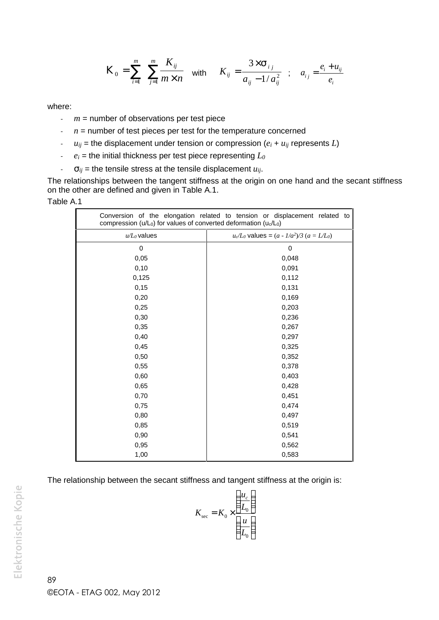$$
K_0 = \sum_{i=1}^m \sum_{j=1}^m \frac{K_{ij}}{m \times n} \quad \text{with} \quad K_{ij} = \frac{3 \times 1_{ij}}{a_{ij} - 1/a_{ij}^2} \quad ; \quad a_{ij} = \frac{e_i + u_{ij}}{e_i}
$$

where:

- *m* = number of observations per test piece
- $n =$  number of test pieces per test for the temperature concerned
- $u_{ij}$  = the displacement under tension or compression  $(e_i + u_{ij})$  represents *L*)
- $e_i$  = the initial thickness per test piece representing  $L_0$
- $\cdot$  *i<sub>ij</sub>* = the tensile stress at the tensile displacement  $u_{ij}$ .

The relationships between the tangent stiffness at the origin on one hand and the secant stiffness on the other are defined and given in Table A.1.

#### Table A.1

| compression (u/L <sub>0</sub> ) for values of converted deformation (u <sub>c</sub> /L <sub>0</sub> ) | Conversion of the elongation related to tension or displacement related to |
|-------------------------------------------------------------------------------------------------------|----------------------------------------------------------------------------|
| $u/L_0$ values                                                                                        | $u_c/L_0$ values = $(a - 1/a^2)/3$ $(a = L/L_0)$                           |
| 0                                                                                                     | 0                                                                          |
| 0,05                                                                                                  | 0,048                                                                      |
| 0,10                                                                                                  | 0,091                                                                      |
| 0,125                                                                                                 | 0,112                                                                      |
| 0,15                                                                                                  | 0,131                                                                      |
| 0,20                                                                                                  | 0,169                                                                      |
| 0,25                                                                                                  | 0,203                                                                      |
| 0,30                                                                                                  | 0,236                                                                      |
| 0,35                                                                                                  | 0,267                                                                      |
| 0,40                                                                                                  | 0,297                                                                      |
| 0,45                                                                                                  | 0,325                                                                      |
| 0,50                                                                                                  | 0,352                                                                      |
| 0,55                                                                                                  | 0,378                                                                      |
| 0,60                                                                                                  | 0,403                                                                      |
| 0,65                                                                                                  | 0,428                                                                      |
| 0,70                                                                                                  | 0,451                                                                      |
| 0,75                                                                                                  | 0,474                                                                      |
| 0,80                                                                                                  | 0,497                                                                      |
| 0,85                                                                                                  | 0,519                                                                      |
| 0,90                                                                                                  | 0,541                                                                      |
| 0,95                                                                                                  | 0,562                                                                      |
| 1,00                                                                                                  | 0,583                                                                      |

The relationship between the secant stiffness and tangent stiffness at the origin is:

$$
K_{\text{sec}} = K_0 \times \left(\frac{u_c}{\frac{u}{L_0}}\right)
$$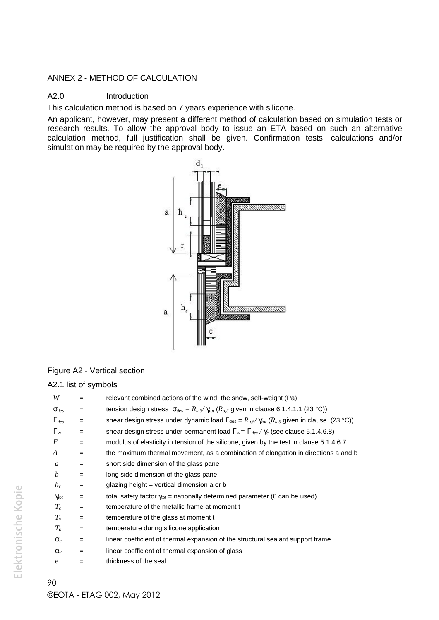### ANNEX 2 - METHOD OF CALCULATION

### A2.0 Introduction

This calculation method is based on 7 years experience with silicone.

An applicant, however, may present a different method of calculation based on simulation tests or research results. To allow the approval body to issue an ETA based on such an alternative calculation method, full justification shall be given. Confirmation tests, calculations and/or simulation may be required by the approval body.



#### Figure A2 - Vertical section

#### A2.1 list of symbols

| W                | $=$               | relevant combined actions of the wind, the snow, self-weight (Pa)                                                     |
|------------------|-------------------|-----------------------------------------------------------------------------------------------------------------------|
| $\tau_{des}$     | $\qquad \qquad =$ | tension design stress $\bar{t}_{des} = R_{u,5}/x_{tot}$ ( $R_{u,5}$ given in clause 6.1.4.1.1 (23 °C))                |
| $X_{des}$        | $\qquad \qquad =$ | shear design stress under dynamic load $\Gamma_{\text{des}} = R_{u} f / x_{tot}$ ( $R_{u} f$ given in clause (23 °C)) |
| $X_{\xi}$        | $\qquad \qquad =$ | shear design stress under permanent load $X_{\ell} = X_{des} / X_{c}$ (see clause 5.1.4.6.8)                          |
| E                | $=$               | modulus of elasticity in tension of the silicone, given by the test in clause 5.1.4.6.7                               |
|                  | $=$               | the maximum thermal movement, as a combination of elongation in directions a and b                                    |
| a                | $=$               | short side dimension of the glass pane                                                                                |
| b                | $=$               | long side dimension of the glass pane                                                                                 |
| $h_v$            | $=$               | glazing height = vertical dimension a or $\mathbf b$                                                                  |
| $X_{tot}$        | $\qquad \qquad =$ | total safety factor $\gamma_{\text{tot}}$ = nationally determined parameter (6 can be used)                           |
| $T_c$            | $\qquad \qquad =$ | temperature of the metallic frame at moment t                                                                         |
| $T_{\nu}$        | $\qquad \qquad =$ | temperature of the glass at moment t                                                                                  |
| $T_{\rm 0}$      | $\qquad \qquad =$ | temperature during silicone application                                                                               |
| $r_c$            | $\qquad \qquad =$ | linear coefficient of thermal expansion of the structural sealant support frame                                       |
| $\Gamma_{v}$     | $=$               | linear coefficient of thermal expansion of glass                                                                      |
| $\boldsymbol{e}$ | =                 | thickness of the seal                                                                                                 |
|                  |                   |                                                                                                                       |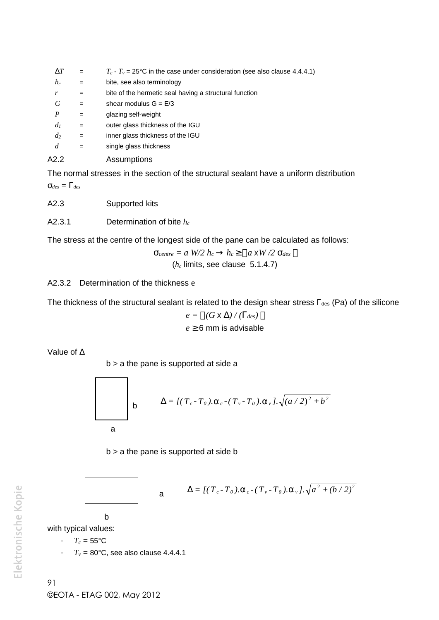| U T              | $=$               | $T_c$ - $T_v$ = 25°C in the case under consideration (see also clause 4.4.4.1) |
|------------------|-------------------|--------------------------------------------------------------------------------|
| $h_c$            | $=$               | bite, see also terminology                                                     |
| r                | $=$               | bite of the hermetic seal having a structural function                         |
| G                | $=$               | shear modulus $G = E/3$                                                        |
| $\boldsymbol{P}$ | $=$               | glazing self-weight                                                            |
| $d_I$            | $\qquad \qquad =$ | outer glass thickness of the IGU                                               |
| $d_2$            | $=$               | inner glass thickness of the IGU                                               |
| $\overline{d}$   | $\qquad \qquad =$ | single glass thickness                                                         |
| A2.2             |                   | Assumptions                                                                    |
|                  |                   |                                                                                |

The normal stresses in the section of the structural sealant have a uniform distribution  $\dagger_{des} = \mathsf{X}_{des}$ 

- A2.3 Supported kits
- A2.3.1 Determination of bite *h<sup>c</sup>*

The stress at the centre of the longest side of the pane can be calculated as follows:

$$
\uparrow_{centre} = a W/2 h_c \triangle h_c \qquad a x W/2 \uparrow_{des}
$$
  
( $h_c$  limits, see clause 5.1.4.7)

A2.3.2 Determination of the thickness e

The thickness of the structural sealant is related to the design shear stress  $\Gamma_{des}$  (Pa) of the silicone

$$
e = (G \times U) / (X_{des})
$$
  

$$
e \ge 6 \text{ mm is advisable}
$$

Value of  $\Delta$ 

г

 $b > a$  the pane is supported at side a

stresses in the section of the structural sealant have a uniform distribution  
\nSuppotted kits  
\nDetermination of bite 
$$
h_c
$$
  
\nthe centre of the longest side of the pane can be calculated as follows:  
\n
$$
\frac{1}{t_{centre}} = a W2 h_c \triangle h_c \triangle n_c I_{a \times W/2} \frac{1}{t_{des}}
$$
\n(  $h_c$  limits, see clause 5.1.4.7)  
\nermination of the thickness e  
\nso of the structural sealant is related to the design shear stress  $\Gamma_{des}$  (Pa) of the silicone  
\n $e = (G \times U) / (\chi_{des})$   
\n $e \ge 6$  mm is advisable  
\n $b > a$  the pane is supported at side a  
\n
$$
\frac{1}{b} \qquad \Delta = \frac{1}{T_c - T_0} \cdot \frac{1}{T_c - (T_v - T_0) \cdot \frac{1}{T_v} \cdot \sqrt{(a/2)^2 + b^2}}
$$
\na  
\nb > a the pane is supported at side b  
\na  
\n
$$
\Delta = \frac{1}{T_c - T_0} \cdot \frac{1}{T_c - (T_v - T_0) \cdot \frac{1}{T_v} \cdot \sqrt{a^2 + (b/2)^2}}
$$
\nb  
\na  
\n
$$
\Delta = \frac{1}{T_c - T_0} \cdot \frac{1}{T_c - (T_v - T_0) \cdot \frac{1}{T_v} \cdot \sqrt{a^2 + (b/2)^2}}
$$
\n(b)  
\n100°C, see also clause 4.4.4.1



a 
$$
\Delta = \left[ (T_c - T_0). \Gamma_c - (T_v - T_0). \Gamma_v \right], \sqrt{a^2 + (b/2)^2}
$$

with typical values:

$$
-T_c=55^{\circ}\mathrm{C}
$$

-  $T_v = 80^{\circ}$ C, see also clause 4.4.4.1

b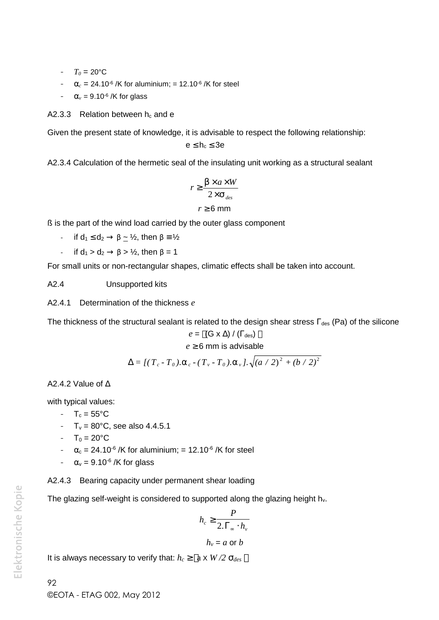- $T_0 = 20$ °C
- $r_c = 24.10^{-6}$  /K for aluminium; = 12.10<sup>-6</sup> /K for steel
- $r_v = 9.10^{-6}$  /K for glass

A2.3.3 Relation between  $h_c$  and e

Given the present state of knowledge, it is advisable to respect the following relationship:

$$
e\leq h_c\leq 3e
$$

A2.3.4 Calculation of the hermetic seal of the insulating unit working as a structural sealant

$$
r \geq \frac{S \times a \times W}{2 \times \tau_{des}}
$$
  

$$
r \geq 6 \text{ mm}
$$

ß is the part of the wind load carried by the outer glass component

- if  $d_1 \leq d_2 \rightarrow \beta \simeq \frac{1}{2}$ , then  $\beta \equiv \frac{1}{2}$ 

- if  $d_1 > d_2 \rightarrow \beta > \frac{1}{2}$ , then  $\beta = 1$ 

For small units or non-rectangular shapes, climatic effects shall be taken into account.

A2.4 Unsupported kits

A2.4.1 Determination of the thickness *e*

The thickness of the structural sealant is related to the design shear stress  $\Gamma_{des}$  (Pa) of the silicone *e*  $\le$  *T*(*e*  $\le$  *D***c**)  $\le$   $\le$  *T* $\le$   $\le$  *T* $\ge$  *Z* $\times$  *T* $\ge$  *Z* $\times$  *T* $\ge$  *Z* $\times$  *T* $\ge$  *C* 6 *mm*<br> *T* $\ge$  2 6 *mm*<br> *T* $\ge$  2 6 *mm*<br> *T* $\ge$  2 6 *mm*<br> *T* $\ge$  2 6 *mm*<br> *T* $\ge$  2 *I*, then  $\beta = 1$ <br>

$$
e = | (G \times \Delta) / ( \Gamma_{des} ) |
$$
  

$$
e \ge 6 \text{ mm is advisable}
$$

$$
\Delta = \left[ \left( \, T_c - T_{0} \, \right) . \, \Gamma_c - \left( \, T_{\,v} - T_{0} \, \right) . \, \Gamma_{\,v} \, \right] . \, \sqrt{\left( a \, / \, 2 \, \right)^{2} \, + \left( b \, / \, 2 \, \right)^{2} }
$$

A2.4.2 Value of  $\triangle$ 

with typical values:

- $T_c = 55^{\circ}C$
- $T_v = 80^{\circ}$ C, see also 4.4.5.1
- $-T_0 = 20$ °C
- $\alpha_c = 24.10^{-6}$  /K for aluminium; = 12.10<sup>-6</sup> /K for steel
- $\alpha_v = 9.10^{-6}$  /K for glass

A2.4.3 Bearing capacity under permanent shear loading

The glazing self-weight is considered to supported along the glazing height h<sub>v</sub>.

$$
h_c \geq \frac{P}{2.\Gamma_\infty \cdot h_v}
$$

 $h_v = a$  or  $b$ 

It is always necessary to verify that:  $h_c$   $\lceil 2 \times W/2 \rceil_{des}$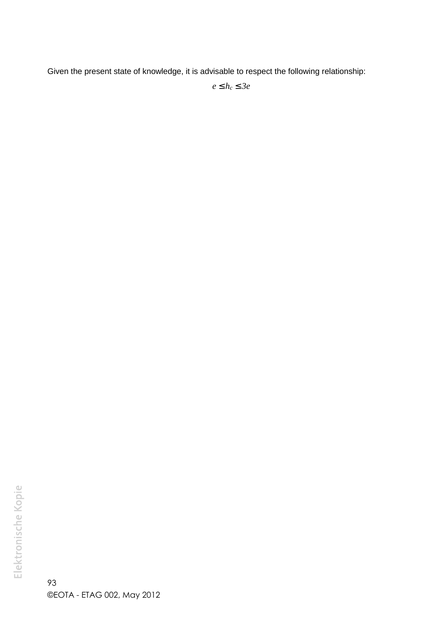Given the present state of knowledge, it is advisable to respect the following relationship:

*e h<sup>c</sup> 3e*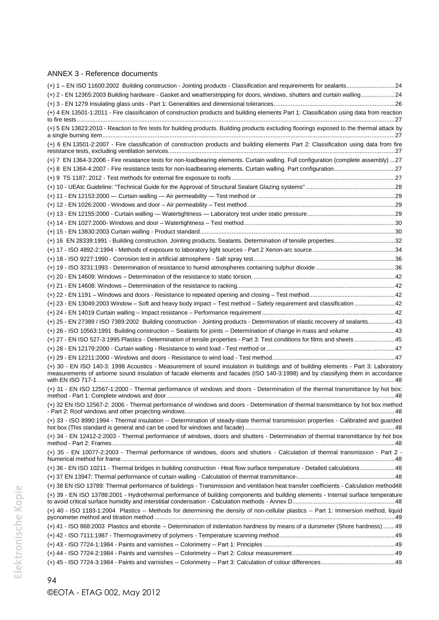#### ANNEX 3 - Reference documents

| (+) 2 - EN 12365:2003 Building hardware - Gasket and weatherstripping for doors, windows, shutters and curtain walling24                                                                                                                                              |  |
|-----------------------------------------------------------------------------------------------------------------------------------------------------------------------------------------------------------------------------------------------------------------------|--|
|                                                                                                                                                                                                                                                                       |  |
| (+) 4 EN 13501-1:2011 - Fire classification of construction products and building elements Part 1: Classification using data from reaction                                                                                                                            |  |
| (+) 5 EN 13823:2010 - Reaction to fire tests for building products. Building products excluding floorings exposed to the thermal attack by                                                                                                                            |  |
| (+) 6 EN 13501-2:2007 - Fire classification of construction products and building elements Part 2: Classification using data from fire                                                                                                                                |  |
| (+) 7 EN 1364-3:2006 - Fire resistance tests for non-loadbearing elements. Curtain walling. Full configuration (complete assembly) 27                                                                                                                                 |  |
|                                                                                                                                                                                                                                                                       |  |
|                                                                                                                                                                                                                                                                       |  |
|                                                                                                                                                                                                                                                                       |  |
|                                                                                                                                                                                                                                                                       |  |
|                                                                                                                                                                                                                                                                       |  |
|                                                                                                                                                                                                                                                                       |  |
|                                                                                                                                                                                                                                                                       |  |
|                                                                                                                                                                                                                                                                       |  |
| (+) 16 EN 28339:1991 - Building construction. Jointing products. Sealants. Determination of tensile properties32                                                                                                                                                      |  |
|                                                                                                                                                                                                                                                                       |  |
|                                                                                                                                                                                                                                                                       |  |
|                                                                                                                                                                                                                                                                       |  |
|                                                                                                                                                                                                                                                                       |  |
|                                                                                                                                                                                                                                                                       |  |
|                                                                                                                                                                                                                                                                       |  |
|                                                                                                                                                                                                                                                                       |  |
| (+) 23 - EN 13049:2003 Window - Soft and heavy body impact - Test method - Safety requirement and classification  42                                                                                                                                                  |  |
|                                                                                                                                                                                                                                                                       |  |
| (+) 25 - EN 27389 / ISO 7389:2002 Building construction - Jointing products - Determination of elastic recovery of sealants43                                                                                                                                         |  |
| (+) 26 - ISO 10563:1991 Building construction -- Sealants for joints -- Determination of change in mass and volume  43                                                                                                                                                |  |
| (+) 27 - EN ISO 527-3:1995 Plastics - Determination of tensile properties - Part 3: Test conditions for films and sheets  45                                                                                                                                          |  |
|                                                                                                                                                                                                                                                                       |  |
|                                                                                                                                                                                                                                                                       |  |
| (+) 30 - EN ISO 140-3: 1998 Acoustics - Measurement of sound insulation in buildings and of building elements - Part 3: Laboratory<br>measurements of airborne sound insulation of facade elements and facades (ISO 140-3:1998) and by classifying them in accordance |  |
| (+) 31 - EN ISO 12567-1:2000 - Thermal performance of windows and doors - Determination of the thermal transmittance by hot box:                                                                                                                                      |  |
| (+) 32 EN ISO 12567-2: 2006 - Thermal performance of windows and doors - Determination of thermal transmittance by hot box method                                                                                                                                     |  |
| (+) 33 - ISO 8990:1994 - Thermal insulation -- Determination of steady-state thermal transmission properties - Calibrated and guarded                                                                                                                                 |  |
| (+) 34 - EN 12412-2:2003 - Thermal performance of windows, doors and shutters - Determination of thermal transmittance by hot box                                                                                                                                     |  |
| (+) 35 - EN 10077-2:2003 - Thermal performance of windows, doors and shutters - Calculation of thermal transmission - Part 2 -                                                                                                                                        |  |
| (+) 36 - EN ISO 10211 - Thermal bridges in building construction - Heat flow surface temperature - Detailed calculations48                                                                                                                                            |  |
|                                                                                                                                                                                                                                                                       |  |
| (+) 38 EN ISO 13789: Thermal performance of buildings - Transmission and ventilation heat transfer coefficients - Calculation method48                                                                                                                                |  |
| (+) 39 - EN ISO 13788:2001 - Hydrothermal performance of building components and building elements - Internal surface temperature                                                                                                                                     |  |
| (+) 40 - ISO 1183-1:2004 Plastics -- Methods for determining the density of non-cellular plastics -- Part 1: Immersion method, liquid                                                                                                                                 |  |
| (+) 41 - ISO 868:2003 Plastics and ebonite -- Determination of indentation hardness by means of a durometer (Shore hardness)  49                                                                                                                                      |  |
|                                                                                                                                                                                                                                                                       |  |
|                                                                                                                                                                                                                                                                       |  |
|                                                                                                                                                                                                                                                                       |  |
|                                                                                                                                                                                                                                                                       |  |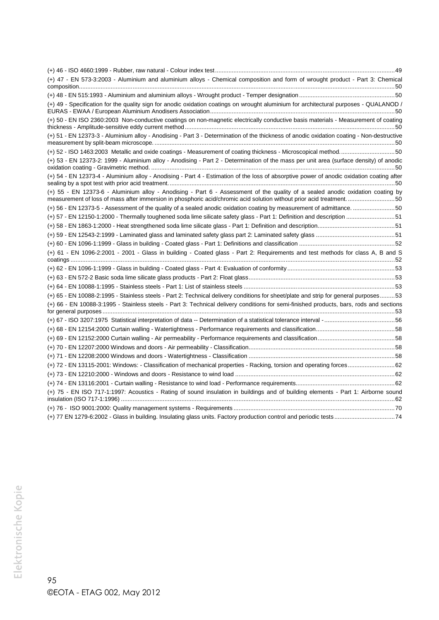| (+) 47 - EN 573-3:2003 - Aluminium and aluminium alloys - Chemical composition and form of wrought product - Part 3: Chemical                                                                                                                                                                                                                                                                                                                                                                                                                                                                        |  |
|------------------------------------------------------------------------------------------------------------------------------------------------------------------------------------------------------------------------------------------------------------------------------------------------------------------------------------------------------------------------------------------------------------------------------------------------------------------------------------------------------------------------------------------------------------------------------------------------------|--|
|                                                                                                                                                                                                                                                                                                                                                                                                                                                                                                                                                                                                      |  |
| (+) 49 - Specification for the quality sign for anodic oxidation coatings on wrought aluminium for architectural purposes - QUALANOD /                                                                                                                                                                                                                                                                                                                                                                                                                                                               |  |
| (+) 50 - EN ISO 2360:2003 Non-conductive coatings on non-magnetic electrically conductive basis materials - Measurement of coating                                                                                                                                                                                                                                                                                                                                                                                                                                                                   |  |
| (+) 51 - EN 12373-3 - Aluminium alloy - Anodising - Part 3 - Determination of the thickness of anodic oxidation coating - Non-destructive                                                                                                                                                                                                                                                                                                                                                                                                                                                            |  |
| (+) 52 - ISO 1463:2003 Metallic and oxide coatings - Measurement of coating thickness - Microscopical method50                                                                                                                                                                                                                                                                                                                                                                                                                                                                                       |  |
| (+) 53 - EN 12373-2: 1999 - Aluminium alloy - Anodising - Part 2 - Determination of the mass per unit area (surface density) of anodic                                                                                                                                                                                                                                                                                                                                                                                                                                                               |  |
| (+) 54 - EN 12373-4 - Aluminium alloy - Anodising - Part 4 - Estimation of the loss of absorptive power of anodic oxidation coating after                                                                                                                                                                                                                                                                                                                                                                                                                                                            |  |
| (+) 55 - EN 12373-6 - Aluminium alloy - Anodising - Part 6 - Assessment of the quality of a sealed anodic oxidation coating by                                                                                                                                                                                                                                                                                                                                                                                                                                                                       |  |
| (+) 56 - EN 12373-5 - Assessment of the quality of a sealed anodic oxidation coating by measurement of admittance. 50                                                                                                                                                                                                                                                                                                                                                                                                                                                                                |  |
| (+) 57 - EN 12150-1:2000 - Thermally toughened soda lime silicate safety glass - Part 1: Definition and description 51                                                                                                                                                                                                                                                                                                                                                                                                                                                                               |  |
|                                                                                                                                                                                                                                                                                                                                                                                                                                                                                                                                                                                                      |  |
|                                                                                                                                                                                                                                                                                                                                                                                                                                                                                                                                                                                                      |  |
|                                                                                                                                                                                                                                                                                                                                                                                                                                                                                                                                                                                                      |  |
| (+) 61 - EN 1096-2:2001 - 2001 - Glass in building - Coated glass - Part 2: Requirements and test methods for class A, B and S<br>$\begin{minipage}{0.5cm} \textbf{coatings} \end{minipage} \begin{minipage}{0.5cm} \begin{minipage}{0.5cm} \begin{minipage}{0.5cm} \begin{minipage}{0.5cm} \begin{minipage}{0.5cm} \begin{minipage}{0.5cm} \begin{minipage}{0.5cm} \begin{minipage}{0.5cm} \end{minipage} \end{minipage} \end{minipage} \end{minipage} \begin{minipage}{0.5cm} \begin{minipage}{0.5cm} \begin{minipage}{0.5cm} \begin{minipage}{0.5cm} \begin{minipage}{0.5cm} \begin{minipage}{0.$ |  |
|                                                                                                                                                                                                                                                                                                                                                                                                                                                                                                                                                                                                      |  |
|                                                                                                                                                                                                                                                                                                                                                                                                                                                                                                                                                                                                      |  |
|                                                                                                                                                                                                                                                                                                                                                                                                                                                                                                                                                                                                      |  |
| (+) 65 - EN 10088-2:1995 - Stainless steels - Part 2: Technical delivery conditions for sheet/plate and strip for general purposes53                                                                                                                                                                                                                                                                                                                                                                                                                                                                 |  |
| (+) 66 - EN 10088-3:1995 - Stainless steels - Part 3: Technical delivery conditions for semi-finished products, bars, rods and sections                                                                                                                                                                                                                                                                                                                                                                                                                                                              |  |
|                                                                                                                                                                                                                                                                                                                                                                                                                                                                                                                                                                                                      |  |
|                                                                                                                                                                                                                                                                                                                                                                                                                                                                                                                                                                                                      |  |
|                                                                                                                                                                                                                                                                                                                                                                                                                                                                                                                                                                                                      |  |
|                                                                                                                                                                                                                                                                                                                                                                                                                                                                                                                                                                                                      |  |
|                                                                                                                                                                                                                                                                                                                                                                                                                                                                                                                                                                                                      |  |
|                                                                                                                                                                                                                                                                                                                                                                                                                                                                                                                                                                                                      |  |
|                                                                                                                                                                                                                                                                                                                                                                                                                                                                                                                                                                                                      |  |
|                                                                                                                                                                                                                                                                                                                                                                                                                                                                                                                                                                                                      |  |
| (+) 75 - EN ISO 717-1:1997: Acoustics - Rating of sound insulation in buildings and of building elements - Part 1: Airborne sound                                                                                                                                                                                                                                                                                                                                                                                                                                                                    |  |
|                                                                                                                                                                                                                                                                                                                                                                                                                                                                                                                                                                                                      |  |
|                                                                                                                                                                                                                                                                                                                                                                                                                                                                                                                                                                                                      |  |